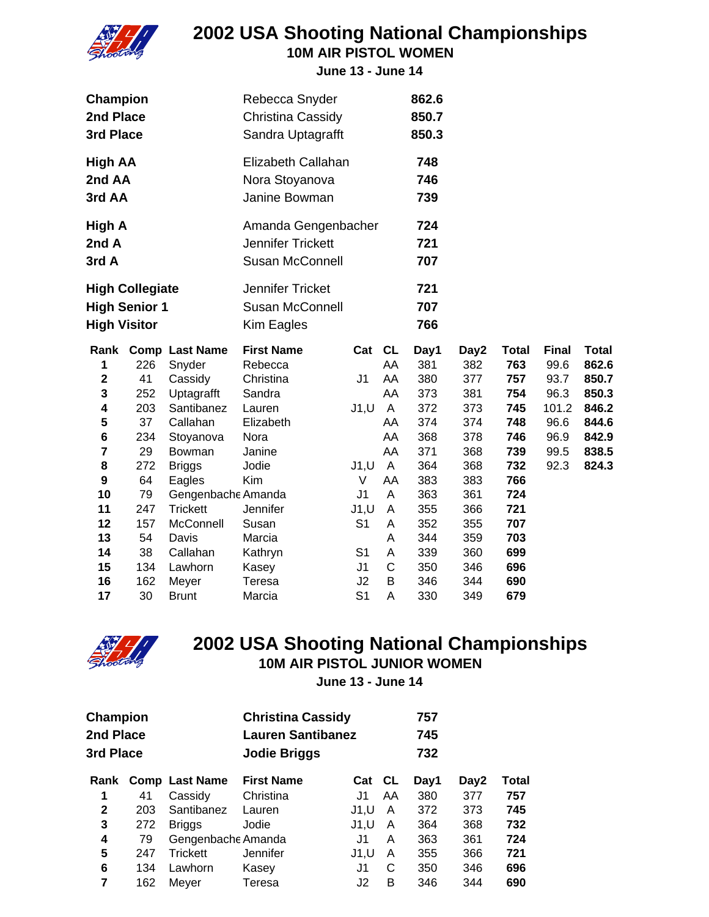

**10M AIR PISTOL WOMEN**

**June 13 - June 14**

| Champion            |                        |                       | Rebecca Snyder           |                |              | 862.6 |      |              |              |              |
|---------------------|------------------------|-----------------------|--------------------------|----------------|--------------|-------|------|--------------|--------------|--------------|
| 2nd Place           |                        |                       | Christina Cassidy        |                |              | 850.7 |      |              |              |              |
| 3rd Place           |                        |                       | Sandra Uptagrafft        |                |              | 850.3 |      |              |              |              |
| <b>High AA</b>      |                        |                       | Elizabeth Callahan       |                |              | 748   |      |              |              |              |
| 2nd AA              |                        |                       | Nora Stoyanova           |                |              | 746   |      |              |              |              |
| 3rd AA              |                        |                       | Janine Bowman            |                |              | 739   |      |              |              |              |
| High A              |                        |                       | Amanda Gengenbacher      |                |              | 724   |      |              |              |              |
| 2nd A               |                        |                       | <b>Jennifer Trickett</b> |                |              | 721   |      |              |              |              |
| 3rd A               |                        |                       | <b>Susan McConnell</b>   |                |              | 707   |      |              |              |              |
|                     | <b>High Collegiate</b> |                       | Jennifer Tricket         |                |              | 721   |      |              |              |              |
|                     | <b>High Senior 1</b>   |                       | <b>Susan McConnell</b>   |                |              | 707   |      |              |              |              |
| <b>High Visitor</b> |                        |                       | Kim Eagles               |                |              | 766   |      |              |              |              |
| Rank                |                        | <b>Comp Last Name</b> | <b>First Name</b>        | Cat            | <b>CL</b>    | Day1  | Day2 | <b>Total</b> | <b>Final</b> | <b>Total</b> |
| 1                   | 226                    | Snyder                | Rebecca                  |                | AA           | 381   | 382  | 763          | 99.6         | 862.6        |
| $\mathbf 2$         | 41                     | Cassidy               | Christina                | J <sub>1</sub> | AA           | 380   | 377  | 757          | 93.7         | 850.7        |
| 3                   | 252                    | Uptagrafft            | Sandra                   |                | AA           | 373   | 381  | 754          | 96.3         | 850.3        |
| 4                   | 203                    | Santibanez            | Lauren                   | J1, U          | A            | 372   | 373  | 745          | 101.2        | 846.2        |
| 5                   | 37                     | Callahan              | Elizabeth                |                | AA           | 374   | 374  | 748          | 96.6         | 844.6        |
| 6                   | 234                    | Stoyanova             | Nora                     |                | AA           | 368   | 378  | 746          | 96.9         | 842.9        |
| 7                   | 29                     | Bowman                | Janine                   |                | AA           | 371   | 368  | 739          | 99.5         | 838.5        |
| 8                   | 272                    | <b>Briggs</b>         | Jodie                    | J1, U          | $\mathsf{A}$ | 364   | 368  | 732          | 92.3         | 824.3        |
| 9                   | 64                     | Eagles                | Kim                      | V              | AA           | 383   | 383  | 766          |              |              |
| 10                  | 79                     | Gengenbache Amanda    |                          | J <sub>1</sub> | A            | 363   | 361  | 724          |              |              |
| 11                  | 247                    | <b>Trickett</b>       | Jennifer                 | J1, U          | A            | 355   | 366  | 721          |              |              |
| 12                  | 157                    | McConnell             | Susan                    | S <sub>1</sub> | A            | 352   | 355  | 707          |              |              |
| 13                  | 54                     | Davis                 | Marcia                   |                | A            | 344   | 359  | 703          |              |              |
| 14                  | 38                     | Callahan              | Kathryn                  | S <sub>1</sub> | A            | 339   | 360  | 699          |              |              |
| 15                  | 134                    | Lawhorn               | Kasey                    | J <sub>1</sub> | C            | 350   | 346  | 696          |              |              |
| 16                  | 162                    | Meyer                 | Teresa                   | J2             | B            | 346   | 344  | 690          |              |              |
| 17                  | 30                     | <b>Brunt</b>          | Marcia                   | S <sub>1</sub> | A            | 330   | 349  | 679          |              |              |



# **2002 USA Shooting National Championships**

**10M AIR PISTOL JUNIOR WOMEN**

| Champion<br>2nd Place<br>3rd Place |     |                       | <b>Christina Cassidy</b><br><b>Lauren Santibanez</b><br><b>Jodie Briggs</b> |       |           | 757<br>745<br>732 |      |       |
|------------------------------------|-----|-----------------------|-----------------------------------------------------------------------------|-------|-----------|-------------------|------|-------|
| Rank                               |     | <b>Comp Last Name</b> | <b>First Name</b>                                                           | Cat   | <b>CL</b> | Day1              | Day2 | Total |
| 1                                  | 41  | Cassidy               | Christina                                                                   | J1    | AA        | 380               | 377  | 757   |
| $\mathbf{2}$                       | 203 | Santibanez            | Lauren                                                                      | J1,U  | A         | 372               | 373  | 745   |
| 3                                  | 272 | <b>Briggs</b>         | Jodie                                                                       | J1, U | A         | 364               | 368  | 732   |
| 4                                  | 79  | Gengenbache Amanda    |                                                                             | J1    | A         | 363               | 361  | 724   |
| 5                                  | 247 | <b>Trickett</b>       | <b>Jennifer</b>                                                             | J1,U  | A         | 355               | 366  | 721   |
| 6                                  | 134 | Lawhorn               | Kasey                                                                       | J1    | C         | 350               | 346  | 696   |
| 7                                  | 162 | Meyer                 | Teresa                                                                      | J2    | B         | 346               | 344  | 690   |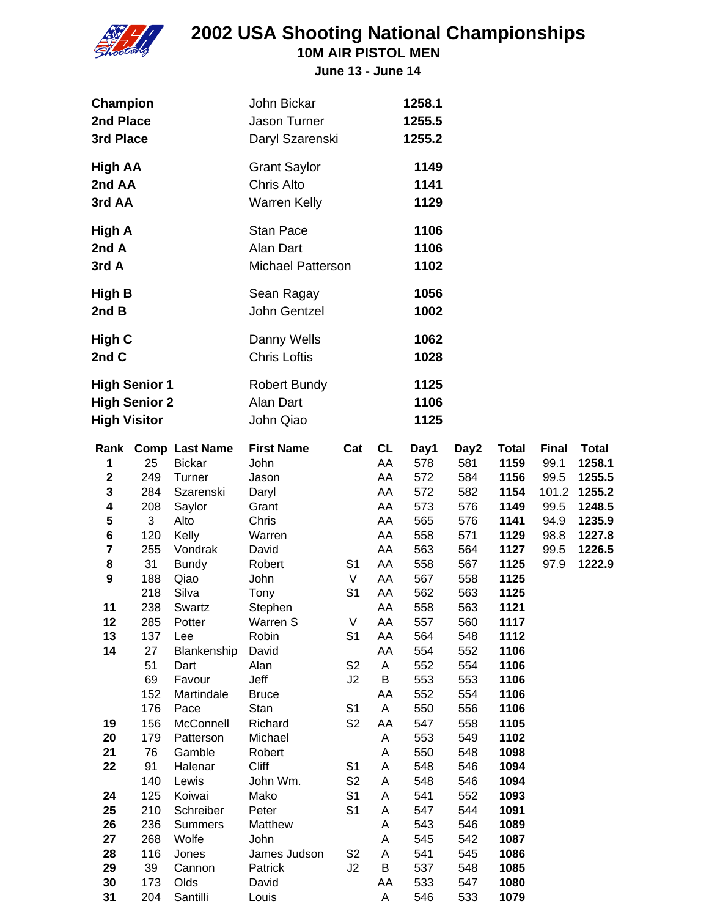

**10M AIR PISTOL MEN**

| Champion<br>2nd Place<br>3rd Place                                  |            |                       | John Bickar<br>Jason Turner<br>Daryl Szarenski            |                     |           | 1258.1<br>1255.5<br>1255.2 |            |              |              |              |
|---------------------------------------------------------------------|------------|-----------------------|-----------------------------------------------------------|---------------------|-----------|----------------------------|------------|--------------|--------------|--------------|
| <b>High AA</b><br>2nd AA<br>3rd AA                                  |            |                       | <b>Grant Saylor</b><br>Chris Alto<br><b>Warren Kelly</b>  |                     |           | 1149<br>1141<br>1129       |            |              |              |              |
| High A<br>2nd A<br>3rd A                                            |            |                       | <b>Stan Pace</b><br>Alan Dart<br><b>Michael Patterson</b> |                     |           | 1106<br>1106<br>1102       |            |              |              |              |
| <b>High B</b><br>2nd B                                              |            |                       | Sean Ragay<br>John Gentzel                                |                     |           | 1056<br>1002               |            |              |              |              |
| High C<br>2nd C                                                     |            |                       | Danny Wells<br><b>Chris Loftis</b>                        |                     |           | 1062<br>1028               |            |              |              |              |
| <b>High Senior 1</b><br><b>High Senior 2</b><br><b>High Visitor</b> |            |                       | <b>Robert Bundy</b><br>Alan Dart<br>John Qiao             |                     |           | 1125<br>1106<br>1125       |            |              |              |              |
| Rank                                                                |            | <b>Comp Last Name</b> | <b>First Name</b>                                         | Cat                 | <b>CL</b> | Day1                       | Day2       | <b>Total</b> | <b>Final</b> | <b>Total</b> |
| 1                                                                   | 25         | <b>Bickar</b>         | John                                                      |                     | AA        | 578                        | 581        | 1159         | 99.1         | 1258.1       |
| $\mathbf 2$                                                         | 249        | Turner                | Jason                                                     |                     | AA        | 572                        | 584        | 1156         | 99.5         | 1255.5       |
| 3                                                                   | 284        | Szarenski             | Daryl                                                     |                     | AA        | 572                        | 582        | 1154         | 101.2        | 1255.2       |
| 4                                                                   | 208        | Saylor                | Grant                                                     |                     | AA        | 573                        | 576        | 1149         | 99.5         | 1248.5       |
| 5                                                                   | 3          | Alto                  | Chris                                                     |                     | AA        | 565                        | 576        | 1141         | 94.9         | 1235.9       |
| 6                                                                   | 120        | Kelly                 | Warren                                                    |                     | AA        | 558                        | 571        | 1129         | 98.8         | 1227.8       |
| 7                                                                   | 255        | Vondrak               | David                                                     |                     | AA        | 563                        | 564        | 1127         | 99.5         | 1226.5       |
| 8                                                                   | 31         | <b>Bundy</b>          | Robert                                                    | S <sub>1</sub>      | AA        | 558                        | 567        | 1125         | 97.9         | 1222.9       |
| 9                                                                   | 188        | Qiao                  | John                                                      | V                   | AA        | 567                        | 558        | 1125         |              |              |
|                                                                     | 218        | Silva                 | Tony                                                      | S <sub>1</sub>      | AA        | 562                        | 563        | 1125         |              |              |
| 11                                                                  | 238        | Swartz                | Stephen                                                   |                     | AA        | 558                        | 563        | 1121         |              |              |
| 12<br>13                                                            | 285<br>137 | Potter                | Warren S                                                  | V<br>S <sub>1</sub> | AA<br>AA  | 557<br>564                 | 560<br>548 | 1117<br>1112 |              |              |
| 14                                                                  | 27         | Lee<br>Blankenship    | Robin<br>David                                            |                     | AA        | 554                        | 552        | 1106         |              |              |
|                                                                     | 51         | Dart                  | Alan                                                      | S <sub>2</sub>      | A         | 552                        | 554        | 1106         |              |              |
|                                                                     | 69         | Favour                | Jeff                                                      | J2                  | $\sf B$   | 553                        | 553        | 1106         |              |              |
|                                                                     | 152        | Martindale            | <b>Bruce</b>                                              |                     | AA        | 552                        | 554        | 1106         |              |              |
|                                                                     | 176        | Pace                  | Stan                                                      | S <sub>1</sub>      | Α         | 550                        | 556        | 1106         |              |              |
| 19                                                                  | 156        | McConnell             | Richard                                                   | S <sub>2</sub>      | AA        | 547                        | 558        | 1105         |              |              |
| 20                                                                  | 179        | Patterson             | Michael                                                   |                     | Α         | 553                        | 549        | 1102         |              |              |
| 21                                                                  | 76         | Gamble                | Robert                                                    |                     | Α         | 550                        | 548        | 1098         |              |              |
| 22                                                                  | 91         | Halenar               | Cliff                                                     | S <sub>1</sub>      | A         | 548                        | 546        | 1094         |              |              |
|                                                                     | 140        | Lewis                 | John Wm.                                                  | S <sub>2</sub>      | A         | 548                        | 546        | 1094         |              |              |
| 24                                                                  | 125        | Koiwai                | Mako                                                      | S <sub>1</sub>      | A         | 541                        | 552        | 1093         |              |              |
| 25                                                                  | 210        | Schreiber             | Peter                                                     | S <sub>1</sub>      | Α         | 547                        | 544        | 1091         |              |              |
| 26                                                                  | 236        | <b>Summers</b>        | Matthew                                                   |                     | Α         | 543                        | 546        | 1089         |              |              |
| 27                                                                  | 268        | Wolfe                 | John                                                      |                     | Α         | 545                        | 542        | 1087         |              |              |
| 28                                                                  | 116        | Jones                 | James Judson                                              | S <sub>2</sub>      | A         | 541                        | 545        | 1086         |              |              |
| 29                                                                  | 39         | Cannon                | Patrick                                                   | J2                  | B         | 537                        | 548        | 1085         |              |              |
| 30                                                                  | 173        | Olds                  | David                                                     |                     | AA        | 533                        | 547        | 1080         |              |              |
| 31                                                                  | 204        | Santilli              | Louis                                                     |                     | Α         | 546                        | 533        | 1079         |              |              |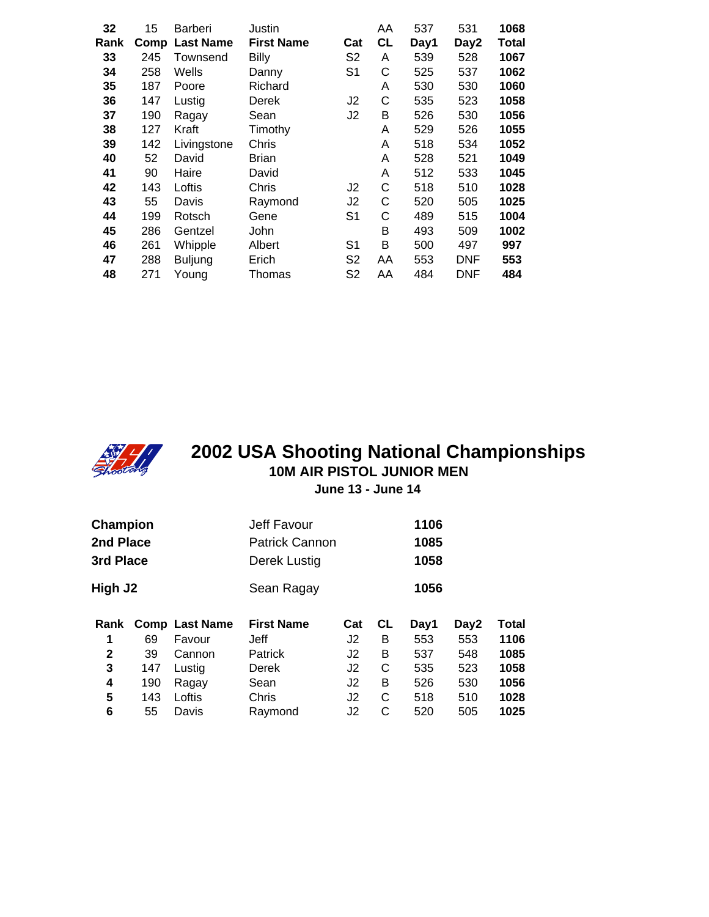| 32   | 15   | <b>Barberi</b>   | Justin            |                | AA        | 537  | 531  | 1068  |
|------|------|------------------|-------------------|----------------|-----------|------|------|-------|
| Rank | Comp | <b>Last Name</b> | <b>First Name</b> | Cat            | <b>CL</b> | Day1 | Day2 | Total |
| 33   | 245  | Townsend         | <b>Billy</b>      | S <sub>2</sub> | A         | 539  | 528  | 1067  |
| 34   | 258  | Wells            | Danny             | S <sub>1</sub> | C         | 525  | 537  | 1062  |
| 35   | 187  | Poore            | Richard           |                | Α         | 530  | 530  | 1060  |
| 36   | 147  | Lustig           | Derek             | J2             | C         | 535  | 523  | 1058  |
| 37   | 190  | Ragay            | Sean              | J <sub>2</sub> | Β         | 526  | 530  | 1056  |
| 38   | 127  | Kraft            | Timothy           |                | Α         | 529  | 526  | 1055  |
| 39   | 142  | Livingstone      | Chris             |                | Α         | 518  | 534  | 1052  |
| 40   | 52   | David            | <b>Brian</b>      |                | A         | 528  | 521  | 1049  |
| 41   | 90   | Haire            | David             |                | Α         | 512  | 533  | 1045  |
| 42   | 143  | Loftis           | Chris             | J2             | С         | 518  | 510  | 1028  |
| 43   | 55   | Davis            | Raymond           | J2             | С         | 520  | 505  | 1025  |
| 44   | 199  | Rotsch           | Gene              | S <sub>1</sub> | С         | 489  | 515  | 1004  |
| 45   | 286  | Gentzel          | <b>John</b>       |                | Β         | 493  | 509  | 1002  |
| 46   | 261  | Whipple          | Albert            | S <sub>1</sub> | B         | 500  | 497  | 997   |
| 47   | 288  | <b>Buljung</b>   | Erich             | S <sub>2</sub> | AA        | 553  | DNF  | 553   |
| 48   | 271  | Young            | Thomas            | S2             | AA        | 484  | DNF  | 484   |
|      |      |                  |                   |                |           |      |      |       |



#### **10M AIR PISTOL JUNIOR MEN June 13 - June 14 2002 USA Shooting National Championships**

| Champion<br>2nd Place<br>3rd Place |     |                       | Jeff Favour<br><b>Patrick Cannon</b><br>Derek Lustig | 1106<br>1085<br>1058 |           |      |      |       |
|------------------------------------|-----|-----------------------|------------------------------------------------------|----------------------|-----------|------|------|-------|
| High J2                            |     |                       | Sean Ragay                                           |                      |           | 1056 |      |       |
| Rank                               |     | <b>Comp Last Name</b> | <b>First Name</b>                                    | Cat                  | <b>CL</b> | Day1 | Day2 | Total |
| 1                                  | 69  | Favour                | Jeff                                                 | J2                   | в         | 553  | 553  | 1106  |
| $\mathbf{2}$                       | 39  | Cannon                | <b>Patrick</b>                                       | J2                   | В         | 537  | 548  | 1085  |
| 3                                  | 147 | Lustig                | Derek                                                | J2                   | С         | 535  | 523  | 1058  |
| 4                                  | 190 | Ragay                 | Sean                                                 | J2                   | В         | 526  | 530  | 1056  |
| 5                                  | 143 | Loftis                | Chris                                                | J2                   | С         | 518  | 510  | 1028  |
| 6                                  | 55  | Davis                 | Raymond                                              | J2                   | С         | 520  | 505  | 1025  |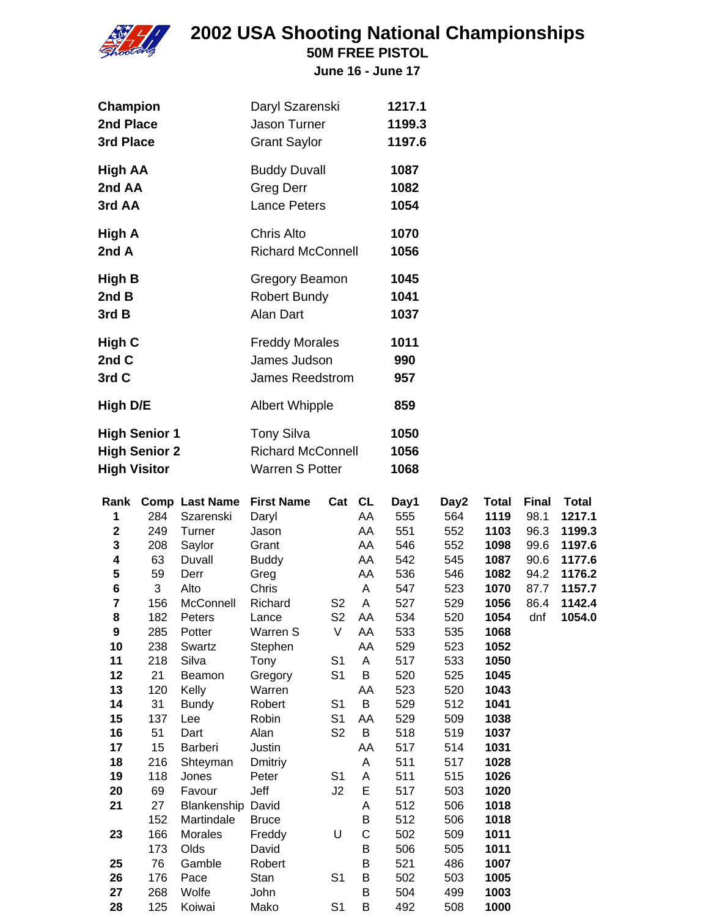

**50M FREE PISTOL**

| <b>Champion</b>      | Daryl Szarenski          | 1217.1 |
|----------------------|--------------------------|--------|
| 2nd Place            | <b>Jason Turner</b>      | 1199.3 |
| 3rd Place            | <b>Grant Saylor</b>      | 1197.6 |
| High AA              | <b>Buddy Duvall</b>      | 1087   |
| 2nd AA               | Greg Derr                | 1082   |
| 3rd AA               | <b>Lance Peters</b>      | 1054   |
| High A               | <b>Chris Alto</b>        | 1070   |
| 2nd A                | <b>Richard McConnell</b> | 1056   |
| High B               | Gregory Beamon           | 1045   |
| 2nd B                | <b>Robert Bundy</b>      | 1041   |
| 3rd B                | <b>Alan Dart</b>         | 1037   |
| High C               | <b>Freddy Morales</b>    | 1011   |
| 2nd C                | James Judson             | 990    |
| 3rd C                | <b>James Reedstrom</b>   | 957    |
| High D/E             | <b>Albert Whipple</b>    | 859    |
| <b>High Senior 1</b> | <b>Tony Silva</b>        | 1050   |
| <b>High Senior 2</b> | <b>Richard McConnell</b> | 1056   |
| <b>High Visitor</b>  | <b>Warren S Potter</b>   | 1068   |

| Rank        |     | <b>Comp Last Name</b>    | <b>First Name</b> | Cat            | <b>CL</b> | Day1 | Day2 | <b>Total</b> | <b>Final</b> | <b>Total</b> |
|-------------|-----|--------------------------|-------------------|----------------|-----------|------|------|--------------|--------------|--------------|
| 1           | 284 | Szarenski                | Daryl             |                | AA        | 555  | 564  | 1119         | 98.1         | 1217.1       |
| $\mathbf 2$ | 249 | Turner                   | Jason             |                | AA        | 551  | 552  | 1103         | 96.3         | 1199.3       |
| 3           | 208 | Saylor                   | Grant             |                | AA        | 546  | 552  | 1098         | 99.6         | 1197.6       |
| 4           | 63  | Duvall                   | <b>Buddy</b>      |                | AA        | 542  | 545  | 1087         | 90.6         | 1177.6       |
| 5           | 59  | Derr                     | Greg              |                | AA        | 536  | 546  | 1082         | 94.2         | 1176.2       |
| 6           | 3   | Alto                     | Chris             |                | A         | 547  | 523  | 1070         | 87.7         | 1157.7       |
| 7           | 156 | McConnell                | Richard           | S <sub>2</sub> | A         | 527  | 529  | 1056         | 86.4         | 1142.4       |
| 8           | 182 | Peters                   | Lance             | S <sub>2</sub> | AA        | 534  | 520  | 1054         | dnf          | 1054.0       |
| 9           | 285 | Potter                   | Warren S          | V              | AA        | 533  | 535  | 1068         |              |              |
| 10          | 238 | Swartz                   | Stephen           |                | AA        | 529  | 523  | 1052         |              |              |
| 11          | 218 | Silva                    | Tony              | S <sub>1</sub> | A         | 517  | 533  | 1050         |              |              |
| 12          | 21  | Beamon                   | Gregory           | S <sub>1</sub> | B         | 520  | 525  | 1045         |              |              |
| 13          | 120 | Kelly                    | Warren            |                | AA        | 523  | 520  | 1043         |              |              |
| 14          | 31  | <b>Bundy</b>             | Robert            | S <sub>1</sub> | B         | 529  | 512  | 1041         |              |              |
| 15          | 137 | Lee                      | Robin             | S <sub>1</sub> | AA        | 529  | 509  | 1038         |              |              |
| 16          | 51  | Dart                     | Alan              | S <sub>2</sub> | B         | 518  | 519  | 1037         |              |              |
| 17          | 15  | Barberi                  | Justin            |                | AA        | 517  | 514  | 1031         |              |              |
| 18          | 216 | Shteyman                 | Dmitriy           |                | A         | 511  | 517  | 1028         |              |              |
| 19          | 118 | Jones                    | Peter             | S <sub>1</sub> | A         | 511  | 515  | 1026         |              |              |
| 20          | 69  | Favour                   | Jeff              | J2             | E         | 517  | 503  | 1020         |              |              |
| 21          | 27  | <b>Blankenship David</b> |                   |                | A         | 512  | 506  | 1018         |              |              |
|             | 152 | Martindale               | <b>Bruce</b>      |                | B         | 512  | 506  | 1018         |              |              |
| 23          | 166 | Morales                  | Freddy            | U              | C         | 502  | 509  | 1011         |              |              |
|             | 173 | Olds                     | David             |                | B         | 506  | 505  | 1011         |              |              |
| 25          | 76  | Gamble                   | Robert            |                | B         | 521  | 486  | 1007         |              |              |
| 26          | 176 | Pace                     | Stan              | S <sub>1</sub> | B         | 502  | 503  | 1005         |              |              |
| 27          | 268 | Wolfe                    | John              |                | B         | 504  | 499  | 1003         |              |              |
| 28          | 125 | Koiwai                   | Mako              | S <sub>1</sub> | B         | 492  | 508  | 1000         |              |              |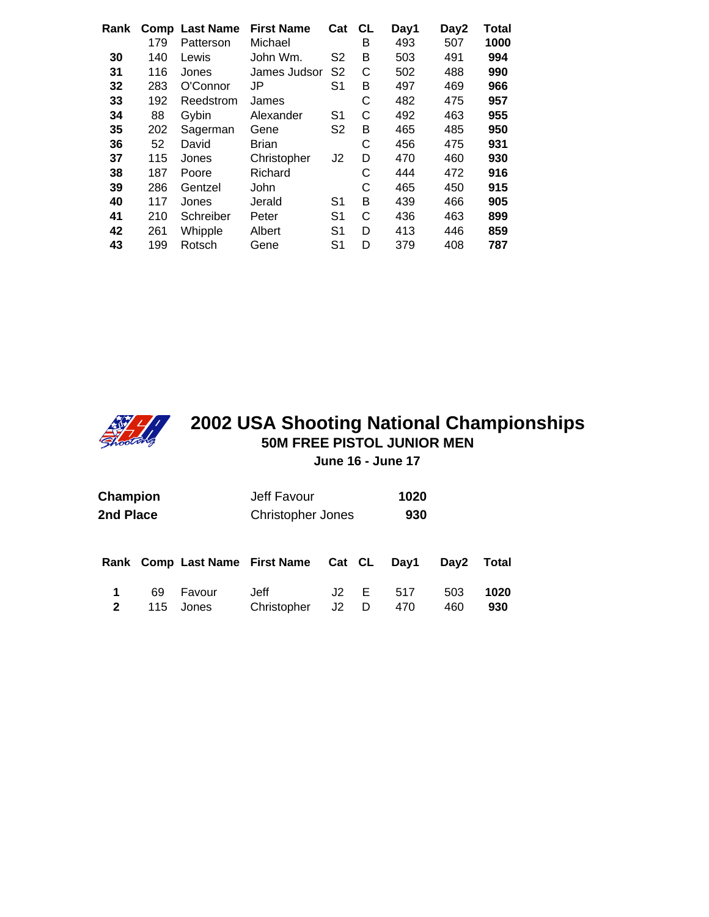| Rank | Comp<br>179 | <b>Last Name</b><br>Patterson | <b>First Name</b><br>Michael | Cat            | <b>CL</b><br>в | Day1<br>493 | Day2<br>507 | Total<br>1000 |
|------|-------------|-------------------------------|------------------------------|----------------|----------------|-------------|-------------|---------------|
| 30   | 140         | Lewis                         | John Wm.                     | S <sub>2</sub> | в              | 503         | 491         | 994           |
|      |             |                               |                              |                |                |             |             |               |
| 31   | 116         | Jones                         | James Judsor                 | S <sub>2</sub> | С              | 502         | 488         | 990           |
| 32   | 283         | O'Connor                      | JP                           | S <sub>1</sub> | B              | 497         | 469         | 966           |
| 33   | 192         | Reedstrom                     | James                        |                | С              | 482         | 475         | 957           |
| 34   | 88          | Gybin                         | Alexander                    | S <sub>1</sub> | С              | 492         | 463         | 955           |
| 35   | 202         | Sagerman                      | Gene                         | S <sub>2</sub> | в              | 465         | 485         | 950           |
| 36   | 52          | David                         | Brian                        |                | С              | 456         | 475         | 931           |
| 37   | 115         | Jones                         | Christopher                  | J <sub>2</sub> | D              | 470         | 460         | 930           |
| 38   | 187         | Poore                         | Richard                      |                | С              | 444         | 472         | 916           |
| 39   | 286         | Gentzel                       | John                         |                | С              | 465         | 450         | 915           |
| 40   | 117         | Jones                         | Jerald                       | S <sub>1</sub> | в              | 439         | 466         | 905           |
| 41   | 210         | Schreiber                     | Peter                        | S <sub>1</sub> | С              | 436         | 463         | 899           |
| 42   | 261         | Whipple                       | Albert                       | S <sub>1</sub> | D              | 413         | 446         | 859           |
| 43   | 199         | Rotsch                        | Gene                         | S <sub>1</sub> | D              | 379         | 408         | 787           |
|      |             |                               |                              |                |                |             |             |               |



#### **2002 USA Shooting National Championships 50M FREE PISTOL JUNIOR MEN June 16 - June 17**

| Champion<br>2nd Place |     | Jeff Favour<br><b>Christopher Jones</b> |                                       | 1020<br>930 |   |      |                  |       |
|-----------------------|-----|-----------------------------------------|---------------------------------------|-------------|---|------|------------------|-------|
|                       |     |                                         | Rank Comp Last Name First Name Cat CL |             |   | Day1 | Dav <sub>2</sub> | Total |
|                       | 69  | Favour                                  | Jeff                                  | J2          | Е | 517  | 503              | 1020  |
| $\mathbf{2}$          | 115 | Jones                                   | Christopher                           | J2          | D | 470  | 460              | 930   |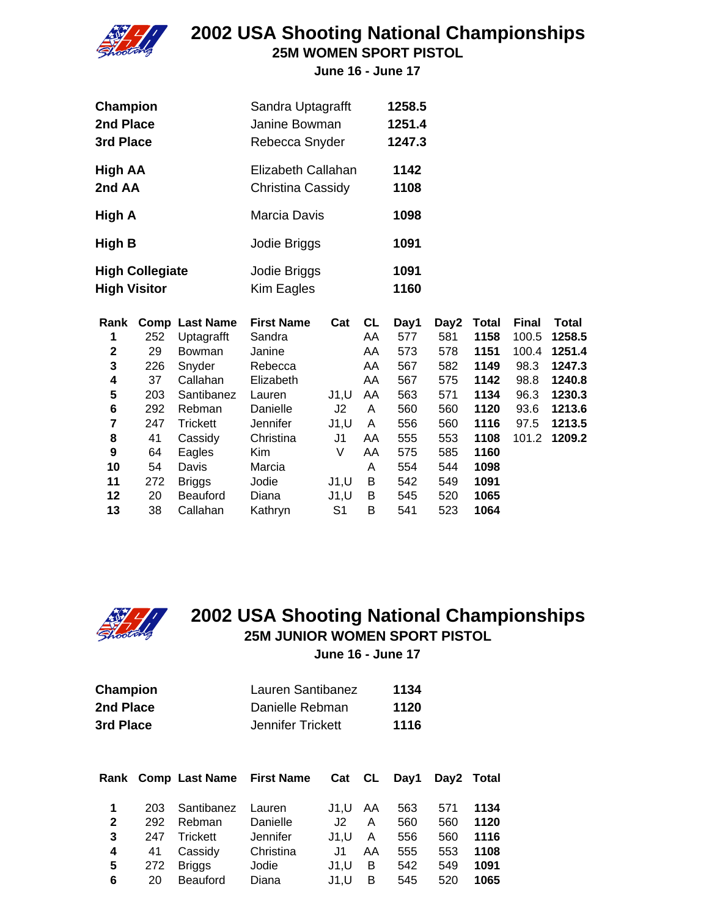

**25M WOMEN SPORT PISTOL**

**June 16 - June 17**

| Champion                 | Sandra Uptagrafft                       | 1258.5       |
|--------------------------|-----------------------------------------|--------------|
| 2nd Place                | Janine Bowman                           | 1251.4       |
| 3rd Place                | Rebecca Snyder                          | 1247.3       |
| <b>High AA</b><br>2nd AA | Elizabeth Callahan<br>Christina Cassidy | 1142<br>1108 |
|                          |                                         |              |
| High A                   | Marcia Davis                            | 1098         |
| High B                   | Jodie Briggs                            | 1091         |
| <b>High Collegiate</b>   | Jodie Briggs                            | 1091         |
| <b>High Visitor</b>      | Kim Eagles                              | 1160         |

| Rank |     | <b>Comp Last Name</b> | <b>First Name</b> | Cat   | <b>CL</b> | Day1 | Day2 | <b>Total</b> | <b>Final</b> | Total  |
|------|-----|-----------------------|-------------------|-------|-----------|------|------|--------------|--------------|--------|
| 1    | 252 | Uptagrafft            | Sandra            |       | AA        | 577  | 581  | 1158         | 100.5        | 1258.5 |
| 2    | 29  | <b>Bowman</b>         | Janine            |       | AA        | 573  | 578  | 1151         | 100.4        | 1251.4 |
| 3    | 226 | Snyder                | Rebecca           |       | AA        | 567  | 582  | 1149         | 98.3         | 1247.3 |
| 4    | 37  | Callahan              | Elizabeth         |       | AA        | 567  | 575  | 1142         | 98.8         | 1240.8 |
| 5    | 203 | Santibanez            | Lauren            | J1, U | AA        | 563  | 571  | 1134         | 96.3         | 1230.3 |
| 6    | 292 | Rebman                | Danielle          | J2    | A         | 560  | 560  | 1120         | 93.6         | 1213.6 |
| 7    | 247 | <b>Trickett</b>       | <b>Jennifer</b>   | J1, U | A         | 556  | 560  | 1116         | 97.5         | 1213.5 |
| 8    | 41  | Cassidy               | Christina         | J1    | AA        | 555  | 553  | 1108         | 101.2        | 1209.2 |
| 9    | 64  | Eagles                | Kim               | V     | AA        | 575  | 585  | 1160         |              |        |
| 10   | 54  | Davis                 | Marcia            |       | A         | 554  | 544  | 1098         |              |        |
| 11   | 272 | <b>Briggs</b>         | Jodie             | J1, U | B         | 542  | 549  | 1091         |              |        |
| 12   | 20  | <b>Beauford</b>       | Diana             | J1, U | B         | 545  | 520  | 1065         |              |        |
| 13   | 38  | Callahan              | Kathryn           | S1    | B         | 541  | 523  | 1064         |              |        |



#### **2002 USA Shooting National Championships 25M JUNIOR WOMEN SPORT PISTOL June 16 - June 17**

| Champion  | Lauren Santibanez | 1134 |
|-----------|-------------------|------|
| 2nd Place | Danielle Rebman   | 1120 |
| 3rd Place | Jennifer Trickett | 1116 |

|              |     |                 | Rank Comp Last Name First Name | Cat CL |    | Day1 |     | Day2 Total |
|--------------|-----|-----------------|--------------------------------|--------|----|------|-----|------------|
| 1            | 203 | Santibanez      | Lauren                         | J1.U   | AA | 563  | 571 | 1134       |
| $\mathbf{2}$ | 292 | Rebman          | Danielle                       | J2.    | A  | 560  | 560 | 1120       |
| 3            | 247 | Trickett        | Jennifer                       | J1.U   | A  | 556  | 560 | 1116       |
| 4            | 41  | Cassidy         | Christina                      | .J1    | AA | 555  | 553 | 1108       |
| 5            | 272 | <b>Briggs</b>   | Jodie                          | J1.U   | B  | 542  | 549 | 1091       |
| 6            | 20  | <b>Beauford</b> | Diana                          | J1.U   | В  | 545  | 520 | 1065       |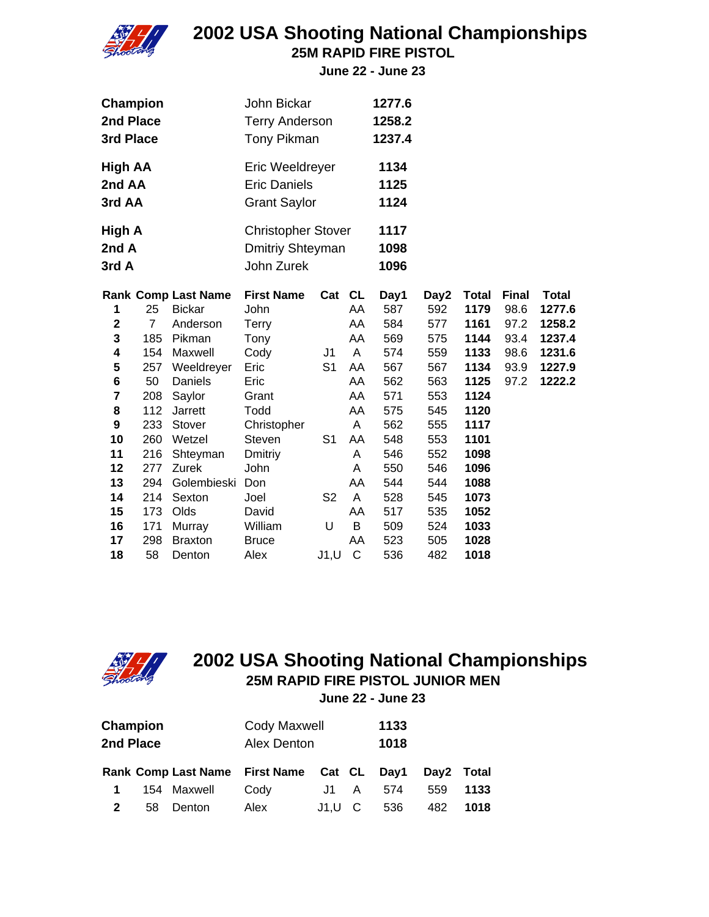

**25M RAPID FIRE PISTOL**

**June 22 - June 23**

| Champion       |                |                            | John Bickar               |                |    | 1277.6 |      |              |              |              |
|----------------|----------------|----------------------------|---------------------------|----------------|----|--------|------|--------------|--------------|--------------|
| 2nd Place      |                |                            | <b>Terry Anderson</b>     |                |    | 1258.2 |      |              |              |              |
| 3rd Place      |                |                            | <b>Tony Pikman</b>        |                |    | 1237.4 |      |              |              |              |
| <b>High AA</b> |                |                            | Eric Weeldreyer           |                |    | 1134   |      |              |              |              |
| 2nd AA         |                |                            | <b>Eric Daniels</b>       |                |    | 1125   |      |              |              |              |
| 3rd AA         |                |                            | <b>Grant Saylor</b>       |                |    | 1124   |      |              |              |              |
| High A         |                |                            | <b>Christopher Stover</b> |                |    | 1117   |      |              |              |              |
| 2nd A          |                |                            | Dmitriy Shteyman          |                |    | 1098   |      |              |              |              |
| 3rd A          |                |                            | John Zurek                |                |    | 1096   |      |              |              |              |
|                |                | <b>Rank Comp Last Name</b> | <b>First Name</b>         | Cat CL         |    | Day1   | Day2 | <b>Total</b> | <b>Final</b> | <b>Total</b> |
| 1              | 25             | <b>Bickar</b>              | John                      |                | AA | 587    | 592  | 1179         | 98.6         | 1277.6       |
| $\mathbf 2$    | $\overline{7}$ | Anderson                   | <b>Terry</b>              |                | AA | 584    | 577  | 1161         | 97.2         | 1258.2       |
| 3              | 185            | Pikman                     | Tony                      |                | AA | 569    | 575  | 1144         | 93.4         | 1237.4       |
| 4              | 154            | Maxwell                    | Cody                      | J1             | A  | 574    | 559  | 1133         | 98.6         | 1231.6       |
| 5              | 257            | Weeldreyer                 | Eric                      | S <sub>1</sub> | AA | 567    | 567  | 1134         | 93.9         | 1227.9       |
| 6              | 50             | Daniels                    | Eric                      |                | AA | 562    | 563  | 1125         | 97.2         | 1222.2       |
| 7              | 208            | Saylor                     | Grant                     |                | AA | 571    | 553  | 1124         |              |              |
| 8              | 112            | Jarrett                    | Todd                      |                | AA | 575    | 545  | 1120         |              |              |
| 9              | 233            | Stover                     | Christopher               |                | A  | 562    | 555  | 1117         |              |              |
| 10             | 260            | Wetzel                     | Steven                    | S <sub>1</sub> | AA | 548    | 553  | 1101         |              |              |
| 11             | 216            | Shteyman                   | Dmitriy                   |                | Α  | 546    | 552  | 1098         |              |              |
| 12             | 277            | Zurek                      | John                      |                | A  | 550    | 546  | 1096         |              |              |
| 13             | 294            | Golembieski                | Don                       |                | AA | 544    | 544  | 1088         |              |              |
| 14             | 214            | Sexton                     | Joel                      | S <sub>2</sub> | A  | 528    | 545  | 1073         |              |              |
| 15             | 173            | Olds                       | David                     |                | AA | 517    | 535  | 1052         |              |              |
| 16             | 171            | Murray                     | William                   | U              | B  | 509    | 524  | 1033         |              |              |
| 17             | 298            | <b>Braxton</b>             | <b>Bruce</b>              |                | AA | 523    | 505  | 1028         |              |              |
| 18             | 58             | Denton                     | Alex                      | J1, U          | C  | 536    | 482  | 1018         |              |              |



### **25M RAPID FIRE PISTOL JUNIOR MEN 2002 USA Shooting National Championships**

**June 22 - June 23**

| Champion  |    |             | Cody Maxwell                               |      | 1133                                                                                                                                                                                                                           |     |            |      |  |
|-----------|----|-------------|--------------------------------------------|------|--------------------------------------------------------------------------------------------------------------------------------------------------------------------------------------------------------------------------------|-----|------------|------|--|
| 2nd Place |    |             | Alex Denton                                | 1018 |                                                                                                                                                                                                                                |     |            |      |  |
|           |    |             | Rank Comp Last Name First Name Cat CL Day1 |      |                                                                                                                                                                                                                                |     | Day2 Total |      |  |
|           |    | 154 Maxwell | Cody                                       | J1   | A and a set of the set of the set of the set of the set of the set of the set of the set of the set of the set of the set of the set of the set of the set of the set of the set of the set of the set of the set of the set o | 574 | 559        | 1133 |  |
|           | 58 | Denton      | Alex                                       | J1.U |                                                                                                                                                                                                                                | 536 | 482        | 1018 |  |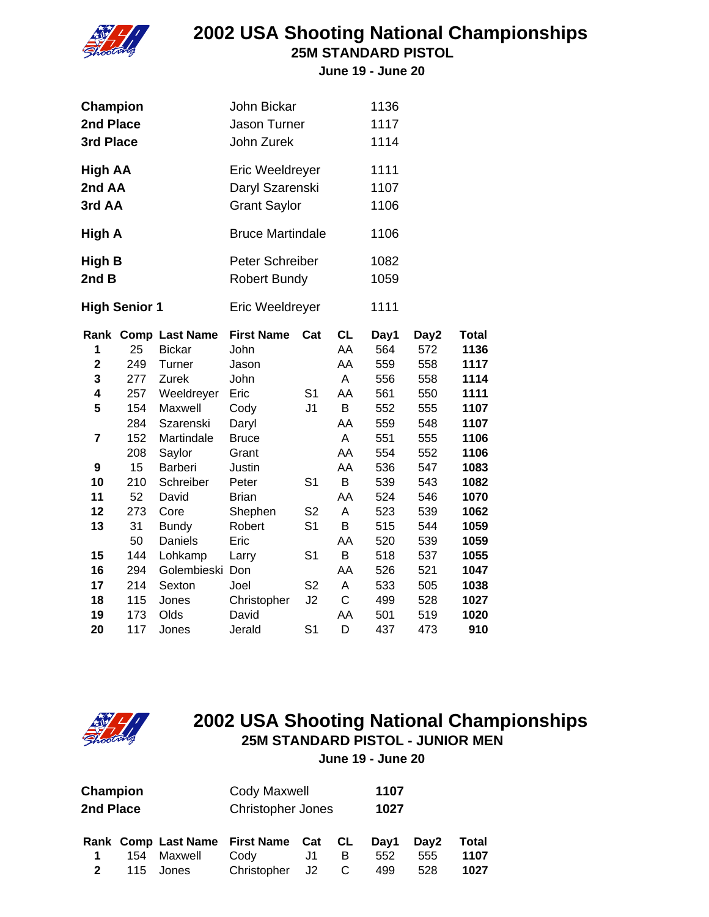

**25M STANDARD PISTOL**

**June 19 - June 20**

| Champion<br>2nd Place<br>3rd Place          |                                |                                                                                  | John Bickar<br>Jason Turner<br>John Zurek                  |                                                    |                                       | 1136<br>1117<br>1114                    |                                         |                                                      |
|---------------------------------------------|--------------------------------|----------------------------------------------------------------------------------|------------------------------------------------------------|----------------------------------------------------|---------------------------------------|-----------------------------------------|-----------------------------------------|------------------------------------------------------|
| High AA<br>2nd AA<br>3rd AA                 |                                |                                                                                  | Eric Weeldreyer<br>Daryl Szarenski<br><b>Grant Saylor</b>  |                                                    |                                       | 1111<br>1107<br>1106                    |                                         |                                                      |
| High A                                      |                                |                                                                                  | <b>Bruce Martindale</b>                                    |                                                    |                                       | 1106                                    |                                         |                                                      |
| High B<br>2nd B                             |                                |                                                                                  | Peter Schreiber<br><b>Robert Bundy</b>                     |                                                    |                                       | 1082<br>1059                            |                                         |                                                      |
|                                             | <b>High Senior 1</b>           |                                                                                  | Eric Weeldreyer                                            |                                                    |                                       | 1111                                    |                                         |                                                      |
| 1<br>$\overline{\mathbf{c}}$<br>3<br>4<br>5 | 25<br>249<br>277<br>257<br>154 | Rank Comp Last Name<br><b>Bickar</b><br>Turner<br>Zurek<br>Weeldreyer<br>Maxwell | <b>First Name</b><br>John<br>Jason<br>John<br>Eric<br>Cody | Cat<br>S <sub>1</sub><br>J <sub>1</sub>            | <b>CL</b><br>AA<br>AA<br>A<br>AA<br>B | Day1<br>564<br>559<br>556<br>561<br>552 | Day2<br>572<br>558<br>558<br>550<br>555 | <b>Total</b><br>1136<br>1117<br>1114<br>1111<br>1107 |
| $\overline{\mathbf{r}}$<br>9                | 284<br>152<br>208<br>15        | Szarenski<br>Martindale<br>Saylor<br>Barberi                                     | Daryl<br><b>Bruce</b><br>Grant<br>Justin                   |                                                    | AA<br>A<br>AA<br>AA                   | 559<br>551<br>554<br>536                | 548<br>555<br>552<br>547                | 1107<br>1106<br>1106<br>1083                         |
| 10<br>11<br>12<br>13                        | 210<br>52<br>273<br>31         | Schreiber<br>David<br>Core<br><b>Bundy</b>                                       | Peter<br><b>Brian</b><br>Shephen<br>Robert                 | S <sub>1</sub><br>S <sub>2</sub><br>S <sub>1</sub> | B<br>AA<br>A<br>B                     | 539<br>524<br>523<br>515                | 543<br>546<br>539<br>544                | 1082<br>1070<br>1062<br>1059                         |
| 15<br>16<br>17                              | 50<br>144<br>294<br>214        | Daniels<br>Lohkamp<br>Golembieski Don<br>Sexton                                  | Eric<br>Larry<br>Joel                                      | S <sub>1</sub><br>S <sub>2</sub>                   | AA<br>B<br>AA<br>A                    | 520<br>518<br>526<br>533                | 539<br>537<br>521<br>505                | 1059<br>1055<br>1047<br>1038                         |
| 18<br>19<br>20                              | 115<br>173<br>117              | Jones<br>Olds<br>Jones                                                           | Christopher<br>David<br>Jerald                             | J2<br>S <sub>1</sub>                               | $\mathsf C$<br>AA<br>D                | 499<br>501<br>437                       | 528<br>519<br>473                       | 1027<br>1020<br>910                                  |



#### **2002 USA Shooting National Championships 25M STANDARD PISTOL - JUNIOR MEN June 19 - June 20**

**Champion** Cody Maxwell **1107 2nd Place** Christopher Jones **1027 Rank Comp Last Name First Name Cat CL Day1 Day2 Total 1** 154 Maxwell Cody J1 B 552 555 **1107**

**2** 115 Jones Christopher J2 C 499 528 **1027**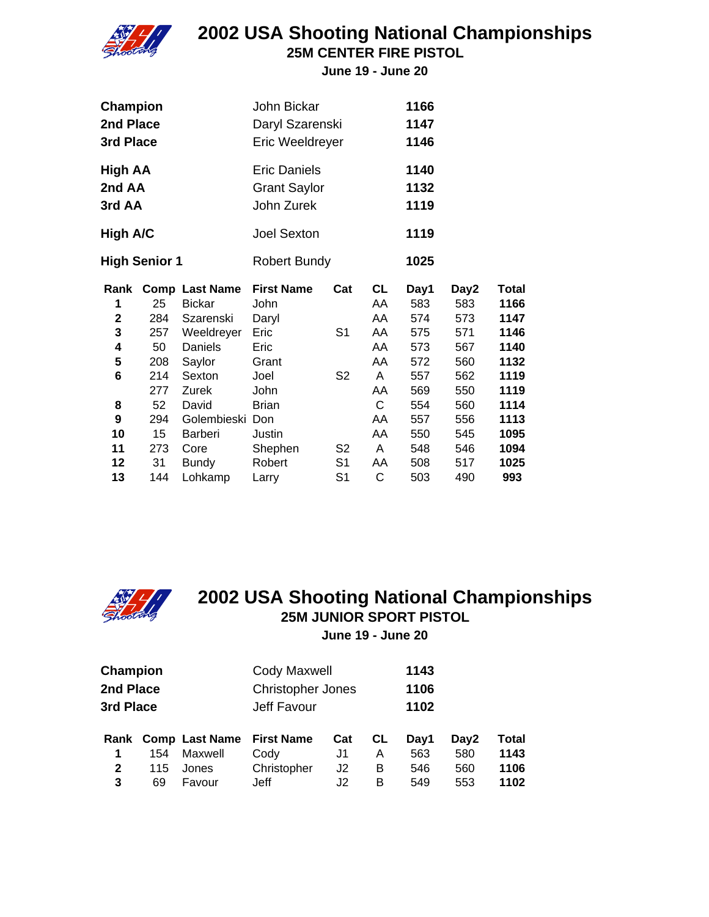

**25M CENTER FIRE PISTOL**

**June 19 - June 20**

| <b>Champion</b><br>2nd Place<br>3rd Place |     | John Bickar<br>Daryl Szarenski<br>Eric Weeldreyer |                                                          |                | 1166<br>1147<br>1146 |                      |      |       |  |
|-------------------------------------------|-----|---------------------------------------------------|----------------------------------------------------------|----------------|----------------------|----------------------|------|-------|--|
| High AA<br>2nd AA<br>3rd AA               |     |                                                   | <b>Eric Daniels</b><br><b>Grant Saylor</b><br>John Zurek |                |                      | 1140<br>1132<br>1119 |      |       |  |
| High A/C                                  |     | <b>Joel Sexton</b>                                |                                                          |                | 1119                 |                      |      |       |  |
| <b>High Senior 1</b>                      |     | <b>Robert Bundy</b>                               |                                                          |                | 1025                 |                      |      |       |  |
| Rank                                      |     | <b>Comp Last Name</b>                             | <b>First Name</b>                                        | Cat            | CL                   | Day1                 | Day2 | Total |  |
| 1                                         | 25  | <b>Bickar</b>                                     | John                                                     |                | AA                   | 583                  | 583  | 1166  |  |
| $\mathbf 2$                               | 284 | Szarenski                                         | Daryl                                                    |                | AA                   | 574                  | 573  | 1147  |  |
| 3                                         | 257 | Weeldreyer                                        | Eric                                                     | S <sub>1</sub> | AA                   | 575                  | 571  | 1146  |  |
| 4                                         | 50  | Daniels                                           | Eric                                                     |                | AA                   | 573                  | 567  | 1140  |  |
| 5                                         | 208 | Saylor                                            | Grant                                                    |                | AA                   | 572                  | 560  | 1132  |  |
| 6                                         | 214 | Sexton                                            | Joel                                                     | S <sub>2</sub> | A                    | 557                  | 562  | 1119  |  |
|                                           | 277 | Zurek                                             | <b>John</b>                                              |                | AA                   | 569                  | 550  | 1119  |  |
| 8                                         | 52  | David                                             | <b>Brian</b>                                             |                | C                    | 554                  | 560  | 1114  |  |
| 9                                         | 294 | Golembieski Don                                   |                                                          |                | AA                   | 557                  | 556  | 1113  |  |
| 10                                        | 15  | Barberi                                           | Justin                                                   |                | AA                   | 550                  | 545  | 1095  |  |
| 11                                        | 273 | Core                                              | Shephen                                                  | S <sub>2</sub> | A                    | 548                  | 546  | 1094  |  |
| 12                                        | 31  | Bundy                                             | Robert                                                   | S <sub>1</sub> | AA                   | 508                  | 517  | 1025  |  |
| 13                                        | 144 | Lohkamp                                           | Larry                                                    | S <sub>1</sub> | C                    | 503                  | 490  | 993   |  |



#### **2002 USA Shooting National Championships 25M JUNIOR SPORT PISTOL June 19 - June 20**

| <b>Champion</b> |     |                     | Cody Maxwell             |     | 1143 |      |      |       |  |
|-----------------|-----|---------------------|--------------------------|-----|------|------|------|-------|--|
| 2nd Place       |     |                     | <b>Christopher Jones</b> |     | 1106 |      |      |       |  |
| 3rd Place       |     |                     | Jeff Favour              |     | 1102 |      |      |       |  |
|                 |     | Rank Comp Last Name | <b>First Name</b>        | Cat | CL   | Day1 | Day2 | Total |  |
| 1               | 154 | Maxwell             | Cody                     | J1  | A    | 563  | 580  | 1143  |  |
| $\mathbf{2}$    | 115 | Jones               | Christopher              | J2  | в    | 546  | 560  | 1106  |  |
| 3               | 69  | Favour              | Jeff                     | J2  | в    | 549  | 553  | 1102  |  |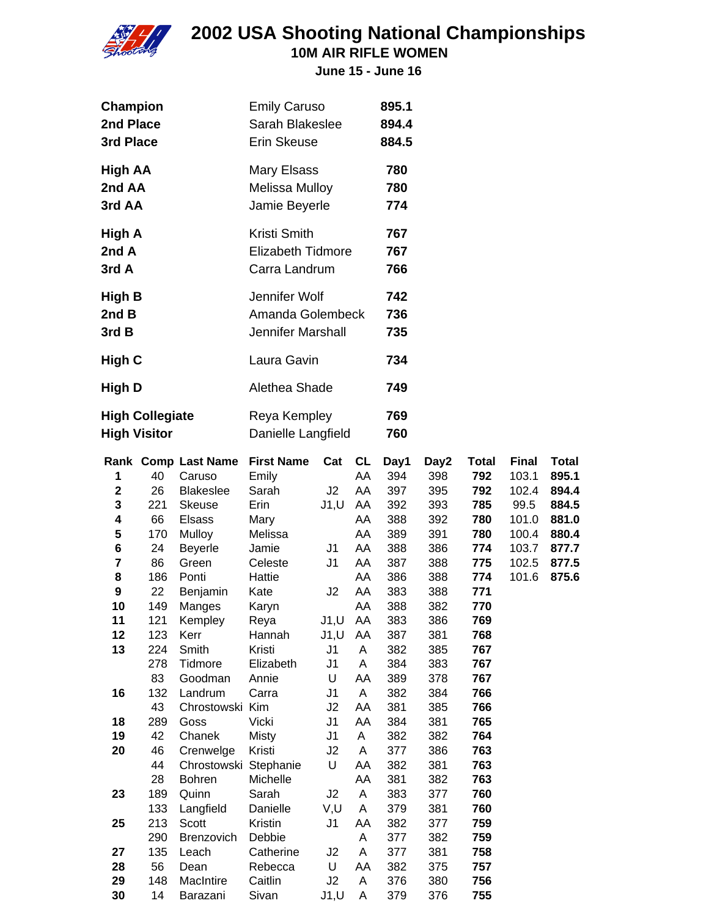

**10M AIR RIFLE WOMEN**

| Champion               | <b>Emily Caruso</b>      | 895.1 |
|------------------------|--------------------------|-------|
| 2nd Place              | Sarah Blakeslee          | 894.4 |
| 3rd Place              | Erin Skeuse              | 884.5 |
| <b>High AA</b>         | Mary Elsass              | 780   |
| 2nd AA                 | Melissa Mulloy           | 780   |
| 3rd AA                 | Jamie Beyerle            | 774   |
| High A                 | Kristi Smith             | 767   |
| 2nd A                  | <b>Elizabeth Tidmore</b> | 767   |
| 3rd A                  | Carra Landrum            | 766   |
| <b>High B</b>          | Jennifer Wolf            | 742   |
| 2nd B                  | Amanda Golembeck         | 736   |
| 3rd B                  | Jennifer Marshall        | 735   |
| High C                 | Laura Gavin              | 734   |
| High D                 | Alethea Shade            | 749   |
| <b>High Collegiate</b> | Reya Kempley             | 769   |
| <b>High Visitor</b>    | Danielle Langfield       | 760   |

|                         |     | <b>Rank Comp Last Name</b> | <b>First Name</b> | Cat            | <b>CL</b> | Day1 | Day2 | <b>Total</b> | <b>Final</b> | <b>Total</b> |
|-------------------------|-----|----------------------------|-------------------|----------------|-----------|------|------|--------------|--------------|--------------|
| 1                       | 40  | Caruso                     | Emily             |                | AA        | 394  | 398  | 792          | 103.1        | 895.1        |
| $\mathbf 2$             | 26  | <b>Blakeslee</b>           | Sarah             | J2             | AA        | 397  | 395  | 792          | 102.4        | 894.4        |
| 3                       | 221 | <b>Skeuse</b>              | Erin              | J1, U          | AA        | 392  | 393  | 785          | 99.5         | 884.5        |
| $\overline{\mathbf{4}}$ | 66  | <b>Elsass</b>              | Mary              |                | AA        | 388  | 392  | 780          | 101.0        | 881.0        |
| 5                       | 170 | Mulloy                     | Melissa           |                | AA        | 389  | 391  | 780          | 100.4        | 880.4        |
| 6                       | 24  | <b>Beyerle</b>             | Jamie             | J <sub>1</sub> | AA        | 388  | 386  | 774          | 103.7        | 877.7        |
| $\overline{\mathbf{r}}$ | 86  | Green                      | Celeste           | J <sub>1</sub> | AA        | 387  | 388  | 775          | 102.5        | 877.5        |
| 8                       | 186 | Ponti                      | Hattie            |                | AA        | 386  | 388  | 774          | 101.6        | 875.6        |
| $\boldsymbol{9}$        | 22  | Benjamin                   | Kate              | J <sub>2</sub> | AA        | 383  | 388  | 771          |              |              |
| 10                      | 149 | Manges                     | Karyn             |                | AA        | 388  | 382  | 770          |              |              |
| 11                      | 121 | Kempley                    | Reya              | J1, U          | AA        | 383  | 386  | 769          |              |              |
| 12                      | 123 | Kerr                       | Hannah            | J1, U          | AA        | 387  | 381  | 768          |              |              |
| 13                      | 224 | Smith                      | Kristi            | J <sub>1</sub> | A         | 382  | 385  | 767          |              |              |
|                         | 278 | Tidmore                    | Elizabeth         | J1             | A         | 384  | 383  | 767          |              |              |
|                         | 83  | Goodman                    | Annie             | U              | AA        | 389  | 378  | 767          |              |              |
| 16                      | 132 | Landrum                    | Carra             | J <sub>1</sub> | A         | 382  | 384  | 766          |              |              |
|                         | 43  | Chrostowski                | Kim               | J2             | AA        | 381  | 385  | 766          |              |              |
| 18                      | 289 | Goss                       | Vicki             | J <sub>1</sub> | AA        | 384  | 381  | 765          |              |              |
| 19                      | 42  | Chanek                     | <b>Misty</b>      | J1             | A         | 382  | 382  | 764          |              |              |
| 20                      | 46  | Crenwelge                  | Kristi            | J2             | A         | 377  | 386  | 763          |              |              |
|                         | 44  | Chrostowski                | Stephanie         | U              | AA        | 382  | 381  | 763          |              |              |
|                         | 28  | <b>Bohren</b>              | Michelle          |                | AA        | 381  | 382  | 763          |              |              |
| 23                      | 189 | Quinn                      | Sarah             | J2             | A         | 383  | 377  | 760          |              |              |
|                         | 133 | Langfield                  | Danielle          | V,U            | A         | 379  | 381  | 760          |              |              |
| 25                      | 213 | Scott                      | Kristin           | J <sub>1</sub> | AA        | 382  | 377  | 759          |              |              |
|                         | 290 | Brenzovich                 | Debbie            |                | A         | 377  | 382  | 759          |              |              |
| 27                      | 135 | Leach                      | Catherine         | J2             | A         | 377  | 381  | 758          |              |              |
| 28                      | 56  | Dean                       | Rebecca           | U              | AA        | 382  | 375  | 757          |              |              |
| 29                      | 148 | MacIntire                  | Caitlin           | J2             | A         | 376  | 380  | 756          |              |              |
| 30                      | 14  | Barazani                   | Sivan             | J1, U          | A         | 379  | 376  | 755          |              |              |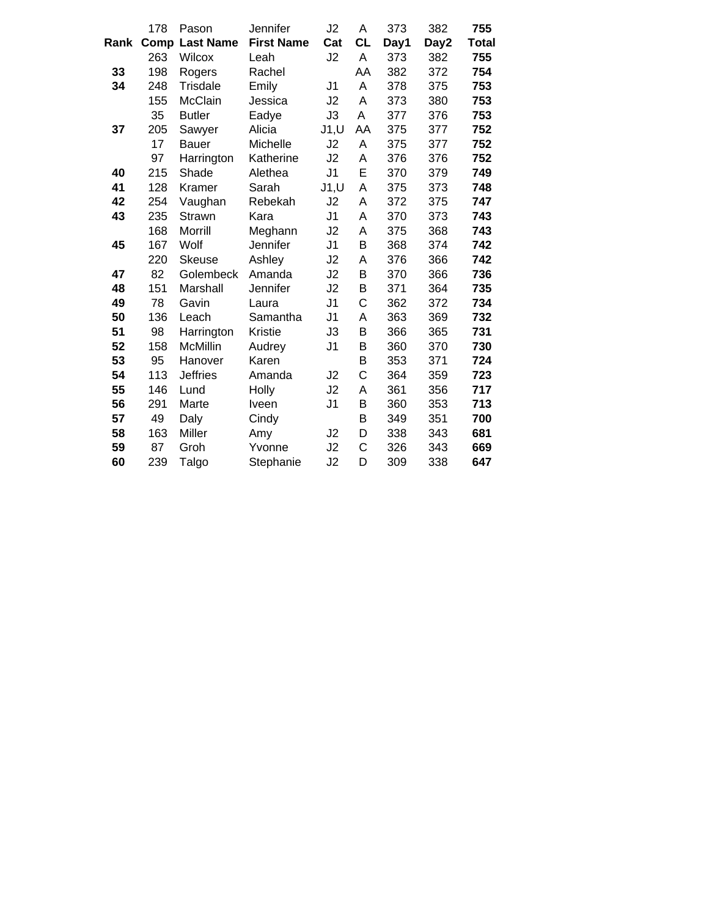|      | 178  | Pason            | Jennifer          | J2             | Α            | 373  | 382  | 755          |
|------|------|------------------|-------------------|----------------|--------------|------|------|--------------|
| Rank | Comp | <b>Last Name</b> | <b>First Name</b> | Cat            | <b>CL</b>    | Day1 | Day2 | <b>Total</b> |
|      | 263  | <b>Wilcox</b>    | Leah              | J2             | Α            | 373  | 382  | 755          |
| 33   | 198  | Rogers           | Rachel            |                | AA           | 382  | 372  | 754          |
| 34   | 248  | <b>Trisdale</b>  | Emily             | J <sub>1</sub> | A            | 378  | 375  | 753          |
|      | 155  | McClain          | Jessica           | J2             | A            | 373  | 380  | 753          |
|      | 35   | <b>Butler</b>    | Eadye             | J3             | Α            | 377  | 376  | 753          |
| 37   | 205  | Sawyer           | Alicia            | J1, U          | AA           | 375  | 377  | 752          |
|      | 17   | <b>Bauer</b>     | Michelle          | J2             | Α            | 375  | 377  | 752          |
|      | 97   | Harrington       | Katherine         | J2             | Α            | 376  | 376  | 752          |
| 40   | 215  | Shade            | Alethea           | J <sub>1</sub> | E            | 370  | 379  | 749          |
| 41   | 128  | Kramer           | Sarah             | J1, U          | A            | 375  | 373  | 748          |
| 42   | 254  | Vaughan          | Rebekah           | J2             | A            | 372  | 375  | 747          |
| 43   | 235  | Strawn           | Kara              | J <sub>1</sub> | A            | 370  | 373  | 743          |
|      | 168  | Morrill          | Meghann           | J2             | A            | 375  | 368  | 743          |
| 45   | 167  | Wolf             | Jennifer          | J <sub>1</sub> | B            | 368  | 374  | 742          |
|      | 220  | Skeuse           | Ashley            | J2             | A            | 376  | 366  | 742          |
| 47   | 82   | Golembeck        | Amanda            | J2             | B            | 370  | 366  | 736          |
| 48   | 151  | Marshall         | Jennifer          | J2             | B            | 371  | 364  | 735          |
| 49   | 78   | Gavin            | Laura             | J <sub>1</sub> | C            | 362  | 372  | 734          |
| 50   | 136  | Leach            | Samantha          | J <sub>1</sub> | Α            | 363  | 369  | 732          |
| 51   | 98   | Harrington       | <b>Kristie</b>    | J3             | B            | 366  | 365  | 731          |
| 52   | 158  | <b>McMillin</b>  | Audrey            | J <sub>1</sub> | B            | 360  | 370  | 730          |
| 53   | 95   | Hanover          | Karen             |                | B            | 353  | 371  | 724          |
| 54   | 113  | <b>Jeffries</b>  | Amanda            | J2             | $\mathsf{C}$ | 364  | 359  | 723          |
| 55   | 146  | Lund             | Holly             | J2             | А            | 361  | 356  | 717          |
| 56   | 291  | Marte            | Iveen             | J <sub>1</sub> | B            | 360  | 353  | 713          |
| 57   | 49   | Daly             | Cindy             |                | B            | 349  | 351  | 700          |
| 58   | 163  | Miller           | Amy               | J2             | D            | 338  | 343  | 681          |
| 59   | 87   | Groh             | Yvonne            | J2             | C            | 326  | 343  | 669          |
| 60   | 239  | Talgo            | Stephanie         | J2             | D            | 309  | 338  | 647          |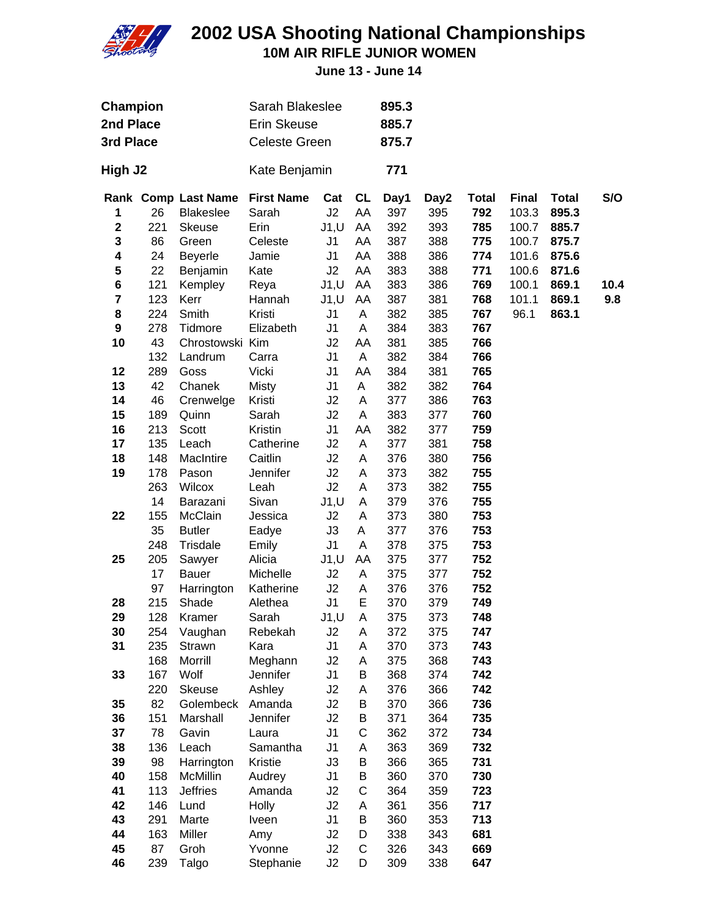

**10M AIR RIFLE JUNIOR WOMEN**

| Champion<br>2nd Place<br>3rd Place |     |                                         | Sarah Blakeslee<br><b>Erin Skeuse</b><br><b>Celeste Green</b> |                |                 | 895.3<br>885.7<br>875.7 |             |                     |                       |                       |      |
|------------------------------------|-----|-----------------------------------------|---------------------------------------------------------------|----------------|-----------------|-------------------------|-------------|---------------------|-----------------------|-----------------------|------|
| High J2                            |     |                                         | Kate Benjamin                                                 |                |                 | 771                     |             |                     |                       |                       |      |
| 1                                  | 26  | Rank Comp Last Name<br><b>Blakeslee</b> | <b>First Name</b><br>Sarah                                    | Cat<br>J2      | <b>CL</b><br>AA | Day1<br>397             | Day2<br>395 | <b>Total</b><br>792 | <b>Final</b><br>103.3 | <b>Total</b><br>895.3 | S/O  |
| $\mathbf 2$                        | 221 | Skeuse                                  | Erin                                                          | J1, U          | AA              | 392                     | 393         | 785                 | 100.7                 | 885.7                 |      |
| 3                                  | 86  | Green                                   | Celeste                                                       | J <sub>1</sub> | AA              | 387                     | 388         | 775                 | 100.7                 | 875.7                 |      |
| 4                                  | 24  | <b>Beyerle</b>                          | Jamie                                                         | J <sub>1</sub> | AA              | 388                     | 386         | 774                 | 101.6                 | 875.6                 |      |
| 5                                  | 22  | Benjamin                                | Kate                                                          | J2             | AA              | 383                     | 388         | 771                 | 100.6                 | 871.6                 |      |
| 6                                  | 121 | Kempley                                 | Reya                                                          | J1, U          | AA              | 383                     | 386         | 769                 | 100.1                 | 869.1                 | 10.4 |
| 7                                  | 123 | Kerr                                    | Hannah                                                        | J1, U          | AA              | 387                     | 381         | 768                 | 101.1                 | 869.1                 | 9.8  |
| 8                                  | 224 | Smith                                   | Kristi                                                        | J <sub>1</sub> | A               | 382                     | 385         | 767                 | 96.1                  | 863.1                 |      |
| 9                                  | 278 | Tidmore                                 | Elizabeth                                                     | J1             | A               | 384                     | 383         | 767                 |                       |                       |      |
| 10                                 | 43  | Chrostowski Kim                         |                                                               | J2             | AA              | 381                     | 385         | 766                 |                       |                       |      |
|                                    | 132 | Landrum                                 | Carra                                                         | J1             | A               | 382                     | 384         | 766                 |                       |                       |      |
| 12                                 | 289 | Goss                                    | Vicki                                                         | J <sub>1</sub> | AA              | 384                     | 381         | 765                 |                       |                       |      |
| 13                                 | 42  | Chanek                                  | <b>Misty</b>                                                  | J <sub>1</sub> | A               | 382                     | 382         | 764                 |                       |                       |      |
| 14                                 | 46  | Crenwelge                               | Kristi                                                        | J2             | A               | 377                     | 386         | 763                 |                       |                       |      |
| 15                                 | 189 | Quinn                                   | Sarah                                                         | J2             | Α               | 383                     | 377         | 760                 |                       |                       |      |
| 16                                 | 213 | Scott                                   | Kristin                                                       | J <sub>1</sub> | AA              | 382                     | 377         | 759                 |                       |                       |      |
| 17                                 | 135 | Leach                                   | Catherine                                                     | J2             | A               | 377                     | 381         | 758                 |                       |                       |      |
| 18                                 | 148 | MacIntire                               | Caitlin                                                       | J2             | A               | 376                     | 380         | 756                 |                       |                       |      |
| 19                                 | 178 | Pason                                   | Jennifer                                                      | J2             | Α               | 373                     | 382         | 755                 |                       |                       |      |
|                                    | 263 | Wilcox                                  | Leah                                                          | J2             | Α               | 373                     | 382         | 755                 |                       |                       |      |
|                                    | 14  | Barazani                                | Sivan                                                         | J1, U          | A               | 379                     | 376         | 755                 |                       |                       |      |
| 22                                 | 155 | McClain                                 | Jessica                                                       | J2             | A               | 373                     | 380         | 753                 |                       |                       |      |
|                                    | 35  | <b>Butler</b>                           | Eadye                                                         | J3             | A               | 377                     | 376         | 753                 |                       |                       |      |
|                                    | 248 | Trisdale                                | Emily                                                         | J1             | A               | 378                     | 375         | 753                 |                       |                       |      |
| 25                                 | 205 | Sawyer                                  | Alicia                                                        | J1, U          | AA              | 375                     | 377         | 752                 |                       |                       |      |
|                                    | 17  | <b>Bauer</b>                            | Michelle                                                      | J2             | Α               | 375                     | 377         | 752                 |                       |                       |      |
|                                    | 97  | Harrington                              | Katherine                                                     | J2             | Α               | 376                     | 376         | 752                 |                       |                       |      |
| 28                                 | 215 | Shade                                   | Alethea                                                       | J <sub>1</sub> | E               | 370                     | 379         | 749                 |                       |                       |      |
| 29                                 | 128 | Kramer                                  | Sarah                                                         | J1, U          | A               | 375                     | 373         | 748                 |                       |                       |      |
| 30                                 | 254 | Vaughan                                 | Rebekah                                                       | J2             | A               | 372                     | 375         | 747                 |                       |                       |      |
| 31                                 | 235 | Strawn                                  | Kara                                                          | J1             | A               | 370                     | 373         | 743                 |                       |                       |      |
|                                    | 168 | Morrill                                 | Meghann                                                       | J2             | A               | 375                     | 368         | 743                 |                       |                       |      |
| 33                                 | 167 | Wolf                                    | Jennifer                                                      | J <sub>1</sub> | B               | 368                     | 374         | 742                 |                       |                       |      |
|                                    | 220 | Skeuse                                  | Ashley                                                        | J2             | Α               | 376                     | 366         | 742                 |                       |                       |      |
| 35                                 | 82  | Golembeck                               | Amanda                                                        | J2             | B               | 370                     | 366         | 736                 |                       |                       |      |
| 36                                 | 151 | Marshall                                | Jennifer                                                      | J2             | B               | 371                     | 364         | 735                 |                       |                       |      |
| 37                                 | 78  | Gavin                                   | Laura                                                         | J1             | C               | 362                     | 372         | 734                 |                       |                       |      |
| 38                                 | 136 | Leach                                   | Samantha                                                      | J <sub>1</sub> | Α               | 363                     | 369         | 732                 |                       |                       |      |
| 39                                 | 98  | Harrington                              | Kristie                                                       | J3             | B               | 366                     | 365         | 731                 |                       |                       |      |
| 40                                 | 158 | McMillin                                | Audrey                                                        | J <sub>1</sub> | B               | 360                     | 370         | 730                 |                       |                       |      |
| 41                                 | 113 | Jeffries                                | Amanda                                                        | J2             | C               | 364                     | 359         | 723                 |                       |                       |      |
| 42                                 | 146 | Lund                                    | <b>Holly</b>                                                  | J2             | Α               | 361                     | 356         | 717                 |                       |                       |      |
| 43                                 | 291 | Marte                                   | Iveen                                                         | J1             | B               | 360                     | 353         | 713                 |                       |                       |      |
| 44                                 | 163 | Miller                                  | Amy                                                           | J2             | D               | 338                     | 343         | 681                 |                       |                       |      |
| 45                                 | 87  | Groh                                    | Yvonne                                                        | J2             | C               | 326                     | 343         | 669                 |                       |                       |      |
| 46                                 | 239 | Talgo                                   | Stephanie                                                     | J2             | D               | 309                     | 338         | 647                 |                       |                       |      |
|                                    |     |                                         |                                                               |                |                 |                         |             |                     |                       |                       |      |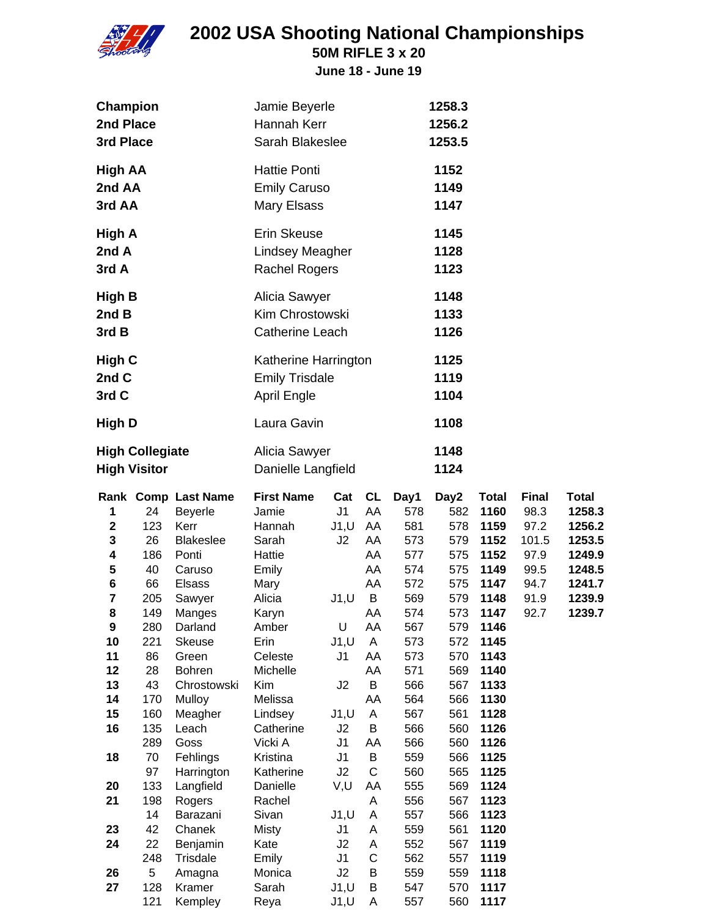

**50M RIFLE 3 x 20**

| Champion<br>2nd Place<br>3rd Place                                                                                                                                                                                                                                                                                                                  |                                                                                                                                                                                                                                                                                                                                                             | Jamie Beyerle<br>Hannah Kerr<br>Sarah Blakeslee                                                                                                                                                                                                                                                              |                                                                                                                                                                                                          |                                                                                                                                                              |                                                                                                                                                                                                          | 1258.3<br>1256.2<br>1253.5                                                                                                                                                                               |                                                                                                                                                                                                                                              |                                                                               |                                                                                              |
|-----------------------------------------------------------------------------------------------------------------------------------------------------------------------------------------------------------------------------------------------------------------------------------------------------------------------------------------------------|-------------------------------------------------------------------------------------------------------------------------------------------------------------------------------------------------------------------------------------------------------------------------------------------------------------------------------------------------------------|--------------------------------------------------------------------------------------------------------------------------------------------------------------------------------------------------------------------------------------------------------------------------------------------------------------|----------------------------------------------------------------------------------------------------------------------------------------------------------------------------------------------------------|--------------------------------------------------------------------------------------------------------------------------------------------------------------|----------------------------------------------------------------------------------------------------------------------------------------------------------------------------------------------------------|----------------------------------------------------------------------------------------------------------------------------------------------------------------------------------------------------------|----------------------------------------------------------------------------------------------------------------------------------------------------------------------------------------------------------------------------------------------|-------------------------------------------------------------------------------|----------------------------------------------------------------------------------------------|
| High AA<br>2nd AA<br>3rd AA                                                                                                                                                                                                                                                                                                                         |                                                                                                                                                                                                                                                                                                                                                             | <b>Hattie Ponti</b><br><b>Emily Caruso</b><br>Mary Elsass                                                                                                                                                                                                                                                    |                                                                                                                                                                                                          |                                                                                                                                                              |                                                                                                                                                                                                          | 1152<br>1149<br>1147                                                                                                                                                                                     |                                                                                                                                                                                                                                              |                                                                               |                                                                                              |
| High A<br>2nd A<br>3rd A                                                                                                                                                                                                                                                                                                                            |                                                                                                                                                                                                                                                                                                                                                             | Erin Skeuse<br><b>Lindsey Meagher</b><br><b>Rachel Rogers</b>                                                                                                                                                                                                                                                |                                                                                                                                                                                                          |                                                                                                                                                              |                                                                                                                                                                                                          | 1145<br>1128<br>1123                                                                                                                                                                                     |                                                                                                                                                                                                                                              |                                                                               |                                                                                              |
| High B<br>2nd B<br>3rd B                                                                                                                                                                                                                                                                                                                            |                                                                                                                                                                                                                                                                                                                                                             | Alicia Sawyer<br>Kim Chrostowski<br>Catherine Leach                                                                                                                                                                                                                                                          |                                                                                                                                                                                                          |                                                                                                                                                              |                                                                                                                                                                                                          | 1148<br>1133<br>1126                                                                                                                                                                                     |                                                                                                                                                                                                                                              |                                                                               |                                                                                              |
| <b>High C</b><br>2nd C<br>3rd C                                                                                                                                                                                                                                                                                                                     |                                                                                                                                                                                                                                                                                                                                                             | Katherine Harrington<br><b>Emily Trisdale</b><br><b>April Engle</b>                                                                                                                                                                                                                                          |                                                                                                                                                                                                          |                                                                                                                                                              |                                                                                                                                                                                                          | 1125<br>1119<br>1104                                                                                                                                                                                     |                                                                                                                                                                                                                                              |                                                                               |                                                                                              |
| High D                                                                                                                                                                                                                                                                                                                                              |                                                                                                                                                                                                                                                                                                                                                             | Laura Gavin                                                                                                                                                                                                                                                                                                  |                                                                                                                                                                                                          |                                                                                                                                                              |                                                                                                                                                                                                          | 1108                                                                                                                                                                                                     |                                                                                                                                                                                                                                              |                                                                               |                                                                                              |
| <b>High Collegiate</b><br><b>High Visitor</b>                                                                                                                                                                                                                                                                                                       |                                                                                                                                                                                                                                                                                                                                                             | Alicia Sawyer<br>Danielle Langfield                                                                                                                                                                                                                                                                          |                                                                                                                                                                                                          |                                                                                                                                                              |                                                                                                                                                                                                          | 1148<br>1124                                                                                                                                                                                             |                                                                                                                                                                                                                                              |                                                                               |                                                                                              |
| 1<br>24<br>$\mathbf 2$<br>123<br>3<br>26<br>4<br>186<br>5<br>40<br>6<br>66<br>$\overline{\mathbf{7}}$<br>205<br>8<br>149<br>9<br>280<br>10<br>221<br>11<br>86<br>12<br>28<br>13<br>43<br>14<br>170<br>15<br>160<br>16<br>135<br>289<br>70<br>18<br>97<br>133<br>20<br>198<br>21<br>14<br>42<br>23<br>22<br>24<br>248<br>26<br>5<br>27<br>128<br>121 | Rank Comp Last Name<br>Beyerle<br>Kerr<br><b>Blakeslee</b><br>Ponti<br>Caruso<br><b>Elsass</b><br>Sawyer<br>Manges<br>Darland<br><b>Skeuse</b><br>Green<br><b>Bohren</b><br>Chrostowski<br>Mulloy<br>Meagher<br>Leach<br>Goss<br>Fehlings<br>Harrington<br>Langfield<br>Rogers<br>Barazani<br>Chanek<br>Benjamin<br>Trisdale<br>Amagna<br>Kramer<br>Kempley | <b>First Name</b><br>Jamie<br>Hannah<br>Sarah<br>Hattie<br>Emily<br>Mary<br>Alicia<br>Karyn<br>Amber<br>Erin<br>Celeste<br>Michelle<br>Kim<br>Melissa<br>Lindsey<br>Catherine<br>Vicki A<br>Kristina<br>Katherine<br>Danielle<br>Rachel<br>Sivan<br><b>Misty</b><br>Kate<br>Emily<br>Monica<br>Sarah<br>Reya | Cat<br>J1<br>J1,U AA<br>J2<br>J1, U<br>U<br>J1, U<br>J <sub>1</sub><br>J2<br>J1, U<br>J2<br>J <sub>1</sub><br>J <sub>1</sub><br>J2<br>V,U<br>J1, U<br>J1<br>J2<br>J <sub>1</sub><br>J2<br>J1, U<br>J1, U | <b>CL</b><br>AA<br>AA<br>AA<br>AA<br>AA<br>B<br>AA<br>AA<br>A<br>AA<br>AA<br>B<br>AA<br>A<br>B<br>AA<br>B<br>C<br>AA<br>Α<br>Α<br>A<br>Α<br>C<br>B<br>Β<br>A | Day1<br>578<br>581<br>573<br>577<br>574<br>572<br>569<br>574<br>567<br>573<br>573<br>571<br>566<br>564<br>567<br>566<br>566<br>559<br>560<br>555<br>556<br>557<br>559<br>552<br>562<br>559<br>547<br>557 | Day2<br>582<br>578<br>579<br>575<br>575<br>575<br>579<br>573<br>579<br>572<br>570<br>569<br>567<br>566<br>561<br>560<br>560<br>566<br>565<br>569<br>567<br>566<br>561<br>567<br>557<br>559<br>570<br>560 | <b>Total</b><br>1160<br>1159<br>1152<br>1152<br>1149<br>1147<br>1148<br>1147<br>1146<br>1145<br>1143<br>1140<br>1133<br>1130<br>1128<br>1126<br>1126<br>1125<br>1125<br>1124<br>1123<br>1123<br>1120<br>1119<br>1119<br>1118<br>1117<br>1117 | <b>Final</b><br>98.3<br>97.2<br>101.5<br>97.9<br>99.5<br>94.7<br>91.9<br>92.7 | <b>Total</b><br>1258.3<br>1256.2<br>1253.5<br>1249.9<br>1248.5<br>1241.7<br>1239.9<br>1239.7 |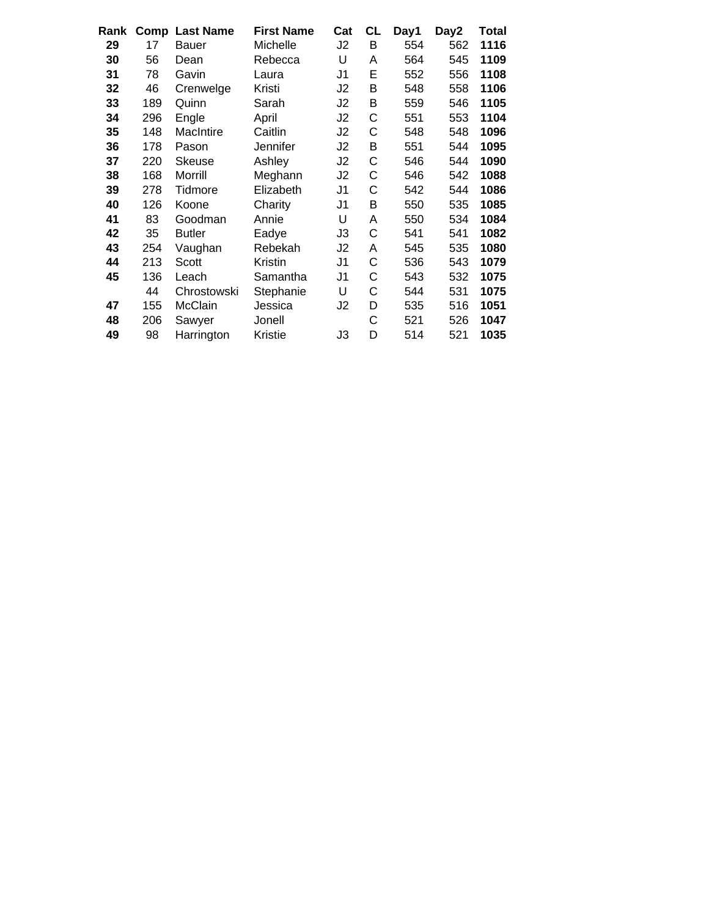| Β<br>29<br>17<br>Michelle<br>J2<br>554<br>562<br><b>Bauer</b><br>U<br>30<br>56<br>564<br>545<br>Rebecca<br>A<br>Dean<br>E<br>31<br>J <sub>1</sub><br>552<br>556<br>78<br>Gavin<br>Laura<br>B<br>32<br>46<br>Kristi<br>J <sub>2</sub><br>548<br>558<br>Crenwelge<br>33<br>Β<br>189<br>Quinn<br>J2<br>559<br>546<br>Sarah<br>С<br>34<br>296<br>J2<br>551<br>553<br>Engle<br>April<br>35<br>С<br>148<br>MacIntire<br>Caitlin<br>J <sub>2</sub><br>548<br>548<br>36<br>J2<br>Β<br>551<br>544<br>178<br>Jennifer<br>Pason<br>С<br>37<br>220<br>Ashley<br>J2<br>546<br>544<br>Skeuse<br>С<br>38<br>168<br>Meghann<br>J2<br>542<br>Morrill<br>546<br>39<br>278<br>J <sub>1</sub><br>С<br>542<br>544<br>Tidmore<br>Elizabeth<br>40<br>B<br>126<br>J <sub>1</sub><br>550<br>535<br>Charity<br>Koone<br>U<br>41<br>534<br>83<br>Goodman<br>Annie<br>Α<br>550<br>C<br>42<br>35<br>J3<br>541<br>541<br><b>Butler</b><br>Eadye<br>43<br>254<br>J2<br>535<br>Rebekah<br>545<br>Vaughan<br>A<br>C<br>44<br>213<br>J1<br>536<br>543<br>Kristin<br>Scott<br>C<br>45<br>136<br>J <sub>1</sub><br>543<br>532<br>Leach<br>Samantha<br>U<br>C<br>44<br>Stephanie<br>544<br>531<br>Chrostowski<br>155<br>McClain<br>D<br>535<br>516<br>47<br>Jessica<br>J2<br>C<br>48<br>521<br>206<br>526<br>Jonell<br>Sawyer<br>D<br>49<br>98<br>Kristie<br>J3<br>514<br>521<br>Harrington | Rank | <b>Comp Last Name</b> | <b>First Name</b> | Cat | <b>CL</b> | Day1 | Day2 | Total |
|--------------------------------------------------------------------------------------------------------------------------------------------------------------------------------------------------------------------------------------------------------------------------------------------------------------------------------------------------------------------------------------------------------------------------------------------------------------------------------------------------------------------------------------------------------------------------------------------------------------------------------------------------------------------------------------------------------------------------------------------------------------------------------------------------------------------------------------------------------------------------------------------------------------------------------------------------------------------------------------------------------------------------------------------------------------------------------------------------------------------------------------------------------------------------------------------------------------------------------------------------------------------------------------------------------------------------------------------------------|------|-----------------------|-------------------|-----|-----------|------|------|-------|
|                                                                                                                                                                                                                                                                                                                                                                                                                                                                                                                                                                                                                                                                                                                                                                                                                                                                                                                                                                                                                                                                                                                                                                                                                                                                                                                                                        |      |                       |                   |     |           |      |      | 1116  |
|                                                                                                                                                                                                                                                                                                                                                                                                                                                                                                                                                                                                                                                                                                                                                                                                                                                                                                                                                                                                                                                                                                                                                                                                                                                                                                                                                        |      |                       |                   |     |           |      |      | 1109  |
|                                                                                                                                                                                                                                                                                                                                                                                                                                                                                                                                                                                                                                                                                                                                                                                                                                                                                                                                                                                                                                                                                                                                                                                                                                                                                                                                                        |      |                       |                   |     |           |      |      | 1108  |
|                                                                                                                                                                                                                                                                                                                                                                                                                                                                                                                                                                                                                                                                                                                                                                                                                                                                                                                                                                                                                                                                                                                                                                                                                                                                                                                                                        |      |                       |                   |     |           |      |      | 1106  |
|                                                                                                                                                                                                                                                                                                                                                                                                                                                                                                                                                                                                                                                                                                                                                                                                                                                                                                                                                                                                                                                                                                                                                                                                                                                                                                                                                        |      |                       |                   |     |           |      |      | 1105  |
|                                                                                                                                                                                                                                                                                                                                                                                                                                                                                                                                                                                                                                                                                                                                                                                                                                                                                                                                                                                                                                                                                                                                                                                                                                                                                                                                                        |      |                       |                   |     |           |      |      | 1104  |
|                                                                                                                                                                                                                                                                                                                                                                                                                                                                                                                                                                                                                                                                                                                                                                                                                                                                                                                                                                                                                                                                                                                                                                                                                                                                                                                                                        |      |                       |                   |     |           |      |      | 1096  |
|                                                                                                                                                                                                                                                                                                                                                                                                                                                                                                                                                                                                                                                                                                                                                                                                                                                                                                                                                                                                                                                                                                                                                                                                                                                                                                                                                        |      |                       |                   |     |           |      |      | 1095  |
|                                                                                                                                                                                                                                                                                                                                                                                                                                                                                                                                                                                                                                                                                                                                                                                                                                                                                                                                                                                                                                                                                                                                                                                                                                                                                                                                                        |      |                       |                   |     |           |      |      | 1090  |
|                                                                                                                                                                                                                                                                                                                                                                                                                                                                                                                                                                                                                                                                                                                                                                                                                                                                                                                                                                                                                                                                                                                                                                                                                                                                                                                                                        |      |                       |                   |     |           |      |      | 1088  |
|                                                                                                                                                                                                                                                                                                                                                                                                                                                                                                                                                                                                                                                                                                                                                                                                                                                                                                                                                                                                                                                                                                                                                                                                                                                                                                                                                        |      |                       |                   |     |           |      |      | 1086  |
|                                                                                                                                                                                                                                                                                                                                                                                                                                                                                                                                                                                                                                                                                                                                                                                                                                                                                                                                                                                                                                                                                                                                                                                                                                                                                                                                                        |      |                       |                   |     |           |      |      | 1085  |
|                                                                                                                                                                                                                                                                                                                                                                                                                                                                                                                                                                                                                                                                                                                                                                                                                                                                                                                                                                                                                                                                                                                                                                                                                                                                                                                                                        |      |                       |                   |     |           |      |      | 1084  |
|                                                                                                                                                                                                                                                                                                                                                                                                                                                                                                                                                                                                                                                                                                                                                                                                                                                                                                                                                                                                                                                                                                                                                                                                                                                                                                                                                        |      |                       |                   |     |           |      |      | 1082  |
|                                                                                                                                                                                                                                                                                                                                                                                                                                                                                                                                                                                                                                                                                                                                                                                                                                                                                                                                                                                                                                                                                                                                                                                                                                                                                                                                                        |      |                       |                   |     |           |      |      | 1080  |
|                                                                                                                                                                                                                                                                                                                                                                                                                                                                                                                                                                                                                                                                                                                                                                                                                                                                                                                                                                                                                                                                                                                                                                                                                                                                                                                                                        |      |                       |                   |     |           |      |      | 1079  |
|                                                                                                                                                                                                                                                                                                                                                                                                                                                                                                                                                                                                                                                                                                                                                                                                                                                                                                                                                                                                                                                                                                                                                                                                                                                                                                                                                        |      |                       |                   |     |           |      |      | 1075  |
|                                                                                                                                                                                                                                                                                                                                                                                                                                                                                                                                                                                                                                                                                                                                                                                                                                                                                                                                                                                                                                                                                                                                                                                                                                                                                                                                                        |      |                       |                   |     |           |      |      | 1075  |
|                                                                                                                                                                                                                                                                                                                                                                                                                                                                                                                                                                                                                                                                                                                                                                                                                                                                                                                                                                                                                                                                                                                                                                                                                                                                                                                                                        |      |                       |                   |     |           |      |      | 1051  |
|                                                                                                                                                                                                                                                                                                                                                                                                                                                                                                                                                                                                                                                                                                                                                                                                                                                                                                                                                                                                                                                                                                                                                                                                                                                                                                                                                        |      |                       |                   |     |           |      |      | 1047  |
|                                                                                                                                                                                                                                                                                                                                                                                                                                                                                                                                                                                                                                                                                                                                                                                                                                                                                                                                                                                                                                                                                                                                                                                                                                                                                                                                                        |      |                       |                   |     |           |      |      | 1035  |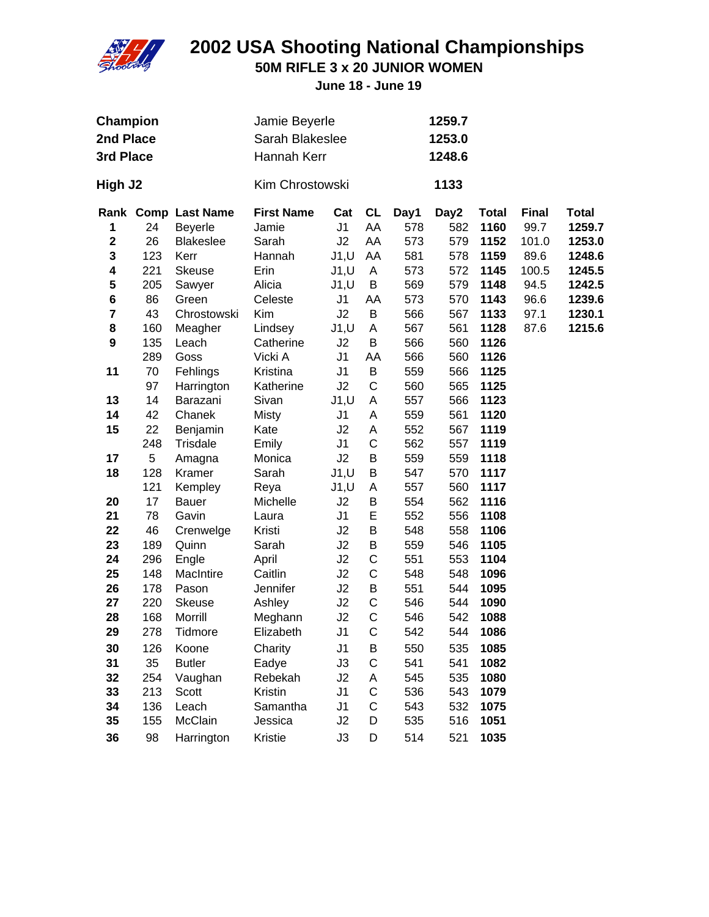

**50M RIFLE 3 x 20 JUNIOR WOMEN**

| <b>Champion</b><br>2nd Place<br>3rd Place |          |                     |                      | Jamie Beyerle<br>Sarah Blakeslee<br>Hannah Kerr |                  |            |            | 1259.7<br>1253.0<br>1248.6 |              |              |  |
|-------------------------------------------|----------|---------------------|----------------------|-------------------------------------------------|------------------|------------|------------|----------------------------|--------------|--------------|--|
| High J2                                   |          |                     | Kim Chrostowski      |                                                 |                  |            | 1133       |                            |              |              |  |
|                                           |          | Rank Comp Last Name | <b>First Name</b>    | Cat                                             | <b>CL</b>        | Day1       | Day2       | <b>Total</b>               | <b>Final</b> | <b>Total</b> |  |
| 1                                         | 24       | <b>Beyerle</b>      | Jamie                | J <sub>1</sub>                                  | AA               | 578        | 582        | 1160                       | 99.7         | 1259.7       |  |
| $\mathbf 2$                               | 26       | <b>Blakeslee</b>    | Sarah                | J2                                              | AA               | 573        | 579        | 1152                       | 101.0        | 1253.0       |  |
| 3                                         | 123      | Kerr                | Hannah               | J1, U                                           | AA               | 581        | 578        | 1159                       | 89.6         | 1248.6       |  |
| 4                                         | 221      | <b>Skeuse</b>       | Erin                 | J1, U                                           | A                | 573        | 572        | 1145                       | 100.5        | 1245.5       |  |
| 5                                         | 205      | Sawyer              | Alicia               | J1, U                                           | В                | 569        | 579        | 1148                       | 94.5         | 1242.5       |  |
| 6                                         | 86       | Green               | Celeste              | J1                                              | AA               | 573        | 570        | 1143                       | 96.6         | 1239.6       |  |
| 7                                         | 43       | Chrostowski         | Kim                  | J2                                              | B                | 566        | 567        | 1133                       | 97.1         | 1230.1       |  |
| 8                                         | 160      | Meagher             | Lindsey              | J1, U                                           | A                | 567        | 561        | 1128                       | 87.6         | 1215.6       |  |
| $\boldsymbol{9}$                          | 135      | Leach               | Catherine            | J2                                              | B                | 566        | 560        | 1126                       |              |              |  |
|                                           | 289      | Goss                | Vicki A              | J <sub>1</sub>                                  | AA               | 566        | 560        | 1126                       |              |              |  |
| 11                                        | 70       | Fehlings            | Kristina             | J <sub>1</sub>                                  | B<br>$\mathsf C$ | 559        | 566        | 1125                       |              |              |  |
|                                           | 97<br>14 | Harrington          | Katherine<br>Sivan   | J2                                              |                  | 560        | 565        | 1125<br>1123               |              |              |  |
| 13<br>14                                  | 42       | Barazani<br>Chanek  |                      | J1, U<br>J <sub>1</sub>                         | A<br>A           | 557<br>559 | 566<br>561 | 1120                       |              |              |  |
| 15                                        | 22       | Benjamin            | <b>Misty</b><br>Kate | J2                                              | Α                | 552        | 567        | 1119                       |              |              |  |
|                                           | 248      | Trisdale            | Emily                | J <sub>1</sub>                                  | $\mathsf C$      | 562        | 557        | 1119                       |              |              |  |
| 17                                        | 5        | Amagna              | Monica               | J2                                              | Β                | 559        | 559        | 1118                       |              |              |  |
| 18                                        | 128      | Kramer              | Sarah                | J1, U                                           | B                | 547        | 570        | 1117                       |              |              |  |
|                                           | 121      | Kempley             | Reya                 | J1, U                                           | A                | 557        | 560        | 1117                       |              |              |  |
| 20                                        | 17       | Bauer               | Michelle             | J2                                              | В                | 554        | 562        | 1116                       |              |              |  |
| 21                                        | 78       | Gavin               | Laura                | J <sub>1</sub>                                  | E                | 552        | 556        | 1108                       |              |              |  |
| 22                                        | 46       | Crenwelge           | Kristi               | J2                                              | B                | 548        | 558        | 1106                       |              |              |  |
| 23                                        | 189      | Quinn               | Sarah                | J2                                              | B                | 559        | 546        | 1105                       |              |              |  |
| 24                                        | 296      | Engle               | April                | J2                                              | C                | 551        | 553        | 1104                       |              |              |  |
| 25                                        | 148      | MacIntire           | Caitlin              | J2                                              | C                | 548        | 548        | 1096                       |              |              |  |
| 26                                        | 178      | Pason               | Jennifer             | J2                                              | B                | 551        | 544        | 1095                       |              |              |  |
| 27                                        | 220      | Skeuse              | Ashley               | J2                                              | С                | 546        | 544        | 1090                       |              |              |  |
| 28                                        | 168      | Morrill             | Meghann              | J2                                              | C                | 546        | 542        | 1088                       |              |              |  |
| 29                                        | 278      | Tidmore             | Elizabeth            | J <sub>1</sub>                                  | C                | 542        | 544        | 1086                       |              |              |  |
| 30                                        | 126      | Koone               | Charity              | J <sub>1</sub>                                  | B                | 550        | 535        | 1085                       |              |              |  |
| 31                                        | 35       | <b>Butler</b>       | Eadye                | J3                                              | $\mathsf C$      | 541        | 541        | 1082                       |              |              |  |
| 32                                        | 254      | Vaughan             | Rebekah              | J2                                              | Α                | 545        | 535        | 1080                       |              |              |  |
| 33                                        | 213      | Scott               | Kristin              | J <sub>1</sub>                                  | $\mathsf C$      | 536        | 543        | 1079                       |              |              |  |
| 34                                        | 136      | Leach               | Samantha             | J <sub>1</sub>                                  | C                | 543        | 532        | 1075                       |              |              |  |
| 35                                        | 155      | McClain             | Jessica              | J2                                              | D                | 535        | 516        | 1051                       |              |              |  |
| 36                                        | 98       | Harrington          | Kristie              | J3                                              | D                | 514        | 521        | 1035                       |              |              |  |
|                                           |          |                     |                      |                                                 |                  |            |            |                            |              |              |  |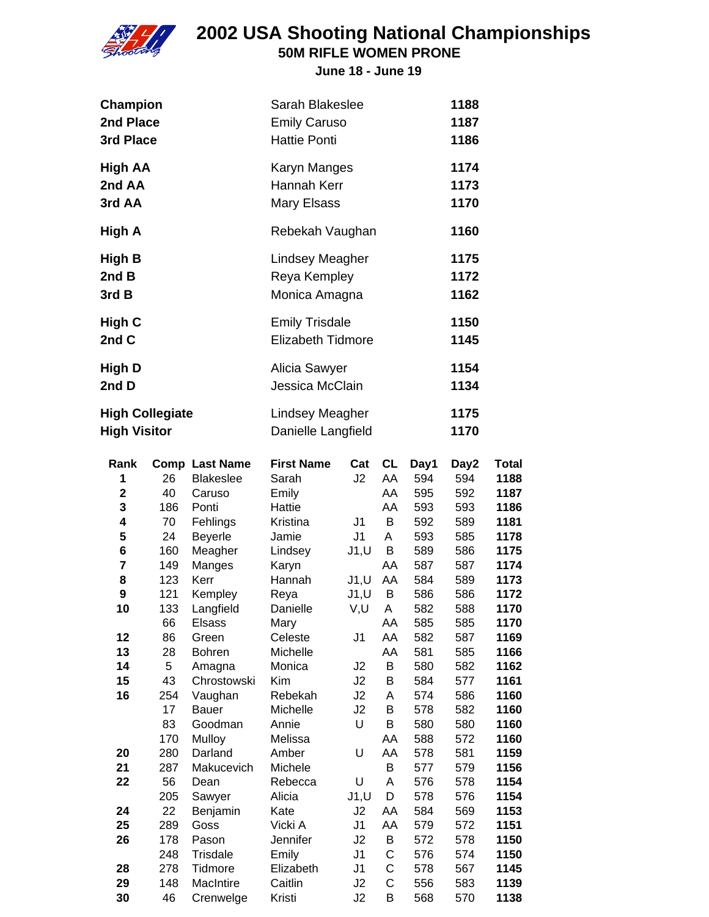

### **2002 USA Shooting National Championships 50M RIFLE WOMEN PRONE**

**June 18 - June 19**

**Champion** Sarah Blakeslee **1188**

| 2nd Place<br>3rd Place                        |                         |                                                                          | <b>Emily Caruso</b><br><b>Hattie Ponti</b>                |                                  | 1187<br>1186                 |                                  |                                  |                                              |
|-----------------------------------------------|-------------------------|--------------------------------------------------------------------------|-----------------------------------------------------------|----------------------------------|------------------------------|----------------------------------|----------------------------------|----------------------------------------------|
| <b>High AA</b><br>2nd AA<br>3rd AA            |                         |                                                                          | Karyn Manges<br>Hannah Kerr<br>Mary Elsass                |                                  |                              |                                  | 1174<br>1173<br>1170             |                                              |
| High A                                        |                         |                                                                          | Rebekah Vaughan                                           |                                  |                              |                                  | 1160                             |                                              |
| High B<br>2nd B<br>3rd B                      |                         |                                                                          | <b>Lindsey Meagher</b><br>Reya Kempley<br>Monica Amagna   |                                  |                              |                                  | 1175<br>1172<br>1162             |                                              |
| <b>High C</b><br>2nd C                        |                         |                                                                          | <b>Emily Trisdale</b><br>Elizabeth Tidmore                |                                  |                              |                                  | 1150<br>1145                     |                                              |
| High D<br>2nd D                               |                         |                                                                          | Alicia Sawyer<br>Jessica McClain                          | 1154<br>1134                     |                              |                                  |                                  |                                              |
| <b>High Collegiate</b><br><b>High Visitor</b> |                         |                                                                          | <b>Lindsey Meagher</b><br>Danielle Langfield              |                                  |                              |                                  | 1175<br>1170                     |                                              |
| Rank<br>1<br>$\mathbf 2$<br>3<br>4            | 26<br>40<br>186<br>70   | <b>Comp Last Name</b><br><b>Blakeslee</b><br>Caruso<br>Ponti<br>Fehlings | <b>First Name</b><br>Sarah<br>Emily<br>Hattie<br>Kristina | Cat<br>J2<br>J1                  | CL<br>AA<br>AA<br>AA<br>B    | Day1<br>594<br>595<br>593<br>592 | Day2<br>594<br>592<br>593<br>589 | <b>Total</b><br>1188<br>1187<br>1186<br>1181 |
| 5<br>6<br>7<br>8                              | 24<br>160<br>149<br>123 | <b>Beyerle</b><br>Meagher<br>Manges<br>Kerr                              | Jamie<br>Lindsey<br>Karyn<br>Hannah                       | J1<br>J1, U<br>J1, U             | A<br>В<br>AA<br>AA           | 593<br>589<br>587<br>584         | 585<br>586<br>587<br>589         | 1178<br>1175<br>1174<br>1173                 |
| 9<br>10<br>12                                 | 121<br>133<br>66<br>86  | Kempley<br>Langfield<br><b>Elsass</b><br>Green                           | Reya<br>Danielle<br>Mary<br>Celeste                       | J1, U<br>V,U<br>J <sub>1</sub>   | В<br>A<br>AA<br>AA           | 586<br>582<br>585<br>582         | 586<br>588<br>585<br>587         | 1172<br>1170<br>1170<br>1169                 |
| 13<br>14<br>15<br>16                          | 28<br>5<br>43<br>254    | <b>Bohren</b><br>Amagna<br>Chrostowski<br>Vaughan                        | Michelle<br>Monica<br>Kim<br>Rebekah                      | J2<br>J2<br>J2                   | AA<br>B<br>B<br>A            | 581<br>580<br>584<br>574         | 585<br>582<br>577<br>586         | 1166<br>1162<br>1161<br>1160                 |
|                                               | 17<br>83<br>170         | <b>Bauer</b><br>Goodman<br>Mulloy<br>Darland                             | Michelle<br>Annie<br>Melissa<br>Amber                     | J2<br>U<br>U                     | B<br>B<br>AA<br>AA           | 578<br>580<br>588                | 582<br>580<br>572                | 1160<br>1160<br>1160                         |
| 20<br>21<br>22                                | 280<br>287<br>56<br>205 | Makucevich<br>Dean<br>Sawyer                                             | Michele<br>Rebecca<br>Alicia                              | U<br>J1, U                       | B<br>A<br>D                  | 578<br>577<br>576<br>578         | 581<br>579<br>578<br>576         | 1159<br>1156<br>1154<br>1154                 |
| 24<br>25<br>26                                | 22<br>289<br>178<br>248 | Benjamin<br>Goss<br>Pason<br>Trisdale                                    | Kate<br>Vicki A<br>Jennifer<br>Emily                      | J2<br>J1<br>J2<br>J <sub>1</sub> | AA<br>AA<br>B<br>$\mathsf C$ | 584<br>579<br>572<br>576         | 569<br>572<br>578<br>574         | 1153<br>1151<br>1150<br>1150                 |
| 28<br>29<br>30                                | 278<br>148<br>46        | Tidmore<br>MacIntire<br>Crenwelge                                        | Elizabeth<br>Caitlin<br>Kristi                            | J1<br>J2<br>J2                   | C<br>C<br>B                  | 578<br>556<br>568                | 567<br>583<br>570                | 1145<br>1139<br>1138                         |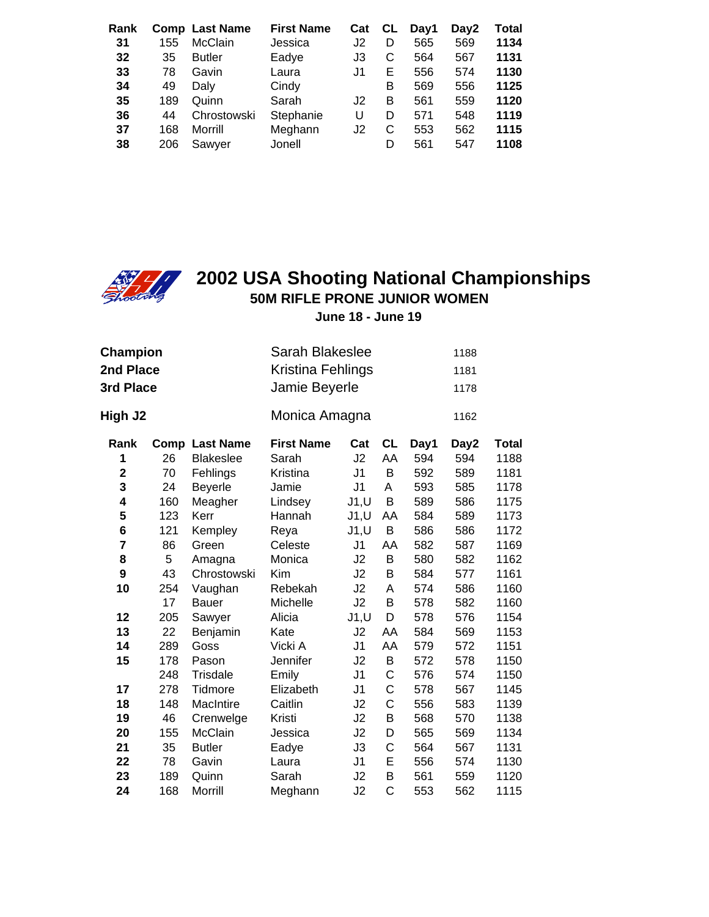| Rank<br>31<br>32<br>33     | 155<br>35<br>78               | <b>Comp Last Name</b><br><b>McClain</b><br><b>Butler</b><br>Gavin | <b>First Name</b><br>Jessica<br>Eadye<br>Laura   | Cat<br>J2<br>J3<br>J1 | CL<br>D<br>С<br>E     | Day1<br>565<br>564<br>556       | Day2<br>569<br>567<br>574       | Total<br>1134<br>1131<br>1130        |
|----------------------------|-------------------------------|-------------------------------------------------------------------|--------------------------------------------------|-----------------------|-----------------------|---------------------------------|---------------------------------|--------------------------------------|
| 34<br>35<br>36<br>37<br>38 | 49<br>189<br>44<br>168<br>206 | Dalv<br>Quinn<br>Chrostowski<br>Morrill<br>Sawyer                 | Cindy<br>Sarah<br>Stephanie<br>Meghann<br>Jonell | J2<br>U<br>J2         | B<br>B<br>D<br>С<br>D | 569<br>561<br>571<br>553<br>561 | 556<br>559<br>548<br>562<br>547 | 1125<br>1120<br>1119<br>1115<br>1108 |



### **2002 USA Shooting National Championships 50M RIFLE PRONE JUNIOR WOMEN**

| <b>Champion</b><br>2nd Place<br>3rd Place |      |                  | Sarah Blakeslee<br>1188<br>Kristina Fehlings<br>1181<br>Jamie Beyerle<br>1178 |                |                |      |      |              |  |
|-------------------------------------------|------|------------------|-------------------------------------------------------------------------------|----------------|----------------|------|------|--------------|--|
| High J2                                   |      |                  | Monica Amagna                                                                 |                |                |      | 1162 |              |  |
| Rank                                      | Comp | <b>Last Name</b> | <b>First Name</b>                                                             | Cat            | <b>CL</b>      | Day1 | Day2 | <b>Total</b> |  |
| 1                                         | 26   | <b>Blakeslee</b> | Sarah                                                                         | J2             | AA             | 594  | 594  | 1188         |  |
| $\mathbf 2$                               | 70   | Fehlings         | Kristina                                                                      | J <sub>1</sub> | B              | 592  | 589  | 1181         |  |
| 3                                         | 24   | <b>Beyerle</b>   | Jamie                                                                         | J <sub>1</sub> | A              | 593  | 585  | 1178         |  |
| 4                                         | 160  | Meagher          | Lindsey                                                                       | J1, U          | B              | 589  | 586  | 1175         |  |
| 5                                         | 123  | Kerr             | Hannah                                                                        | J1, U          | AA             | 584  | 589  | 1173         |  |
| 6                                         | 121  | Kempley          | Reya                                                                          | J1, U          | B              | 586  | 586  | 1172         |  |
| $\overline{7}$                            | 86   | Green            | Celeste                                                                       | J <sub>1</sub> | AA             | 582  | 587  | 1169         |  |
| 8                                         | 5    | Amagna           | Monica                                                                        | J2             | B              | 580  | 582  | 1162         |  |
| 9                                         | 43   | Chrostowski      | Kim                                                                           | J2             | B              | 584  | 577  | 1161         |  |
| 10                                        | 254  | Vaughan          | Rebekah                                                                       | J2             | Α              | 574  | 586  | 1160         |  |
|                                           | 17   | Bauer            | Michelle                                                                      | J2             | B              | 578  | 582  | 1160         |  |
| 12                                        | 205  | Sawyer           | Alicia                                                                        | J1, U          | D              | 578  | 576  | 1154         |  |
| 13                                        | 22   | Benjamin         | Kate                                                                          | J2             | AA             | 584  | 569  | 1153         |  |
| 14                                        | 289  | Goss             | Vicki A                                                                       | J <sub>1</sub> | AA             | 579  | 572  | 1151         |  |
| 15                                        | 178  | Pason            | Jennifer                                                                      | J2             | B              | 572  | 578  | 1150         |  |
|                                           | 248  | Trisdale         | Emily                                                                         | J <sub>1</sub> | $\mathsf{C}$   | 576  | 574  | 1150         |  |
| 17                                        | 278  | Tidmore          | Elizabeth                                                                     | J1             | $\mathsf{C}$   | 578  | 567  | 1145         |  |
| 18                                        | 148  | MacIntire        | Caitlin                                                                       | J2             | C              | 556  | 583  | 1139         |  |
| 19                                        | 46   | Crenwelge        | Kristi                                                                        | J2             | B              | 568  | 570  | 1138         |  |
| 20                                        | 155  | McClain          | Jessica                                                                       | J2             | D              | 565  | 569  | 1134         |  |
| 21                                        | 35   | <b>Butler</b>    | Eadye                                                                         | J3             | C              | 564  | 567  | 1131         |  |
| 22                                        | 78   | Gavin            | Laura                                                                         | J <sub>1</sub> | E              | 556  | 574  | 1130         |  |
| 23                                        | 189  | Quinn            | Sarah                                                                         | J2             | B              | 561  | 559  | 1120         |  |
| 24                                        | 168  | Morrill          | Meghann                                                                       | J2             | $\overline{C}$ | 553  | 562  | 1115         |  |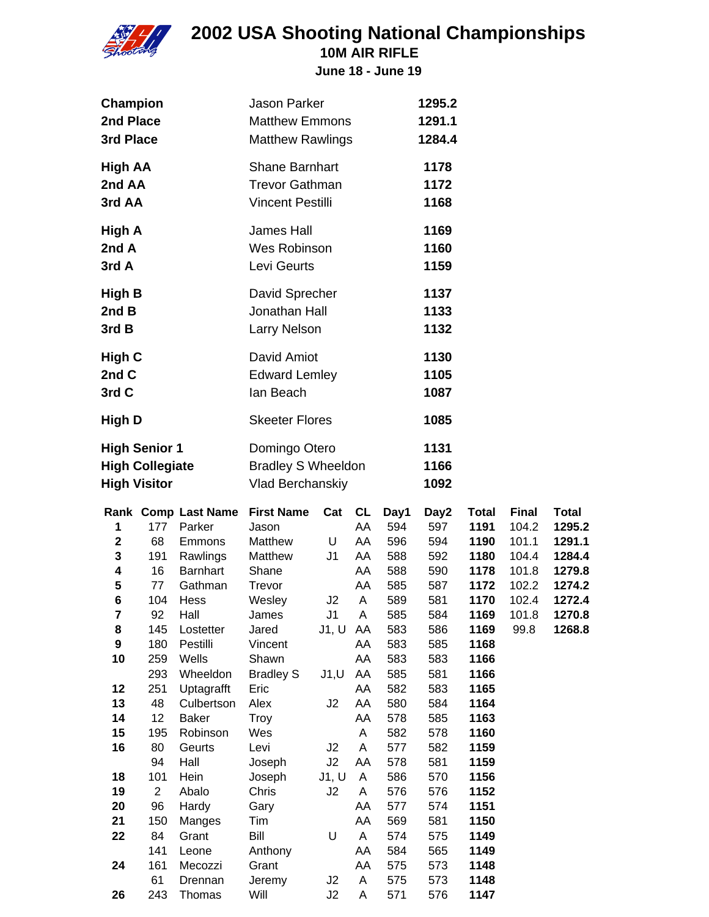

**10M AIR RIFLE**

| Champion<br>2nd Place                                                                                           |                                                                                                                                                   |                                                                                                                                                                                                                                                               | <b>Jason Parker</b><br><b>Matthew Emmons</b>                                                                                                                                                                                      |                                                                               |                                                                                                                            |                                                                                                                                                         | 1295.2<br>1291.1                                                                                                                                        |                                                                                                                                                                                      |                                                                                     |                                                                                              |
|-----------------------------------------------------------------------------------------------------------------|---------------------------------------------------------------------------------------------------------------------------------------------------|---------------------------------------------------------------------------------------------------------------------------------------------------------------------------------------------------------------------------------------------------------------|-----------------------------------------------------------------------------------------------------------------------------------------------------------------------------------------------------------------------------------|-------------------------------------------------------------------------------|----------------------------------------------------------------------------------------------------------------------------|---------------------------------------------------------------------------------------------------------------------------------------------------------|---------------------------------------------------------------------------------------------------------------------------------------------------------|--------------------------------------------------------------------------------------------------------------------------------------------------------------------------------------|-------------------------------------------------------------------------------------|----------------------------------------------------------------------------------------------|
| 3rd Place                                                                                                       |                                                                                                                                                   |                                                                                                                                                                                                                                                               | <b>Matthew Rawlings</b>                                                                                                                                                                                                           |                                                                               |                                                                                                                            |                                                                                                                                                         | 1284.4                                                                                                                                                  |                                                                                                                                                                                      |                                                                                     |                                                                                              |
| <b>High AA</b><br>2nd AA<br>3rd AA                                                                              |                                                                                                                                                   |                                                                                                                                                                                                                                                               | <b>Shane Barnhart</b><br><b>Trevor Gathman</b><br><b>Vincent Pestilli</b>                                                                                                                                                         |                                                                               |                                                                                                                            |                                                                                                                                                         | 1178<br>1172<br>1168                                                                                                                                    |                                                                                                                                                                                      |                                                                                     |                                                                                              |
| <b>High A</b><br>2nd A<br>3rd A                                                                                 |                                                                                                                                                   |                                                                                                                                                                                                                                                               | James Hall<br>Wes Robinson<br>Levi Geurts                                                                                                                                                                                         |                                                                               |                                                                                                                            |                                                                                                                                                         | 1169<br>1160<br>1159                                                                                                                                    |                                                                                                                                                                                      |                                                                                     |                                                                                              |
| High B<br>2nd B<br>3rd B                                                                                        |                                                                                                                                                   |                                                                                                                                                                                                                                                               | David Sprecher<br>Jonathan Hall<br>Larry Nelson                                                                                                                                                                                   |                                                                               |                                                                                                                            |                                                                                                                                                         | 1137<br>1133<br>1132                                                                                                                                    |                                                                                                                                                                                      |                                                                                     |                                                                                              |
| High C<br>2nd C<br>3rd C                                                                                        |                                                                                                                                                   |                                                                                                                                                                                                                                                               | David Amiot<br><b>Edward Lemley</b><br>lan Beach                                                                                                                                                                                  |                                                                               |                                                                                                                            |                                                                                                                                                         | 1130<br>1105<br>1087                                                                                                                                    |                                                                                                                                                                                      |                                                                                     |                                                                                              |
| High D                                                                                                          |                                                                                                                                                   |                                                                                                                                                                                                                                                               | <b>Skeeter Flores</b>                                                                                                                                                                                                             |                                                                               |                                                                                                                            |                                                                                                                                                         | 1085                                                                                                                                                    |                                                                                                                                                                                      |                                                                                     |                                                                                              |
| <b>High Senior 1</b><br><b>High Collegiate</b><br><b>High Visitor</b>                                           |                                                                                                                                                   |                                                                                                                                                                                                                                                               | Domingo Otero<br><b>Bradley S Wheeldon</b><br>Vlad Berchanskiy                                                                                                                                                                    |                                                                               |                                                                                                                            |                                                                                                                                                         | 1131<br>1166<br>1092                                                                                                                                    |                                                                                                                                                                                      |                                                                                     |                                                                                              |
|                                                                                                                 |                                                                                                                                                   |                                                                                                                                                                                                                                                               |                                                                                                                                                                                                                                   |                                                                               |                                                                                                                            |                                                                                                                                                         |                                                                                                                                                         |                                                                                                                                                                                      |                                                                                     |                                                                                              |
| 1<br>$\mathbf 2$<br>3<br>4<br>5<br>6<br>7<br>8<br>9<br>10<br>12<br>13<br>14<br>15<br>16<br>18<br>19<br>20<br>21 | 177<br>68<br>191<br>16<br>77<br>104<br>92<br>145<br>180<br>259<br>293<br>251<br>48<br>12<br>195<br>80<br>94<br>101<br>$\overline{c}$<br>96<br>150 | Rank Comp Last Name<br>Parker<br>Emmons<br>Rawlings<br><b>Barnhart</b><br>Gathman<br>Hess<br>Hall<br>Lostetter<br>Pestilli<br>Wells<br>Wheeldon<br>Uptagrafft<br>Culbertson<br><b>Baker</b><br>Robinson<br>Geurts<br>Hall<br>Hein<br>Abalo<br>Hardy<br>Manges | <b>First Name</b><br>Jason<br>Matthew<br>Matthew<br>Shane<br>Trevor<br>Wesley<br>James<br>Jared<br>Vincent<br>Shawn<br><b>Bradley S</b><br>Eric<br>Alex<br><b>Troy</b><br>Wes<br>Levi<br>Joseph<br>Joseph<br>Chris<br>Gary<br>Tim | Cat<br>U<br>J1<br>J2<br>J1<br>J1, U<br>J1, U<br>J2<br>J2<br>J2<br>J1, U<br>J2 | CL<br>AA<br>AA<br>AA<br>AA<br>AA<br>A<br>Α<br>AA<br>AA<br>AA<br>AA<br>AA<br>AA<br>AA<br>A<br>A<br>AA<br>A<br>A<br>AA<br>AA | Day1<br>594<br>596<br>588<br>588<br>585<br>589<br>585<br>583<br>583<br>583<br>585<br>582<br>580<br>578<br>582<br>577<br>578<br>586<br>576<br>577<br>569 | Day2<br>597<br>594<br>592<br>590<br>587<br>581<br>584<br>586<br>585<br>583<br>581<br>583<br>584<br>585<br>578<br>582<br>581<br>570<br>576<br>574<br>581 | <b>Total</b><br>1191<br>1190<br>1180<br>1178<br>1172<br>1170<br>1169<br>1169<br>1168<br>1166<br>1166<br>1165<br>1164<br>1163<br>1160<br>1159<br>1159<br>1156<br>1152<br>1151<br>1150 | <b>Final</b><br>104.2<br>101.1<br>104.4<br>101.8<br>102.2<br>102.4<br>101.8<br>99.8 | <b>Total</b><br>1295.2<br>1291.1<br>1284.4<br>1279.8<br>1274.2<br>1272.4<br>1270.8<br>1268.8 |
| 22<br>24                                                                                                        | 84<br>141<br>161<br>61                                                                                                                            | Grant<br>Leone<br>Mecozzi<br>Drennan                                                                                                                                                                                                                          | Bill<br>Anthony<br>Grant<br>Jeremy                                                                                                                                                                                                | U<br>J2                                                                       | A<br>AA<br>AA<br>Α                                                                                                         | 574<br>584<br>575<br>575                                                                                                                                | 575<br>565<br>573<br>573                                                                                                                                | 1149<br>1149<br>1148<br>1148                                                                                                                                                         |                                                                                     |                                                                                              |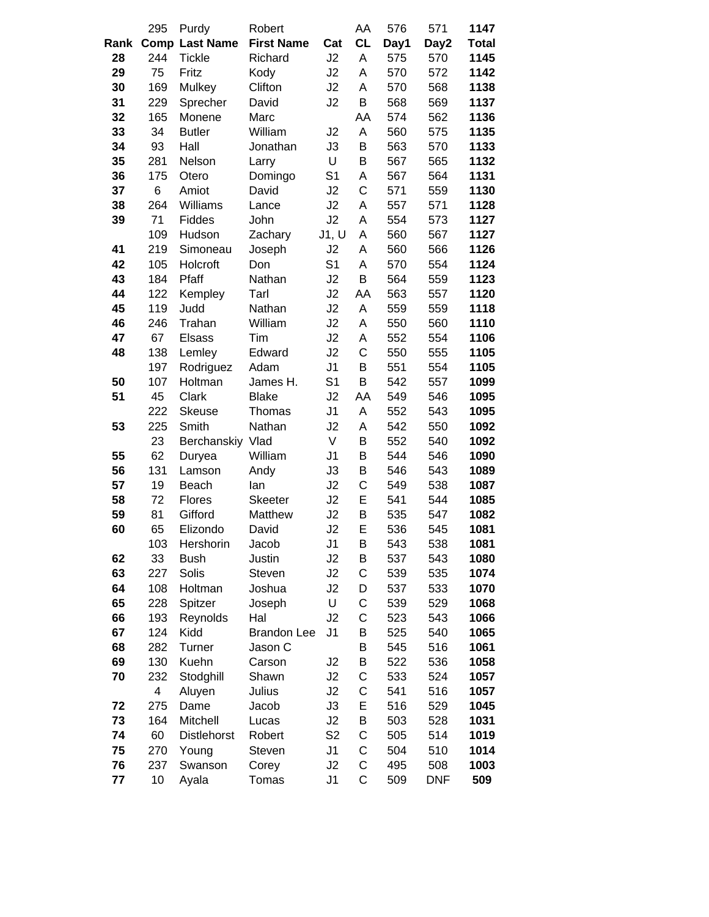|      | 295 | Purdy                 | Robert             |                | AA           | 576  | 571        | 1147         |
|------|-----|-----------------------|--------------------|----------------|--------------|------|------------|--------------|
| Rank |     | <b>Comp Last Name</b> | <b>First Name</b>  | Cat            | <b>CL</b>    | Day1 | Day2       | <b>Total</b> |
| 28   | 244 | <b>Tickle</b>         | Richard            | J2             | A            | 575  | 570        | 1145         |
| 29   | 75  | Fritz                 | Kody               | J2             | A            | 570  | 572        | 1142         |
| 30   | 169 | Mulkey                | Clifton            | J2             | A            | 570  | 568        | 1138         |
| 31   | 229 | Sprecher              | David              | J2             | B            | 568  | 569        | 1137         |
| 32   | 165 | Monene                | Marc               |                | AA           | 574  | 562        | 1136         |
| 33   | 34  | <b>Butler</b>         | William            | J2             | A            | 560  | 575        | 1135         |
| 34   | 93  | Hall                  | Jonathan           | J3             | B            | 563  | 570        | 1133         |
| 35   | 281 | Nelson                | Larry              | U              | B            | 567  | 565        | 1132         |
| 36   | 175 | Otero                 | Domingo            | S <sub>1</sub> | Α            | 567  | 564        | 1131         |
| 37   | 6   | Amiot                 | David              | J2             | $\mathsf{C}$ | 571  | 559        | 1130         |
| 38   | 264 | Williams              | Lance              | J2             | A            | 557  | 571        | 1128         |
| 39   | 71  | Fiddes                | John               | J2             | A            | 554  | 573        | 1127         |
|      | 109 | Hudson                | Zachary            | J1, U          | A            | 560  | 567        | 1127         |
| 41   | 219 | Simoneau              | Joseph             | J2             | A            | 560  | 566        | 1126         |
| 42   | 105 | Holcroft              | Don                | S <sub>1</sub> | A            | 570  | 554        | 1124         |
| 43   | 184 | Pfaff                 | Nathan             | J2             | B            | 564  | 559        | 1123         |
| 44   | 122 | Kempley               | Tarl               | J2             | AA           | 563  | 557        | 1120         |
| 45   | 119 | Judd                  | Nathan             | J2             | A            | 559  | 559        | 1118         |
| 46   | 246 | Trahan                | William            | J2             | A            | 550  | 560        | 1110         |
| 47   | 67  | <b>Elsass</b>         | Tim                | J2             | A            | 552  | 554        | 1106         |
| 48   | 138 | Lemley                | Edward             | J2             | C            | 550  | 555        | 1105         |
|      | 197 | Rodriguez             | Adam               | J <sub>1</sub> | B            | 551  | 554        | 1105         |
| 50   | 107 | Holtman               | James H.           | S <sub>1</sub> | B            | 542  | 557        | 1099         |
| 51   | 45  | Clark                 | <b>Blake</b>       | J2             | AA           | 549  | 546        | 1095         |
|      | 222 | <b>Skeuse</b>         | Thomas             | J <sub>1</sub> | A            | 552  | 543        | 1095         |
| 53   | 225 | Smith                 | Nathan             | J2             | A            | 542  | 550        | 1092         |
|      | 23  | Berchanskiy           | Vlad               | V              | B            | 552  | 540        | 1092         |
| 55   | 62  | Duryea                | William            | J <sub>1</sub> | B            | 544  | 546        | 1090         |
| 56   | 131 | Lamson                | Andy               | J3             | B            | 546  | 543        | 1089         |
| 57   | 19  | Beach                 | lan                | J2             | C            | 549  | 538        | 1087         |
| 58   | 72  | Flores                | <b>Skeeter</b>     | J2             | E            | 541  | 544        | 1085         |
| 59   | 81  | Gifford               | Matthew            | J2             | B            | 535  | 547        | 1082         |
| 60   | 65  | Elizondo              | David              | J2             | E            | 536  | 545        | 1081         |
|      | 103 | Hershorin             | Jacob              | J1             | B            | 543  | 538        | 1081         |
| 62   | 33  | <b>Bush</b>           | Justin             | J2             | B            | 537  | 543        | 1080         |
| 63   | 227 | Solis                 | Steven             | J2             | C            | 539  | 535        | 1074         |
| 64   | 108 | Holtman               | Joshua             | J2             | D            | 537  | 533        | 1070         |
| 65   | 228 | Spitzer               | Joseph             | U              | C            | 539  | 529        | 1068         |
| 66   | 193 | Reynolds              | Hal                | J2             | C            | 523  | 543        | 1066         |
| 67   | 124 | Kidd                  | <b>Brandon Lee</b> | J <sub>1</sub> | B            | 525  | 540        | 1065         |
| 68   | 282 | Turner                | Jason C            |                | B            | 545  | 516        | 1061         |
| 69   | 130 | Kuehn                 | Carson             | J <sub>2</sub> | B            | 522  | 536        | 1058         |
| 70   | 232 | Stodghill             | Shawn              | J2             | C            | 533  | 524        | 1057         |
|      | 4   | Aluyen                | Julius             | J2             | C            | 541  | 516        | 1057         |
| 72   | 275 | Dame                  | Jacob              | J3             | E            | 516  | 529        | 1045         |
| 73   | 164 | Mitchell              | Lucas              | J2             | B            | 503  | 528        | 1031         |
| 74   | 60  | <b>Distlehorst</b>    | Robert             | S <sub>2</sub> | C            | 505  | 514        | 1019         |
| 75   | 270 | Young                 | Steven             | J1             | C            | 504  | 510        | 1014         |
| 76   | 237 | Swanson               | Corey              | J2             | С            | 495  | 508        | 1003         |
| 77   | 10  | Ayala                 | Tomas              | J <sub>1</sub> | C            | 509  | <b>DNF</b> | 509          |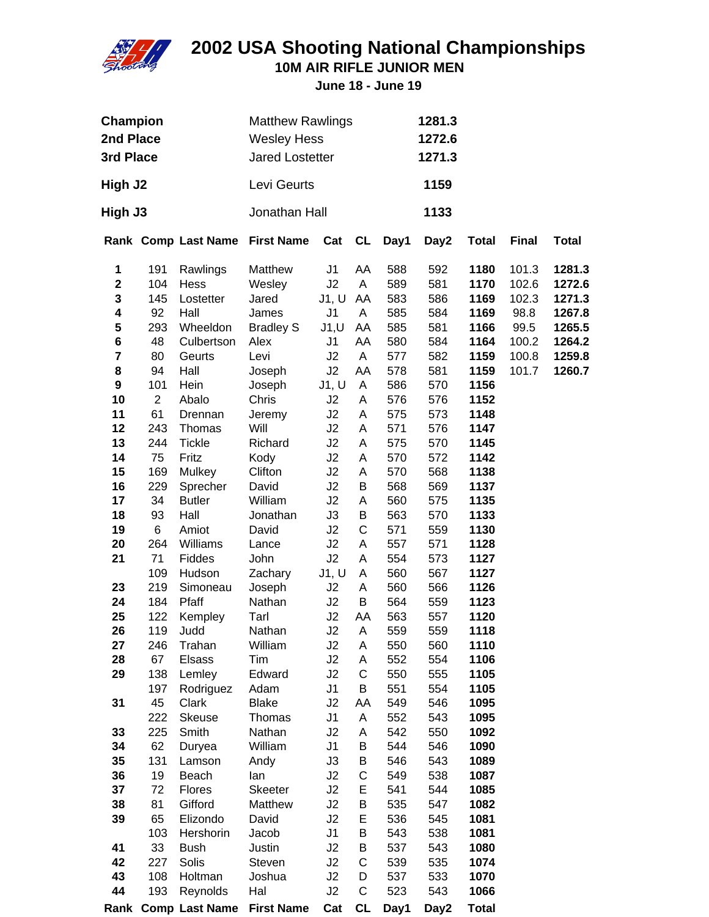

**10M AIR RIFLE JUNIOR MEN**

| Champion<br>2nd Place<br>3rd Place |                | <b>Matthew Rawlings</b><br><b>Wesley Hess</b><br><b>Jared Lostetter</b> |                                | 1281.3<br>1272.6<br>1271.3 |             |      |      |              |              |              |
|------------------------------------|----------------|-------------------------------------------------------------------------|--------------------------------|----------------------------|-------------|------|------|--------------|--------------|--------------|
| High J2                            |                |                                                                         | Levi Geurts                    |                            |             |      | 1159 |              |              |              |
| High J3                            |                |                                                                         | Jonathan Hall                  |                            |             |      | 1133 |              |              |              |
|                                    |                | Rank Comp Last Name First Name                                          |                                | Cat                        | CL          | Day1 | Day2 | <b>Total</b> | <b>Final</b> | <b>Total</b> |
| 1                                  | 191            | Rawlings                                                                | Matthew                        | J1                         | AA          | 588  | 592  | 1180         | 101.3        | 1281.3       |
| $\mathbf 2$                        | 104            | Hess                                                                    | Wesley                         | J2                         | A           | 589  | 581  | 1170         | 102.6        | 1272.6       |
| ${\bf 3}$                          | 145            | Lostetter                                                               | Jared                          | J1, U                      | AA          | 583  | 586  | 1169         | 102.3        | 1271.3       |
| 4                                  | 92             | Hall                                                                    | James                          | J <sub>1</sub>             | A           | 585  | 584  | 1169         | 98.8         | 1267.8       |
| ${\bf 5}$                          | 293            | Wheeldon                                                                | <b>Bradley S</b>               | J1, U                      | AA          | 585  | 581  | 1166         | 99.5         | 1265.5       |
| 6                                  | 48             | Culbertson                                                              | Alex                           | J <sub>1</sub>             | AA          | 580  | 584  | 1164         | 100.2        | 1264.2       |
| $\overline{\mathbf{7}}$            | 80             | Geurts                                                                  | Levi                           | J2                         | A           | 577  | 582  | 1159         | 100.8        | 1259.8       |
| 8                                  | 94             | Hall                                                                    | Joseph                         | J2                         | AA          | 578  | 581  | 1159         | 101.7        | 1260.7       |
| 9                                  | 101            | Hein                                                                    | Joseph                         | J1, U                      | Α           | 586  | 570  | 1156         |              |              |
| 10                                 | $\overline{2}$ | Abalo                                                                   | Chris                          | J2                         | A           | 576  | 576  | 1152         |              |              |
| 11                                 | 61             | Drennan                                                                 | Jeremy                         | J2                         | A           | 575  | 573  | 1148         |              |              |
| 12                                 | 243            | Thomas                                                                  | Will                           | J2                         | A           | 571  | 576  | 1147         |              |              |
| 13                                 | 244            | <b>Tickle</b>                                                           | Richard                        | J2                         | A           | 575  | 570  | 1145         |              |              |
| 14                                 | 75             | Fritz                                                                   | Kody                           | J2                         | A           | 570  | 572  | 1142         |              |              |
| 15                                 | 169            | Mulkey                                                                  | Clifton                        | J2                         | Α           | 570  | 568  | 1138         |              |              |
| 16                                 | 229            | Sprecher                                                                | David                          | J2                         | B           | 568  | 569  | 1137         |              |              |
| 17                                 | 34             | <b>Butler</b>                                                           | William                        | J2                         | A           | 560  | 575  | 1135         |              |              |
| 18                                 | 93             | Hall                                                                    | Jonathan                       | J3                         | B           | 563  | 570  | 1133         |              |              |
| 19                                 | 6              | Amiot                                                                   | David                          | J2                         | $\mathsf C$ | 571  | 559  | 1130         |              |              |
| 20                                 | 264            | Williams                                                                | Lance                          | J2                         | A           | 557  | 571  | 1128         |              |              |
| 21                                 | 71             | Fiddes                                                                  | John                           | J2                         | Α           | 554  | 573  | 1127         |              |              |
|                                    | 109            | Hudson                                                                  | Zachary                        | J1, U                      | Α           | 560  | 567  | 1127         |              |              |
| 23                                 | 219            | Simoneau                                                                | Joseph                         | J2                         | Α           | 560  | 566  | 1126         |              |              |
| 24                                 | 184            | Pfaff                                                                   | Nathan                         | J2                         | B           | 564  | 559  | 1123         |              |              |
| 25                                 | 122            | Kempley                                                                 | Tarl                           | J2                         | AA          | 563  | 557  | 1120         |              |              |
| 26                                 | 119            | Judd                                                                    | Nathan                         | J2                         | A           | 559  | 559  | 1118         |              |              |
| 27                                 | 246            | Trahan                                                                  | William                        | J <sub>2</sub>             | A           | 550  | 560  | 1110         |              |              |
| 28                                 | 67             | <b>Elsass</b>                                                           | Tim                            | J2                         | A           | 552  | 554  | 1106         |              |              |
| 29                                 | 138            | Lemley                                                                  | Edward                         | J2                         | C           | 550  | 555  | 1105         |              |              |
|                                    | 197            | Rodriguez                                                               | Adam                           | J1                         | B           | 551  | 554  | 1105         |              |              |
| 31                                 | 45             | Clark                                                                   | <b>Blake</b>                   | J2                         | AA          | 549  | 546  | 1095         |              |              |
|                                    | 222            | Skeuse                                                                  | Thomas                         | J <sub>1</sub>             | Α           | 552  | 543  | 1095         |              |              |
| 33                                 | 225            | Smith                                                                   | Nathan                         | J2                         | Α           | 542  | 550  | 1092         |              |              |
| 34                                 | 62             | Duryea                                                                  | William                        | J <sub>1</sub>             | B           | 544  | 546  | 1090         |              |              |
| 35                                 | 131            | Lamson                                                                  | Andy                           | J3                         | B           | 546  | 543  | 1089         |              |              |
| 36                                 | 19             | Beach                                                                   | lan                            | J2                         | C           | 549  | 538  | 1087         |              |              |
| 37                                 | 72             | <b>Flores</b>                                                           | <b>Skeeter</b>                 | J2                         | Ε           | 541  | 544  | 1085         |              |              |
| 38                                 | 81             | Gifford                                                                 | Matthew                        | J2                         | B           | 535  | 547  | 1082         |              |              |
| 39                                 | 65             | Elizondo                                                                | David                          | J2                         | Е           | 536  | 545  | 1081         |              |              |
|                                    | 103            | Hershorin                                                               | Jacob                          | J <sub>1</sub>             | B           | 543  | 538  | 1081         |              |              |
| 41                                 | 33             | <b>Bush</b>                                                             | Justin                         | J2                         | B           | 537  | 543  | 1080         |              |              |
| 42                                 | 227            | Solis                                                                   | Steven                         | J2                         | C           | 539  | 535  | 1074         |              |              |
| 43                                 | 108            | Holtman                                                                 | Joshua                         | J2                         | D           | 537  | 533  | 1070         |              |              |
| 44                                 | 193            | Reynolds                                                                | Hal                            | J2                         | $\mathsf C$ | 523  | 543  | 1066         |              |              |
|                                    |                |                                                                         | Rank Comp Last Name First Name | Cat                        | <b>CL</b>   | Day1 | Day2 | <b>Total</b> |              |              |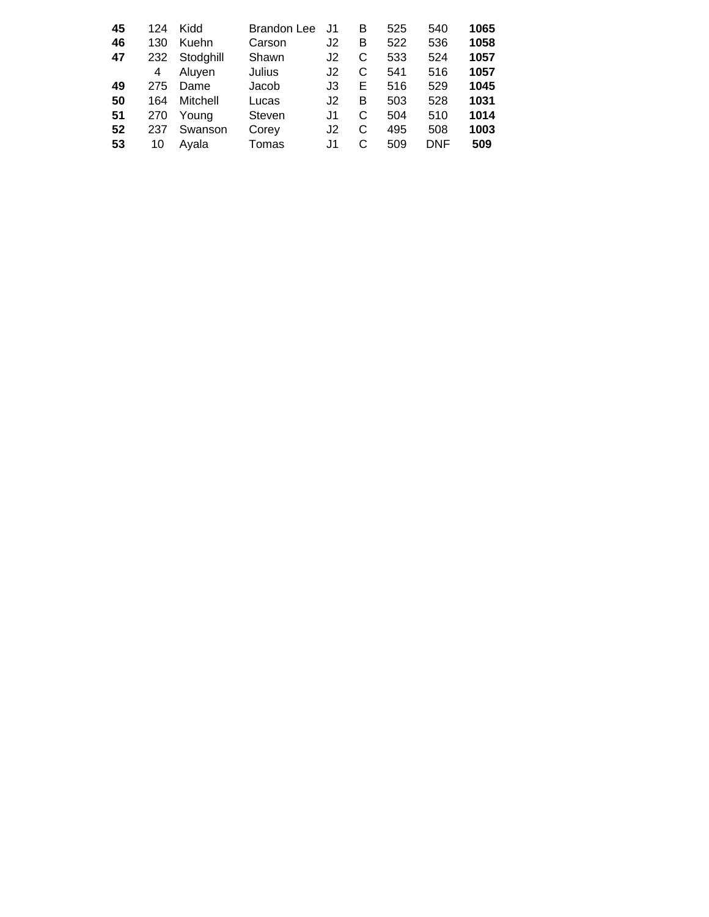| 45 | 124 | Kidd      | <b>Brandon Lee</b> | J1 | в | 525 | 540 | 1065 |
|----|-----|-----------|--------------------|----|---|-----|-----|------|
| 46 | 130 | Kuehn     | Carson             | J2 | B | 522 | 536 | 1058 |
| 47 | 232 | Stodghill | Shawn              | J2 | С | 533 | 524 | 1057 |
|    | 4   | Aluyen    | Julius             | J2 | С | 541 | 516 | 1057 |
| 49 | 275 | Dame      | Jacob              | J3 | Е | 516 | 529 | 1045 |
| 50 | 164 | Mitchell  | Lucas              | J2 | в | 503 | 528 | 1031 |
| 51 | 270 | Young     | Steven             | J1 | С | 504 | 510 | 1014 |
| 52 | 237 | Swanson   | Corey              | J2 | С | 495 | 508 | 1003 |
| 53 | 10  | Avala     | Tomas              | J1 |   | 509 | DNF | 509  |
|    |     |           |                    |    |   |     |     |      |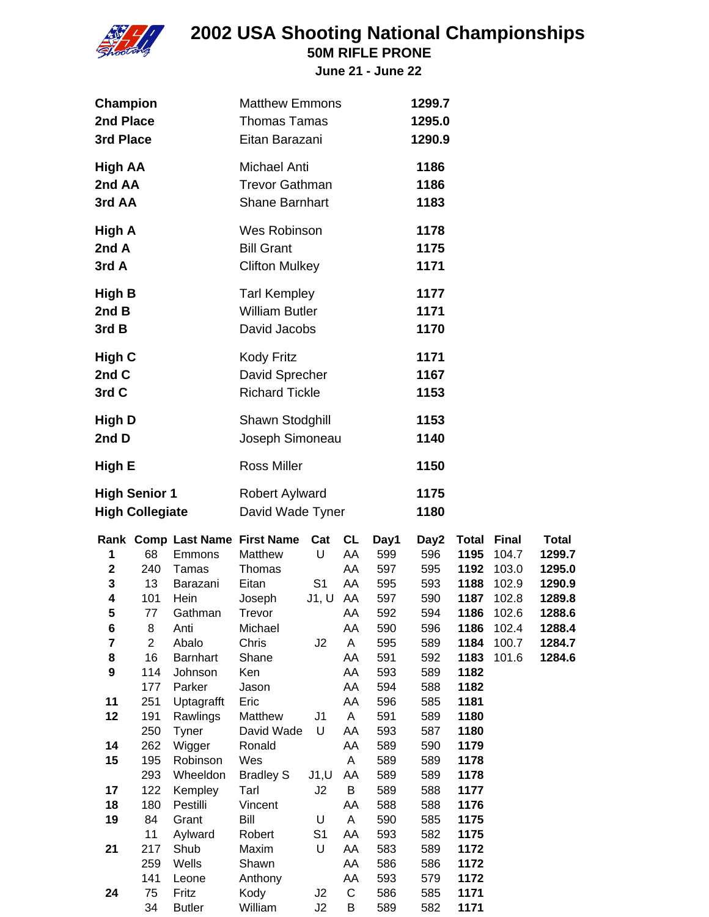

**50M RIFLE PRONE**

| Champion<br>2nd Place<br>3rd Place                                                 |                                                                                                                                   |                                                                                                                                                                                         | <b>Matthew Emmons</b><br><b>Thomas Tamas</b><br>Eitan Barazani                                                                                                                                                     |                                                                   |                                                                                                |                                                                                                                                    | 1299.7<br>1295.0<br>1290.9                                                                                                         |                                                                                                      |                                                                                                                     |                                                                                       |
|------------------------------------------------------------------------------------|-----------------------------------------------------------------------------------------------------------------------------------|-----------------------------------------------------------------------------------------------------------------------------------------------------------------------------------------|--------------------------------------------------------------------------------------------------------------------------------------------------------------------------------------------------------------------|-------------------------------------------------------------------|------------------------------------------------------------------------------------------------|------------------------------------------------------------------------------------------------------------------------------------|------------------------------------------------------------------------------------------------------------------------------------|------------------------------------------------------------------------------------------------------|---------------------------------------------------------------------------------------------------------------------|---------------------------------------------------------------------------------------|
| <b>High AA</b><br>2nd AA<br>3rd AA                                                 |                                                                                                                                   |                                                                                                                                                                                         | <b>Michael Anti</b><br><b>Trevor Gathman</b><br><b>Shane Barnhart</b>                                                                                                                                              |                                                                   |                                                                                                |                                                                                                                                    | 1186<br>1186<br>1183                                                                                                               |                                                                                                      |                                                                                                                     |                                                                                       |
| High A<br>2nd A<br>3rd A                                                           |                                                                                                                                   |                                                                                                                                                                                         | Wes Robinson<br><b>Bill Grant</b><br><b>Clifton Mulkey</b>                                                                                                                                                         |                                                                   |                                                                                                |                                                                                                                                    | 1178<br>1175<br>1171                                                                                                               |                                                                                                      |                                                                                                                     |                                                                                       |
| High B<br>2nd B<br>3rd B                                                           |                                                                                                                                   |                                                                                                                                                                                         | <b>Tarl Kempley</b><br><b>William Butler</b><br>David Jacobs                                                                                                                                                       |                                                                   |                                                                                                |                                                                                                                                    | 1177<br>1171<br>1170                                                                                                               |                                                                                                      |                                                                                                                     |                                                                                       |
| <b>High C</b><br>2nd C<br>3rd C                                                    |                                                                                                                                   |                                                                                                                                                                                         | <b>Kody Fritz</b><br>David Sprecher<br><b>Richard Tickle</b>                                                                                                                                                       |                                                                   |                                                                                                |                                                                                                                                    | 1171<br>1167<br>1153                                                                                                               |                                                                                                      |                                                                                                                     |                                                                                       |
| <b>High D</b><br>2nd D                                                             |                                                                                                                                   |                                                                                                                                                                                         | Shawn Stodghill<br>Joseph Simoneau                                                                                                                                                                                 |                                                                   |                                                                                                |                                                                                                                                    | 1153<br>1140                                                                                                                       |                                                                                                      |                                                                                                                     |                                                                                       |
| High E                                                                             |                                                                                                                                   |                                                                                                                                                                                         | <b>Ross Miller</b>                                                                                                                                                                                                 |                                                                   |                                                                                                |                                                                                                                                    | 1150                                                                                                                               |                                                                                                      |                                                                                                                     |                                                                                       |
| <b>High Senior 1</b><br><b>High Collegiate</b>                                     |                                                                                                                                   |                                                                                                                                                                                         | Robert Aylward<br>David Wade Tyner                                                                                                                                                                                 |                                                                   |                                                                                                |                                                                                                                                    | 1175<br>1180                                                                                                                       |                                                                                                      |                                                                                                                     |                                                                                       |
| 1<br>$\mathbf{2}$<br>3<br>4<br>5<br>6<br>7<br>8<br>9<br>11<br>12<br>14<br>15<br>17 | 68<br>240<br>13<br>101<br>77<br>8<br>$\overline{\mathbf{c}}$<br>16<br>114<br>177<br>251<br>191<br>250<br>262<br>195<br>293<br>122 | Emmons<br>Tamas<br>Barazani<br>Hein<br>Gathman<br>Anti<br>Abalo<br><b>Barnhart</b><br>Johnson<br>Parker<br>Uptagrafft<br>Rawlings<br>Tyner<br>Wigger<br>Robinson<br>Wheeldon<br>Kempley | Rank Comp Last Name First Name Cat CL<br>Matthew<br>Thomas<br>Eitan<br>Joseph<br>Trevor<br>Michael<br>Chris<br>Shane<br>Ken<br>Jason<br>Eric<br>Matthew<br>David Wade<br>Ronald<br>Wes<br><b>Bradley S</b><br>Tarl | U<br>S <sub>1</sub><br>$J1, U$ AA<br>J2<br>J1<br>U<br>J1, U<br>J2 | AA<br>AA<br>AA<br>AA<br>AA<br>A<br>AA<br>AA<br>AA<br>AA<br>A<br>AA<br>AA<br>A<br>AA<br>В<br>AA | Day1<br>599<br>597<br>595<br>597<br>592<br>590<br>595<br>591<br>593<br>594<br>596<br>591<br>593<br>589<br>589<br>589<br>589<br>588 | Day2<br>596<br>595<br>593<br>590<br>594<br>596<br>589<br>592<br>589<br>588<br>585<br>589<br>587<br>590<br>589<br>589<br>588<br>588 | 1186<br>1184<br>1183<br>1182<br>1182<br>1181<br>1180<br>1180<br>1179<br>1178<br>1178<br>1177<br>1176 | <b>Total Final</b><br>1195 104.7<br>1192 103.0<br>1188 102.9<br>1187 102.8<br>1186 102.6<br>102.4<br>100.7<br>101.6 | Total<br>1299.7<br>1295.0<br>1290.9<br>1289.8<br>1288.6<br>1288.4<br>1284.7<br>1284.6 |
| 18<br>19<br>21<br>24                                                               | 180<br>84<br>11<br>217<br>259<br>141<br>75                                                                                        | Pestilli<br>Grant<br>Aylward<br>Shub<br>Wells<br>Leone<br>Fritz                                                                                                                         | Vincent<br>Bill<br>Robert<br>Maxim<br>Shawn<br>Anthony<br>Kody                                                                                                                                                     | U<br>S <sub>1</sub><br>U<br>J <sub>2</sub>                        | A<br>AA<br>AA<br>AA<br>AA<br>C                                                                 | 590<br>593<br>583<br>586<br>593<br>586                                                                                             | 585<br>582<br>589<br>586<br>579<br>585                                                                                             | 1175<br>1175<br>1172<br>1172<br>1172<br>1171                                                         |                                                                                                                     |                                                                                       |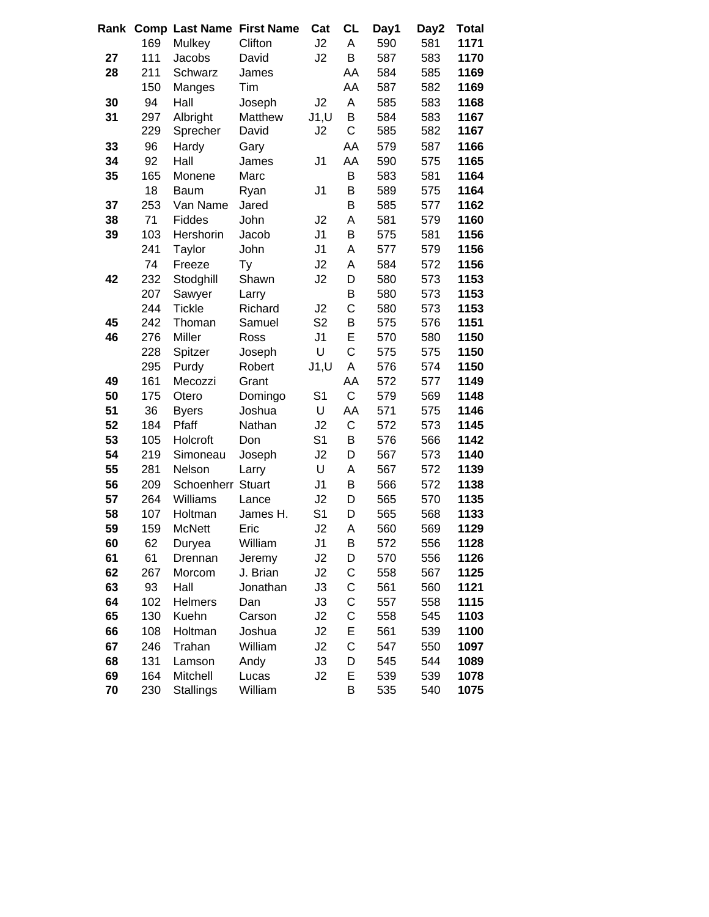| Rank |     | <b>Comp Last Name</b> | <b>First Name</b> | Cat            | <b>CL</b>   | Day1 | Day2 | <b>Total</b> |
|------|-----|-----------------------|-------------------|----------------|-------------|------|------|--------------|
|      | 169 | Mulkey                | Clifton           | J2             | A           | 590  | 581  | 1171         |
| 27   | 111 | Jacobs                | David             | J2             | B           | 587  | 583  | 1170         |
| 28   | 211 | Schwarz               | James             |                | AA          | 584  | 585  | 1169         |
|      | 150 | Manges                | Tim               |                | AA          | 587  | 582  | 1169         |
| 30   | 94  | Hall                  | Joseph            | J2             | A           | 585  | 583  | 1168         |
| 31   | 297 | Albright              | Matthew           | J1, U          | B           | 584  | 583  | 1167         |
|      | 229 | Sprecher              | David             | J2             | C           | 585  | 582  | 1167         |
| 33   | 96  | Hardy                 | Gary              |                | AA          | 579  | 587  | 1166         |
| 34   | 92  | Hall                  | James             | J <sub>1</sub> | AA          | 590  | 575  | 1165         |
| 35   | 165 | Monene                | Marc              |                | B           | 583  | 581  | 1164         |
|      | 18  | Baum                  | Ryan              | J <sub>1</sub> | B           | 589  | 575  | 1164         |
| 37   | 253 | Van Name              | Jared             |                | B           | 585  | 577  | 1162         |
| 38   | 71  | Fiddes                | John              | J2             | A           | 581  | 579  | 1160         |
| 39   | 103 | Hershorin             | Jacob             | J <sub>1</sub> | B           | 575  | 581  | 1156         |
|      | 241 | Taylor                | John              | J <sub>1</sub> | A           | 577  | 579  | 1156         |
|      | 74  | Freeze                | Ty                | J2             | A           | 584  | 572  | 1156         |
| 42   | 232 | Stodghill             | Shawn             | J2             | D           | 580  | 573  | 1153         |
|      | 207 | Sawyer                | Larry             |                | B           | 580  | 573  | 1153         |
|      | 244 | <b>Tickle</b>         | Richard           | J2             | $\mathsf C$ | 580  | 573  | 1153         |
| 45   | 242 | Thoman                | Samuel            | S <sub>2</sub> | В           | 575  | 576  | 1151         |
| 46   | 276 | Miller                | Ross              | J <sub>1</sub> | E           | 570  | 580  | 1150         |
|      | 228 | Spitzer               | Joseph            | U              | C           | 575  | 575  | 1150         |
|      | 295 | Purdy                 | Robert            | J1, U          | Α           | 576  | 574  | 1150         |
| 49   | 161 | Mecozzi               | Grant             |                | AA          | 572  | 577  | 1149         |
| 50   | 175 | Otero                 | Domingo           | S <sub>1</sub> | $\mathsf C$ | 579  | 569  | 1148         |
| 51   | 36  | <b>Byers</b>          | Joshua            | U              | AA          | 571  | 575  | 1146         |
| 52   | 184 | Pfaff                 | Nathan            | J2             | $\mathsf C$ | 572  | 573  | 1145         |
| 53   | 105 | Holcroft              | Don               | S <sub>1</sub> | B           | 576  | 566  | 1142         |
| 54   | 219 | Simoneau              | Joseph            | J2             | D           | 567  | 573  | 1140         |
| 55   | 281 | Nelson                | Larry             | U              | A           | 567  | 572  | 1139         |
| 56   | 209 | Schoenherr            | <b>Stuart</b>     | J <sub>1</sub> | B           | 566  | 572  | 1138         |
| 57   | 264 | Williams              | Lance             | J2             | D           | 565  | 570  | 1135         |
| 58   | 107 | Holtman               | James H.          | S <sub>1</sub> | D           | 565  | 568  | 1133         |
| 59   | 159 | <b>McNett</b>         | Eric              | J2             | A           | 560  | 569  | 1129         |
| 60   | 62  | Duryea                | William           | J <sub>1</sub> | B           | 572  | 556  | 1128         |
| 61   | 61  | Drennan               | Jeremy            | J2             | D           | 570  | 556  | 1126         |
| 62   | 267 | Morcom                | J. Brian          | J2             | С           | 558  | 567  | 1125         |
| 63   | 93  | Hall                  | Jonathan          | J3             | C           | 561  | 560  | 1121         |
| 64   | 102 | <b>Helmers</b>        | Dan               | J3             | C           | 557  | 558  | 1115         |
| 65   | 130 | Kuehn                 | Carson            | J2             | C           | 558  | 545  | 1103         |
| 66   | 108 | Holtman               | Joshua            | J2             | E           | 561  | 539  | 1100         |
| 67   | 246 | Trahan                | William           | J2             | C           | 547  | 550  | 1097         |
| 68   | 131 | Lamson                | Andy              | J3             | D           | 545  | 544  | 1089         |
| 69   | 164 | Mitchell              | Lucas             | J2             | E           | 539  | 539  | 1078         |
| 70   | 230 | <b>Stallings</b>      | William           |                | Β           | 535  | 540  | 1075         |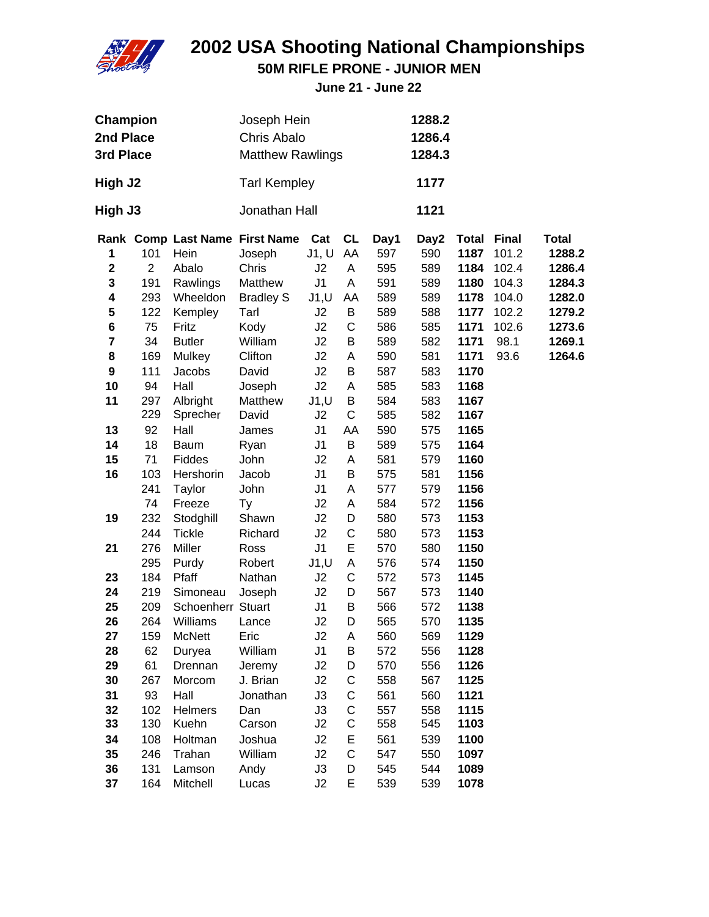

**50M RIFLE PRONE - JUNIOR MEN**

| Champion<br>2nd Place<br>3rd Place                              |                                                        | Joseph Hein<br>Chris Abalo<br><b>Matthew Rawlings</b>                      |                                                                                                             |                                                                 |                                                | 1288.2<br>1286.4<br>1284.3                            |                                                       |                                                                      |                                                                            |                                                                                    |
|-----------------------------------------------------------------|--------------------------------------------------------|----------------------------------------------------------------------------|-------------------------------------------------------------------------------------------------------------|-----------------------------------------------------------------|------------------------------------------------|-------------------------------------------------------|-------------------------------------------------------|----------------------------------------------------------------------|----------------------------------------------------------------------------|------------------------------------------------------------------------------------|
| High J2                                                         |                                                        |                                                                            | <b>Tarl Kempley</b>                                                                                         |                                                                 |                                                |                                                       | 1177                                                  |                                                                      |                                                                            |                                                                                    |
| High J3                                                         |                                                        |                                                                            | Jonathan Hall                                                                                               |                                                                 |                                                |                                                       | 1121                                                  |                                                                      |                                                                            |                                                                                    |
| 1<br>$\mathbf 2$<br>3<br>4<br>5<br>6<br>$\overline{\mathbf{7}}$ | 101<br>$\overline{2}$<br>191<br>293<br>122<br>75<br>34 | Hein<br>Abalo<br>Rawlings<br>Wheeldon<br>Kempley<br>Fritz<br><b>Butler</b> | Rank Comp Last Name First Name<br>Joseph<br>Chris<br>Matthew<br><b>Bradley S</b><br>Tarl<br>Kody<br>William | Cat<br>J1, U<br>J2<br>J <sub>1</sub><br>J1, U<br>J2<br>J2<br>J2 | <b>CL</b><br>AA<br>A<br>A<br>AA<br>B<br>C<br>В | Day1<br>597<br>595<br>591<br>589<br>589<br>586<br>589 | Day2<br>590<br>589<br>589<br>589<br>588<br>585<br>582 | <b>Total</b><br>1187<br>1184<br>1180<br>1178<br>1177<br>1171<br>1171 | <b>Final</b><br>101.2<br>102.4<br>104.3<br>104.0<br>102.2<br>102.6<br>98.1 | <b>Total</b><br>1288.2<br>1286.4<br>1284.3<br>1282.0<br>1279.2<br>1273.6<br>1269.1 |
| 8<br>9<br>10<br>11                                              | 169<br>111<br>94<br>297<br>229                         | Mulkey<br>Jacobs<br>Hall<br>Albright<br>Sprecher                           | Clifton<br>David<br>Joseph<br>Matthew<br>David                                                              | J2<br>J2<br>J2<br>J1, U<br>J2                                   | A<br>B<br>A<br>B<br>C                          | 590<br>587<br>585<br>584<br>585                       | 581<br>583<br>583<br>583<br>582                       | 1171<br>1170<br>1168<br>1167<br>1167                                 | 93.6                                                                       | 1264.6                                                                             |
| 13<br>14<br>15<br>16                                            | 92<br>18<br>71<br>103<br>241<br>74                     | Hall<br><b>Baum</b><br>Fiddes<br>Hershorin<br><b>Taylor</b><br>Freeze      | James<br>Ryan<br>John<br>Jacob<br>John<br>Ty                                                                | J1<br>J <sub>1</sub><br>J2<br>J1<br>J1<br>J2                    | AA<br>B<br>Α<br>B<br>A<br>A                    | 590<br>589<br>581<br>575<br>577<br>584                | 575<br>575<br>579<br>581<br>579<br>572                | 1165<br>1164<br>1160<br>1156<br>1156<br>1156                         |                                                                            |                                                                                    |
| 19<br>21                                                        | 232<br>244<br>276<br>295                               | Stodghill<br><b>Tickle</b><br>Miller<br>Purdy                              | Shawn<br>Richard<br>Ross<br>Robert                                                                          | J2<br>J2<br>J <sub>1</sub><br>J1, U                             | D<br>C<br>E<br>Α                               | 580<br>580<br>570<br>576                              | 573<br>573<br>580<br>574                              | 1153<br>1153<br>1150<br>1150                                         |                                                                            |                                                                                    |
| 23<br>24<br>25<br>26<br>27<br>28                                | 184<br>219<br>209<br>264<br>159<br>62                  | Pfaff<br>Simoneau<br>Schoenherr Stuart<br>Williams<br>McNett<br>Duryea     | Nathan<br>Joseph<br>Lance<br>Eric<br>William                                                                | J2<br>J2<br>J1<br>J2<br>J2<br>J <sub>1</sub>                    | $\mathsf C$<br>D<br>B<br>D<br>Α<br>Β           | 572<br>567<br>566<br>565<br>560<br>572                | 573<br>573<br>572<br>570<br>569<br>556                | 1145<br>1140<br>1138<br>1135<br>1129<br>1128                         |                                                                            |                                                                                    |
| 29<br>30<br>31<br>32<br>33<br>34                                | 61<br>267<br>93<br>102<br>130<br>108                   | Drennan<br>Morcom<br>Hall<br><b>Helmers</b><br>Kuehn<br>Holtman            | Jeremy<br>J. Brian<br>Jonathan<br>Dan<br>Carson<br>Joshua                                                   | J2<br>J2<br>J3<br>J3<br>J2<br>J2                                | D<br>C<br>C<br>C<br>С<br>E                     | 570<br>558<br>561<br>557<br>558<br>561                | 556<br>567<br>560<br>558<br>545<br>539                | 1126<br>1125<br>1121<br>1115<br>1103<br>1100                         |                                                                            |                                                                                    |
| 35<br>36<br>37                                                  | 246<br>131<br>164                                      | Trahan<br>Lamson<br>Mitchell                                               | William<br>Andy<br>Lucas                                                                                    | J2<br>J3<br>J2                                                  | $\mathsf C$<br>D<br>E                          | 547<br>545<br>539                                     | 550<br>544<br>539                                     | 1097<br>1089<br>1078                                                 |                                                                            |                                                                                    |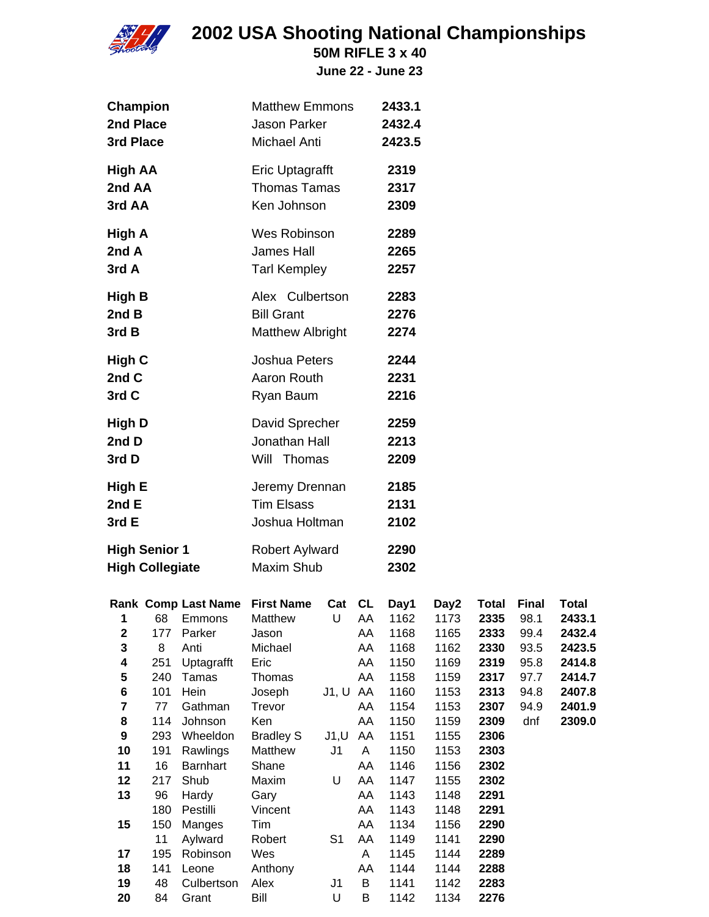

**50M RIFLE 3 x 40**

**June 22 - June 23**

| Champion<br>2nd Place<br>3rd Place                                        |                                                                |                                                                                                                               | <b>Matthew Emmons</b><br><b>Jason Parker</b><br>Michael Anti                                                                                       |                                                       |                                                   | 2433.1<br>2432.4<br>2423.5                                                                   |                                                                                              |                                                                                                      |                                                                             |                                                                                              |
|---------------------------------------------------------------------------|----------------------------------------------------------------|-------------------------------------------------------------------------------------------------------------------------------|----------------------------------------------------------------------------------------------------------------------------------------------------|-------------------------------------------------------|---------------------------------------------------|----------------------------------------------------------------------------------------------|----------------------------------------------------------------------------------------------|------------------------------------------------------------------------------------------------------|-----------------------------------------------------------------------------|----------------------------------------------------------------------------------------------|
| <b>High AA</b><br>2nd AA<br>3rd AA                                        |                                                                |                                                                                                                               | Eric Uptagrafft<br><b>Thomas Tamas</b><br>Ken Johnson                                                                                              |                                                       |                                                   | 2319<br>2317<br>2309                                                                         |                                                                                              |                                                                                                      |                                                                             |                                                                                              |
| High A<br>2nd A<br>3rd A                                                  |                                                                |                                                                                                                               | Wes Robinson<br>James Hall<br><b>Tarl Kempley</b>                                                                                                  |                                                       |                                                   | 2289<br>2265<br>2257                                                                         |                                                                                              |                                                                                                      |                                                                             |                                                                                              |
| High B<br>2nd B<br>3rd B                                                  |                                                                |                                                                                                                               | Alex Culbertson<br><b>Bill Grant</b><br><b>Matthew Albright</b>                                                                                    |                                                       |                                                   | 2283<br>2276<br>2274                                                                         |                                                                                              |                                                                                                      |                                                                             |                                                                                              |
| High C<br>2nd C<br>3rd C                                                  |                                                                |                                                                                                                               | Joshua Peters<br>Aaron Routh<br>Ryan Baum                                                                                                          |                                                       |                                                   | 2244<br>2231<br>2216                                                                         |                                                                                              |                                                                                                      |                                                                             |                                                                                              |
| <b>High D</b><br>2nd D<br>3rd D                                           |                                                                |                                                                                                                               | David Sprecher<br>Jonathan Hall<br>Will Thomas                                                                                                     |                                                       |                                                   | 2259<br>2213<br>2209                                                                         |                                                                                              |                                                                                                      |                                                                             |                                                                                              |
| High E<br>2nd E<br>3rd E                                                  |                                                                |                                                                                                                               | Jeremy Drennan<br><b>Tim Elsass</b><br>Joshua Holtman                                                                                              |                                                       |                                                   | 2185<br>2131<br>2102                                                                         |                                                                                              |                                                                                                      |                                                                             |                                                                                              |
| <b>High Senior 1</b><br><b>High Collegiate</b>                            |                                                                |                                                                                                                               | Robert Aylward<br><b>Maxim Shub</b>                                                                                                                |                                                       |                                                   | 2290<br>2302                                                                                 |                                                                                              |                                                                                                      |                                                                             |                                                                                              |
| $\mathbf 2$<br>3<br>4<br>5<br>6<br>7<br>8<br>$\boldsymbol{9}$<br>10<br>11 | 177<br>8<br>251<br>240<br>101<br>77<br>114<br>293<br>191<br>16 | 1 68 Emmons<br>Parker<br>Anti<br>Uptagrafft<br>Tamas<br>Hein<br>Gathman<br>Johnson<br>Wheeldon<br>Rawlings<br><b>Barnhart</b> | Rank Comp Last Name First Name<br>Matthew<br>Jason<br>Michael<br>Eric<br>Thomas<br>Joseph<br>Trevor<br>Ken<br><b>Bradley S</b><br>Matthew<br>Shane | Cat CL<br>U AA<br>J1, U AA<br>J1, U<br>J <sub>1</sub> | AA<br>AA<br>AA<br>AA<br>AA<br>AA<br>AA<br>A<br>AA | Day1<br>1162<br>1168<br>1168<br>1150<br>1158<br>1160<br>1154<br>1150<br>1151<br>1150<br>1146 | Day2<br>1173<br>1165<br>1162<br>1169<br>1159<br>1153<br>1153<br>1159<br>1155<br>1153<br>1156 | <b>Total</b><br>2335<br>2333<br>2330<br>2319<br>2317<br>2313<br>2307<br>2309<br>2306<br>2303<br>2302 | <b>Final</b><br>98.1<br>99.4<br>93.5<br>95.8<br>97.7<br>94.8<br>94.9<br>dnf | <b>Total</b><br>2433.1<br>2432.4<br>2423.5<br>2414.8<br>2414.7<br>2407.8<br>2401.9<br>2309.0 |
| 12<br>13<br>15                                                            | 217<br>96<br>180<br>150<br>11                                  | Shub<br>Hardy<br>Pestilli<br>Manges<br>Aylward                                                                                | Maxim<br>Gary<br>Vincent<br>Tim<br>Robert                                                                                                          | U<br>S <sub>1</sub>                                   | AA<br>AA<br>AA<br>AA<br>AA                        | 1147<br>1143<br>1143<br>1134<br>1149                                                         | 1155<br>1148<br>1148<br>1156<br>1141                                                         | 2302<br>2291<br>2291<br>2290<br>2290                                                                 |                                                                             |                                                                                              |
| 17<br>18<br>19<br>20                                                      | 195<br>141<br>48<br>84                                         | Robinson<br>Leone<br>Culbertson<br>Grant                                                                                      | Wes<br>Anthony<br>Alex<br>Bill                                                                                                                     | J <sub>1</sub><br>U                                   | A<br>AA<br>B<br>B                                 | 1145<br>1144<br>1141<br>1142                                                                 | 1144<br>1144<br>1142<br>1134                                                                 | 2289<br>2288<br>2283<br>2276                                                                         |                                                                             |                                                                                              |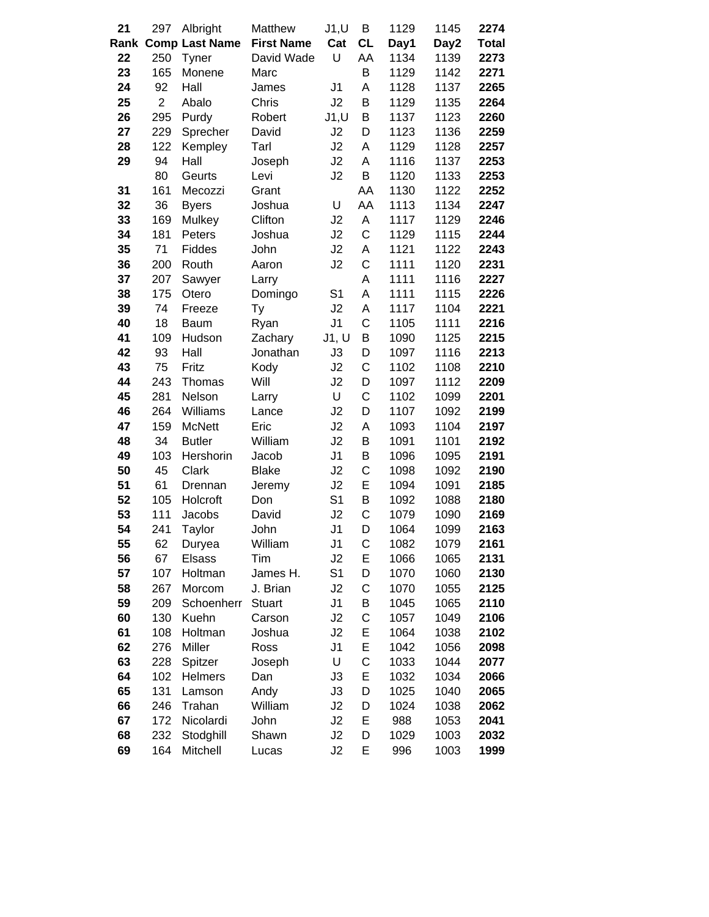| 21   | 297            | Albright              | Matthew           | J1, U          | B            | 1129 | 1145 | 2274         |
|------|----------------|-----------------------|-------------------|----------------|--------------|------|------|--------------|
| Rank |                | <b>Comp Last Name</b> | <b>First Name</b> | Cat            | <b>CL</b>    | Day1 | Day2 | <b>Total</b> |
| 22   | 250            | Tyner                 | David Wade        | U              | AA           | 1134 | 1139 | 2273         |
| 23   | 165            | Monene                | Marc              |                | B            | 1129 | 1142 | 2271         |
| 24   | 92             | Hall                  | James             | J1             | A            | 1128 | 1137 | 2265         |
| 25   | $\overline{2}$ | Abalo                 | Chris             | J2             | B            | 1129 | 1135 | 2264         |
| 26   | 295            | Purdy                 | Robert            | J1, U          | B            | 1137 | 1123 | 2260         |
| 27   | 229            | Sprecher              | David             | J2             | D            | 1123 | 1136 | 2259         |
| 28   | 122            | Kempley               | Tarl              | J2             | Α            | 1129 | 1128 | 2257         |
| 29   | 94             | Hall                  | Joseph            | J2             | A            | 1116 | 1137 | 2253         |
|      | 80             | Geurts                | Levi              | J2             | B            | 1120 | 1133 | 2253         |
| 31   | 161            | Mecozzi               | Grant             |                | AA           | 1130 | 1122 | 2252         |
| 32   | 36             | <b>Byers</b>          | Joshua            | U              | AA           | 1113 | 1134 | 2247         |
| 33   | 169            | Mulkey                | Clifton           | J2             | A            | 1117 | 1129 | 2246         |
| 34   | 181            | Peters                | Joshua            | J2             | C            | 1129 | 1115 | 2244         |
| 35   | 71             | Fiddes                | John              | J2             | A            | 1121 | 1122 | 2243         |
| 36   | 200            | Routh                 | Aaron             | J2             | C            | 1111 | 1120 | 2231         |
| 37   | 207            | Sawyer                | Larry             |                | A            | 1111 | 1116 | 2227         |
| 38   | 175            | Otero                 | Domingo           | S <sub>1</sub> | A            | 1111 | 1115 | 2226         |
| 39   | 74             | Freeze                | Ty                | J2             | A            | 1117 | 1104 | 2221         |
| 40   | 18             | <b>Baum</b>           | Ryan              | J <sub>1</sub> | $\mathsf{C}$ | 1105 | 1111 | 2216         |
| 41   | 109            | Hudson                | Zachary           | J1, U          | B            | 1090 | 1125 | 2215         |
| 42   | 93             | Hall                  | Jonathan          | J3             | D            | 1097 | 1116 | 2213         |
| 43   | 75             | Fritz                 | Kody              | J2             | C            | 1102 | 1108 | 2210         |
| 44   | 243            | Thomas                | Will              | J2             | D            | 1097 | 1112 | 2209         |
| 45   | 281            | Nelson                | Larry             | U              | C            | 1102 | 1099 | 2201         |
| 46   | 264            | Williams              | Lance             | J <sub>2</sub> | D            | 1107 | 1092 | 2199         |
| 47   | 159            | <b>McNett</b>         | Eric              | J2             | Α            | 1093 | 1104 | 2197         |
| 48   | 34             | <b>Butler</b>         | William           | J2             | B            | 1091 | 1101 | 2192         |
| 49   | 103            | Hershorin             | Jacob             | J <sub>1</sub> | B            | 1096 | 1095 | 2191         |
| 50   | 45             | Clark                 | <b>Blake</b>      | J2             | C            | 1098 | 1092 | 2190         |
| 51   | 61             | Drennan               | Jeremy            | J2             | E            | 1094 | 1091 | 2185         |
| 52   | 105            | Holcroft              | Don               | S <sub>1</sub> | B            | 1092 | 1088 | 2180         |
| 53   | 111            | Jacobs                | David             | J2             | C            | 1079 | 1090 | 2169         |
| 54   | 241            | Taylor                | John              | J1             | D            | 1064 | 1099 | 2163         |
| 55   | 62             | Duryea                | William           | J1             | С            | 1082 | 1079 | 2161         |
| 56   | 67             | Elsass                | Tim               | J2             | Ε            | 1066 | 1065 | 2131         |
| 57   | 107            | Holtman               | James H.          | S <sub>1</sub> | D            | 1070 | 1060 | 2130         |
| 58   | 267            | Morcom                | J. Brian          | J2             | C            | 1070 | 1055 | 2125         |
| 59   | 209            | Schoenherr            | <b>Stuart</b>     | J <sub>1</sub> | B            | 1045 | 1065 | 2110         |
| 60   | 130            | Kuehn                 | Carson            | J2             | $\mathsf C$  | 1057 | 1049 | 2106         |
| 61   | 108            | Holtman               | Joshua            | J2             | E            | 1064 | 1038 | 2102         |
| 62   | 276            | Miller                | Ross              | J1             | E            | 1042 | 1056 | 2098         |
| 63   | 228            | Spitzer               | Joseph            | U              | C            | 1033 | 1044 | 2077         |
| 64   | 102            | <b>Helmers</b>        | Dan               | J3             | E            | 1032 | 1034 | 2066         |
| 65   | 131            | Lamson                | Andy              | J3             | D            | 1025 | 1040 | 2065         |
| 66   | 246            | Trahan                | William           | J2             | D            | 1024 | 1038 | 2062         |
| 67   | 172            | Nicolardi             | John              | J2             | E            | 988  | 1053 | 2041         |
| 68   | 232            | Stodghill             | Shawn             | J2             | D            | 1029 | 1003 | 2032         |
| 69   | 164            | Mitchell              | Lucas             | J2             | E            | 996  | 1003 | 1999         |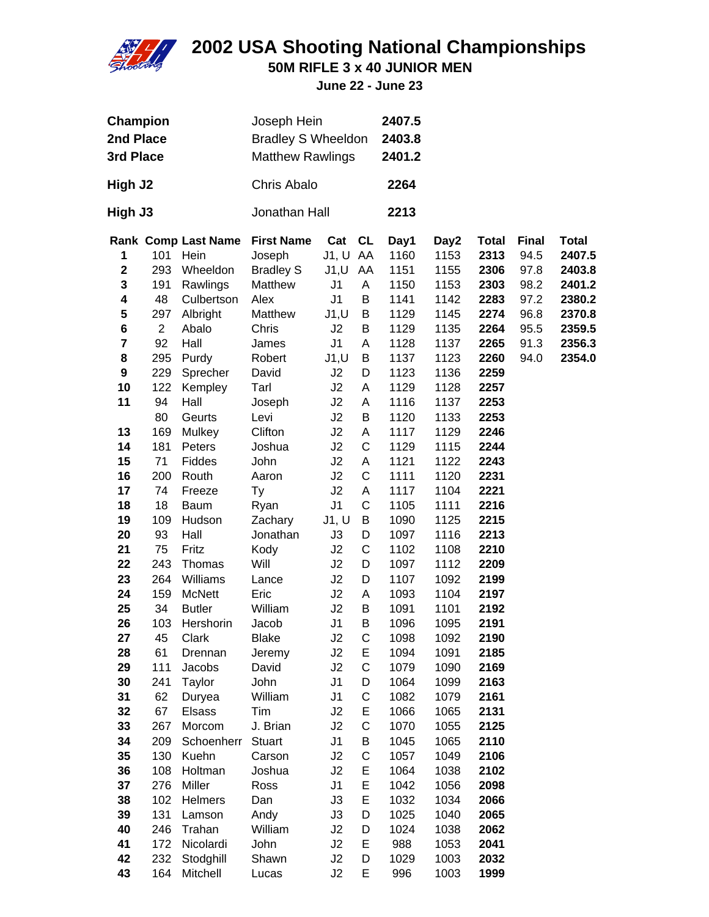

**50M RIFLE 3 x 40 JUNIOR MEN**

**June 22 - June 23**

| <b>Champion</b><br>2nd Place<br>3rd Place |                |                            | Joseph Hein<br><b>Bradley S Wheeldon</b><br><b>Matthew Rawlings</b> |                |    | 2407.5<br>2403.8<br>2401.2 |      |              |              |              |
|-------------------------------------------|----------------|----------------------------|---------------------------------------------------------------------|----------------|----|----------------------------|------|--------------|--------------|--------------|
| High J2                                   |                |                            | Chris Abalo                                                         |                |    | 2264                       |      |              |              |              |
| High J3                                   |                |                            | Jonathan Hall                                                       |                |    | 2213                       |      |              |              |              |
|                                           |                | <b>Rank Comp Last Name</b> | <b>First Name</b>                                                   | Cat CL         |    | Day1                       | Day2 | <b>Total</b> | <b>Final</b> | <b>Total</b> |
| 1                                         | 101            | Hein                       | Joseph                                                              | J1, U AA       |    | 1160                       | 1153 | 2313         | 94.5         | 2407.5       |
| $\mathbf 2$                               | 293            | Wheeldon                   | <b>Bradley S</b>                                                    | J1,U           | AA | 1151                       | 1155 | 2306         | 97.8         | 2403.8       |
| 3                                         | 191            | Rawlings                   | Matthew                                                             | J1             | A  | 1150                       | 1153 | 2303         | 98.2         | 2401.2       |
| 4                                         | 48             | Culbertson                 | Alex                                                                | J1             | Β  | 1141                       | 1142 | 2283         | 97.2         | 2380.2       |
| 5                                         | 297            | Albright                   | Matthew                                                             | J1, U          | B  | 1129                       | 1145 | 2274         | 96.8         | 2370.8       |
| 6                                         | $\overline{2}$ | Abalo                      | Chris                                                               | J2             | B  | 1129                       | 1135 | 2264         | 95.5         | 2359.5       |
| 7                                         | 92             | Hall                       | James                                                               | J1             | Α  | 1128                       | 1137 | 2265         | 91.3         | 2356.3       |
| 8                                         | 295            | Purdy                      | Robert                                                              | J1, U          | Β  | 1137                       | 1123 | 2260         | 94.0         | 2354.0       |
| 9                                         | 229            | Sprecher                   | David                                                               | J2             | D  | 1123                       | 1136 | 2259         |              |              |
| 10                                        | 122            | Kempley                    | Tarl                                                                | J2             | A  | 1129                       | 1128 | 2257         |              |              |
| 11                                        | 94             | Hall                       | Joseph                                                              | J2             | A  | 1116                       | 1137 | 2253         |              |              |
|                                           | 80             | Geurts                     | Levi                                                                | J2             | В  | 1120                       | 1133 | 2253         |              |              |
| 13                                        | 169            | Mulkey                     | Clifton                                                             | J2             | Α  | 1117                       | 1129 | 2246         |              |              |
| 14                                        | 181            | Peters                     | Joshua                                                              | J2             | C  | 1129                       | 1115 | 2244         |              |              |
| 15                                        | 71             | Fiddes                     | John                                                                | J2             | Α  | 1121                       | 1122 | 2243         |              |              |
| 16                                        | 200            | Routh                      | Aaron                                                               | J2             | C  | 1111                       | 1120 | 2231         |              |              |
| 17                                        | 74             | Freeze                     | Ty                                                                  | J2             | Α  | 1117                       | 1104 | 2221         |              |              |
| 18                                        | 18             | <b>Baum</b>                | Ryan                                                                | J <sub>1</sub> | C  | 1105                       | 1111 | 2216         |              |              |
| 19                                        | 109            | Hudson                     | Zachary                                                             | J1, U          | B  | 1090                       | 1125 | 2215         |              |              |
| 20                                        | 93             | Hall                       | Jonathan                                                            | J3             | D  | 1097                       | 1116 | 2213         |              |              |
| 21                                        | 75             | Fritz                      | Kody                                                                | J2             | C  | 1102                       | 1108 | 2210         |              |              |
| 22                                        | 243            | Thomas                     | Will                                                                | J2             | D  | 1097                       | 1112 | 2209         |              |              |
| 23                                        | 264            | Williams                   | Lance                                                               | J2             | D  | 1107                       | 1092 | 2199         |              |              |
| 24                                        | 159            | <b>McNett</b>              | Eric                                                                | J2             | A  | 1093                       | 1104 | 2197         |              |              |
| 25                                        | 34             | <b>Butler</b>              | William                                                             | J2             | в  | 1091                       | 1101 | 2192         |              |              |
| 26                                        | 103            | Hershorin                  | Jacob                                                               | J <sub>1</sub> | B  | 1096                       | 1095 | 2191         |              |              |
| 27                                        | 45             | Clark                      | Blake                                                               | J2             | С  | 1098                       | 1092 | 2190         |              |              |
| 28                                        | 61             | Drennan                    | Jeremy                                                              | J2             | E  | 1094                       | 1091 | 2185         |              |              |
| 29                                        | 111            | Jacobs                     | David                                                               | J2             | C  | 1079                       | 1090 | 2169         |              |              |
| 30                                        | 241            | Taylor                     | John                                                                | J <sub>1</sub> | D  | 1064                       | 1099 | 2163         |              |              |
| 31                                        | 62             | Duryea                     | William                                                             | J <sub>1</sub> | C  | 1082                       | 1079 | 2161         |              |              |
| 32                                        | 67             | Elsass                     | Tim                                                                 | J2             | E  | 1066                       | 1065 | 2131         |              |              |
| 33                                        | 267            | Morcom                     | J. Brian                                                            | J2             | C  | 1070                       | 1055 | 2125         |              |              |
| 34                                        | 209            | Schoenherr                 | <b>Stuart</b>                                                       | J <sub>1</sub> | B  | 1045                       | 1065 | 2110         |              |              |
| 35                                        | 130            | Kuehn                      | Carson                                                              | J2             | C  | 1057                       | 1049 | 2106         |              |              |
| 36                                        | 108            | Holtman                    | Joshua                                                              | J2             | E  | 1064                       | 1038 | 2102         |              |              |
| 37                                        | 276            | Miller                     | Ross                                                                | J <sub>1</sub> | E  | 1042                       | 1056 | 2098         |              |              |
| 38                                        | 102            | Helmers                    | Dan                                                                 | J3             | E  | 1032                       | 1034 | 2066         |              |              |
| 39                                        | 131            | Lamson                     | Andy                                                                | J3             | D  | 1025                       | 1040 | 2065         |              |              |
| 40                                        | 246            | Trahan                     | William                                                             | J2             | D  | 1024                       | 1038 | 2062         |              |              |
| 41                                        | 172            | Nicolardi                  | John                                                                | J2             | E  | 988                        | 1053 | 2041         |              |              |
| 42                                        | 232            | Stodghill                  | Shawn                                                               | J2             | D  | 1029                       | 1003 | 2032         |              |              |
| 43                                        | 164            | Mitchell                   | Lucas                                                               | J2             | E  | 996                        | 1003 | 1999         |              |              |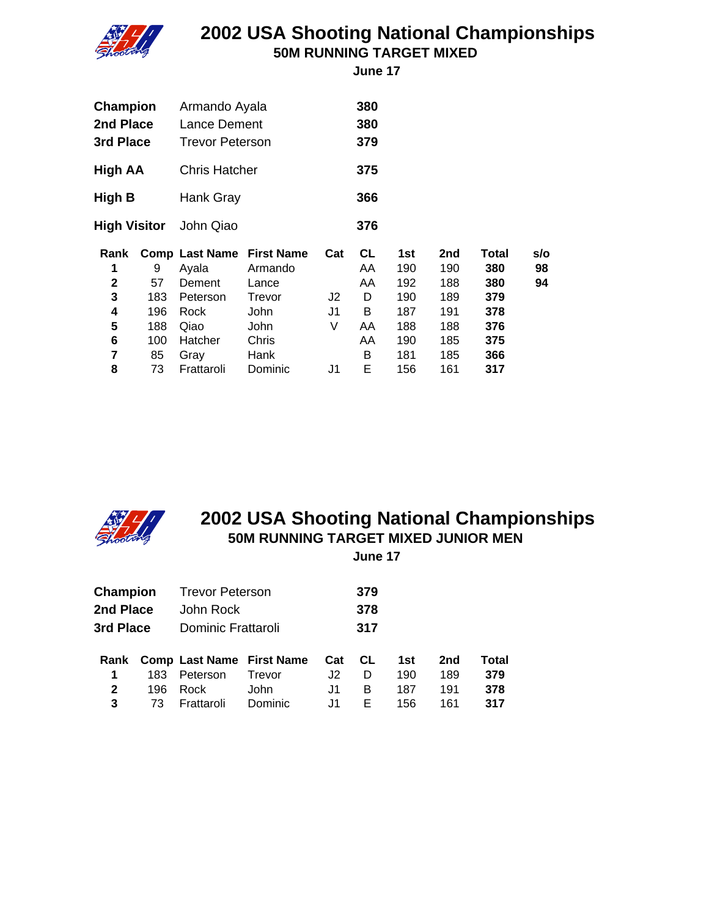

#### **2002 USA Shooting National Championships 50M RUNNING TARGET MIXED**

 **June 17**

| Champion<br>2nd Place<br>3rd Place |     | Armando Ayala<br>Lance Dement<br><b>Trevor Peterson</b> |                   |                | 380<br>380<br>379 |     |     |       |     |
|------------------------------------|-----|---------------------------------------------------------|-------------------|----------------|-------------------|-----|-----|-------|-----|
| <b>High AA</b>                     |     | <b>Chris Hatcher</b>                                    |                   |                | 375               |     |     |       |     |
| High B                             |     | Hank Gray                                               |                   |                | 366               |     |     |       |     |
| <b>High Visitor</b>                |     | John Qiao                                               |                   |                | 376               |     |     |       |     |
| Rank                               |     | <b>Comp Last Name</b>                                   | <b>First Name</b> | Cat            | <b>CL</b>         | 1st | 2nd | Total | s/o |
| 1                                  | 9   | Ayala                                                   | Armando           |                | AA                | 190 | 190 | 380   | 98  |
| $\mathbf{2}$                       | 57  | Dement                                                  | Lance             |                | AA                | 192 | 188 | 380   | 94  |
|                                    |     |                                                         |                   |                |                   |     |     |       |     |
| 3                                  | 183 | Peterson                                                | Trevor            | J2             | D                 | 190 | 189 | 379   |     |
| 4                                  | 196 | Rock                                                    | John              | J <sub>1</sub> | B                 | 187 | 191 | 378   |     |
| 5                                  | 188 | Qiao                                                    | John              | V              | AA                | 188 | 188 | 376   |     |
| 6                                  | 100 | Hatcher                                                 | Chris             |                | AA                | 190 | 185 | 375   |     |
| 7                                  | 85  | Gray                                                    | Hank              |                | B                 | 181 | 185 | 366   |     |



### **2002 USA Shooting National Championships 50M RUNNING TARGET MIXED JUNIOR MEN**

 **June 17**

| Champion<br>2nd Place<br>3rd Place |                   | <b>Trevor Peterson</b><br>John Rock<br>Dominic Frattaroli          |                           |                        | 379<br>378<br>317 |                          |                          |                            |
|------------------------------------|-------------------|--------------------------------------------------------------------|---------------------------|------------------------|-------------------|--------------------------|--------------------------|----------------------------|
| Rank<br>1<br>$\mathbf{2}$<br>3     | 183.<br>196<br>73 | <b>Comp Last Name First Name</b><br>Peterson<br>Rock<br>Frattaroli | Trevor<br>John<br>Dominic | Cat<br>J2<br>J1<br>J1. | CL<br>D<br>B<br>Е | 1st<br>190<br>187<br>156 | 2nd<br>189<br>191<br>161 | Total<br>379<br>378<br>317 |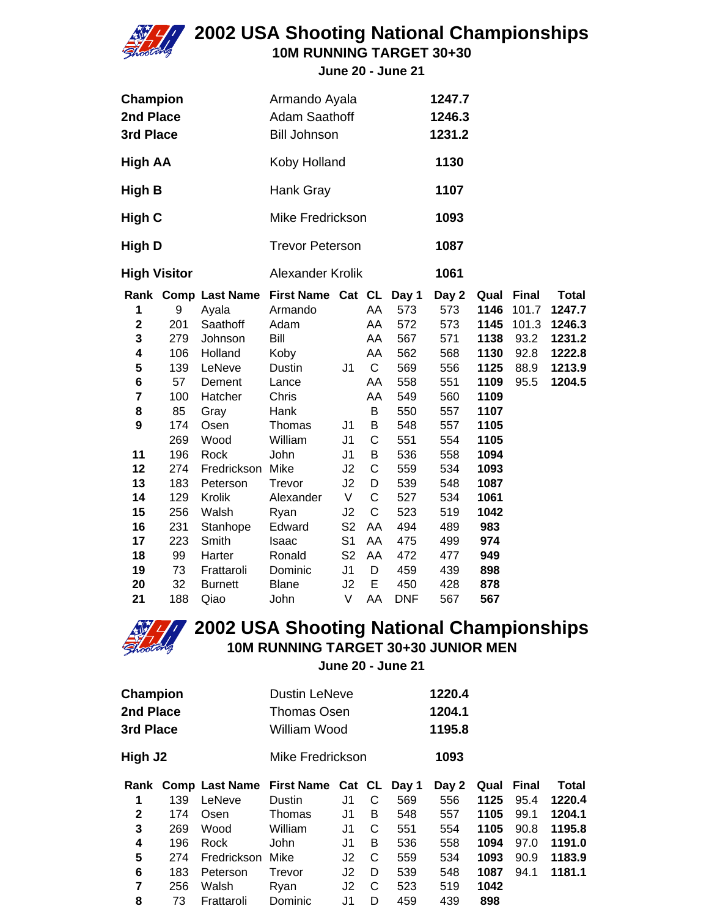

**10M RUNNING TARGET 30+30**

**June 20 - June 21**

| Champion<br>2nd Place<br>3rd Place |     |                | Armando Ayala<br><b>Adam Saathoff</b><br><b>Bill Johnson</b> |                |             |            | 1247.7<br>1246.3<br>1231.2 |      |              |              |
|------------------------------------|-----|----------------|--------------------------------------------------------------|----------------|-------------|------------|----------------------------|------|--------------|--------------|
| <b>High AA</b>                     |     |                | Koby Holland                                                 |                |             |            | 1130                       |      |              |              |
| High B                             |     |                | Hank Gray                                                    |                |             |            | 1107                       |      |              |              |
| High C                             |     |                | Mike Fredrickson                                             |                |             |            | 1093                       |      |              |              |
| High D                             |     |                | <b>Trevor Peterson</b>                                       |                |             |            | 1087                       |      |              |              |
| <b>High Visitor</b>                |     |                | Alexander Krolik                                             |                |             |            | 1061                       |      |              |              |
|                                    |     |                | Rank Comp Last Name First Name Cat CL Day 1                  |                |             |            | Day 2                      | Qual | <b>Final</b> | <b>Total</b> |
| 1                                  | 9   | Ayala          | Armando                                                      |                | AA          | 573        | 573                        | 1146 | 101.7        | 1247.7       |
| $\overline{\mathbf{2}}$            | 201 | Saathoff       | Adam                                                         |                | AA          | 572        | 573                        | 1145 | 101.3        | 1246.3       |
| 3                                  | 279 | Johnson        | Bill                                                         |                | AA          | 567        | 571                        | 1138 | 93.2         | 1231.2       |
| 4                                  | 106 | Holland        | Koby                                                         |                | AA          | 562        | 568                        | 1130 | 92.8         | 1222.8       |
| 5                                  | 139 | LeNeve         | Dustin                                                       | J1             | C           | 569        | 556                        | 1125 | 88.9         | 1213.9       |
| 6                                  | 57  | Dement         | Lance                                                        |                | AA          | 558        | 551                        | 1109 | 95.5         | 1204.5       |
| $\overline{7}$                     | 100 | Hatcher        | Chris                                                        |                | AA          | 549        | 560                        | 1109 |              |              |
| 8                                  | 85  | Gray           | Hank                                                         |                | B           | 550        | 557                        | 1107 |              |              |
| 9                                  | 174 | Osen           | Thomas                                                       | J1             | B           | 548        | 557                        | 1105 |              |              |
|                                    | 269 | Wood           | William                                                      | J <sub>1</sub> | $\mathsf C$ | 551        | 554                        | 1105 |              |              |
| 11                                 | 196 | Rock           | John                                                         | J <sub>1</sub> | B           | 536        | 558                        | 1094 |              |              |
| 12                                 | 274 | Fredrickson    | Mike                                                         | J2             | $\mathsf C$ | 559        | 534                        | 1093 |              |              |
| 13                                 | 183 | Peterson       | Trevor                                                       | J2             | D           | 539        | 548                        | 1087 |              |              |
| 14                                 | 129 | Krolik         | Alexander                                                    | V              | C           | 527        | 534                        | 1061 |              |              |
| 15                                 | 256 | Walsh          | Ryan                                                         | J2             | С           | 523        | 519                        | 1042 |              |              |
| 16                                 | 231 | Stanhope       | Edward                                                       | S <sub>2</sub> | AA          | 494        | 489                        | 983  |              |              |
| 17                                 | 223 | Smith          | Isaac                                                        | S <sub>1</sub> | AA          | 475        | 499                        | 974  |              |              |
| 18                                 | 99  | Harter         | Ronald                                                       | S <sub>2</sub> | AA          | 472        | 477                        | 949  |              |              |
| 19                                 | 73  | Frattaroli     | Dominic                                                      | J <sub>1</sub> | D           | 459        | 439                        | 898  |              |              |
| 20                                 | 32  | <b>Burnett</b> | <b>Blane</b>                                                 | J2             | E           | 450        | 428                        | 878  |              |              |
| 21                                 | 188 | Qiao           | John                                                         | V              | AA          | <b>DNF</b> | 567                        | 567  |              |              |



### **2002 USA Shooting National Championships 10M RUNNING TARGET 30+30 JUNIOR MEN**

**June 20 - June 21**

| Champion<br>2nd Place<br>3rd Place |     |                       | <b>Dustin LeNeve</b><br>Thomas Osen<br>William Wood |    | 1220.4<br>1204.1<br>1195.8 |     |       |      |       |              |
|------------------------------------|-----|-----------------------|-----------------------------------------------------|----|----------------------------|-----|-------|------|-------|--------------|
| High J2                            |     |                       | Mike Fredrickson                                    |    |                            |     | 1093  |      |       |              |
| Rank                               |     | <b>Comp Last Name</b> | First Name Cat CL Day 1                             |    |                            |     | Day 2 | Qual | Final | <b>Total</b> |
| 1                                  | 139 | LeNeve                | <b>Dustin</b>                                       | J1 | С                          | 569 | 556   | 1125 | 95.4  | 1220.4       |
| $\mathbf{2}$                       | 174 | Osen                  | Thomas                                              | J1 | B                          | 548 | 557   | 1105 | 99.1  | 1204.1       |
| 3                                  | 269 | Wood                  | William                                             | J1 | C                          | 551 | 554   | 1105 | 90.8  | 1195.8       |
| 4                                  | 196 | Rock                  | John                                                | J1 | B                          | 536 | 558   | 1094 | 97.0  | 1191.0       |
| 5                                  | 274 | Fredrickson           | Mike                                                | J2 | C                          | 559 | 534   | 1093 | 90.9  | 1183.9       |
| 6                                  | 183 | Peterson              | Trevor                                              | J2 | D                          | 539 | 548   | 1087 | 94.1  | 1181.1       |
| 7                                  | 256 | Walsh                 | Ryan                                                | J2 | C                          | 523 | 519   | 1042 |       |              |
| 8                                  | 73  | Frattaroli            | Dominic                                             | J1 | D                          | 459 | 439   | 898  |       |              |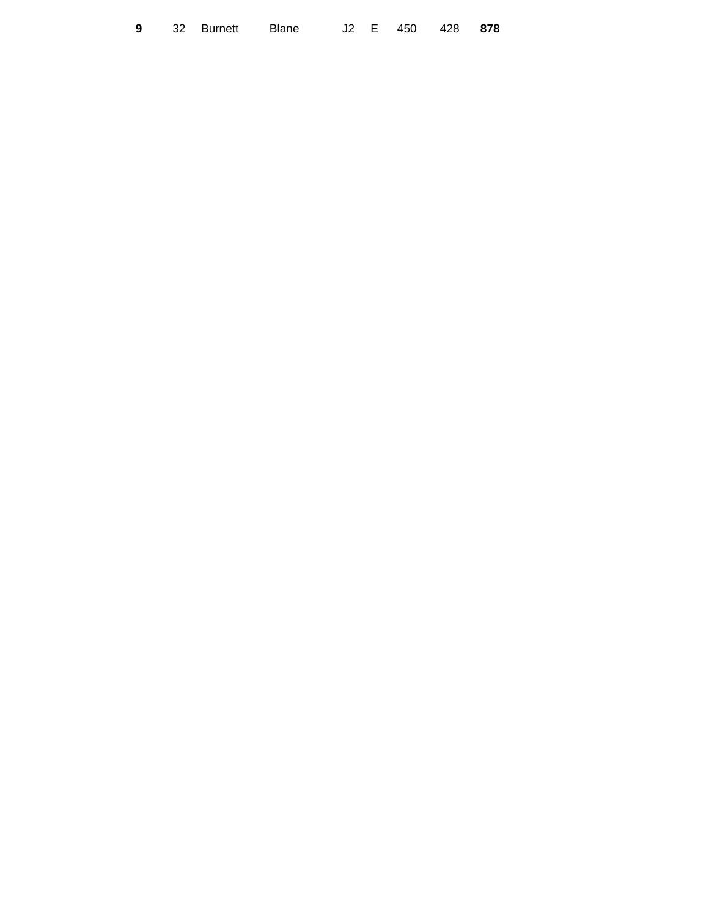|  | <b>9</b> 32 Burnett Blane |  |  | J2 E 450 428 878 |  |
|--|---------------------------|--|--|------------------|--|
|  |                           |  |  |                  |  |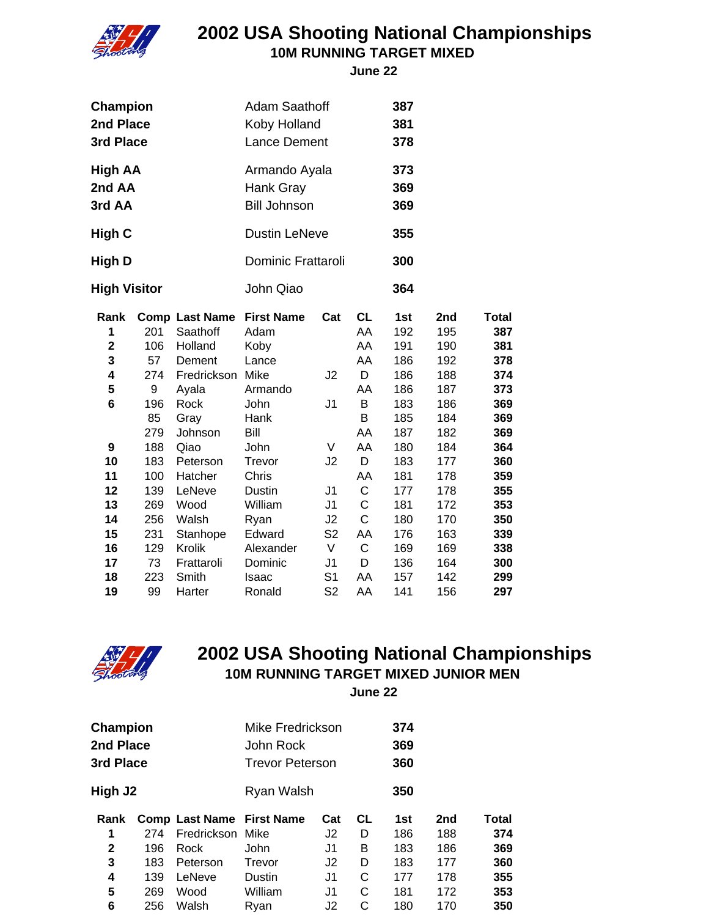

#### **2002 USA Shooting National Championships 10M RUNNING TARGET MIXED**

 **June 22**

| Champion<br>2nd Place<br>3rd Place |     |                       | <b>Adam Saathoff</b><br>Koby Holland<br><b>Lance Dement</b> |                |             | 387<br>381<br>378 |     |              |
|------------------------------------|-----|-----------------------|-------------------------------------------------------------|----------------|-------------|-------------------|-----|--------------|
| High AA<br>2nd AA<br>3rd AA        |     |                       | Armando Ayala<br>Hank Gray<br><b>Bill Johnson</b>           |                |             | 373<br>369<br>369 |     |              |
| High C                             |     |                       | <b>Dustin LeNeve</b>                                        |                |             | 355               |     |              |
| High D                             |     |                       | Dominic Frattaroli                                          |                |             | 300               |     |              |
| <b>High Visitor</b>                |     |                       | John Qiao                                                   |                |             | 364               |     |              |
| Rank                               |     | <b>Comp Last Name</b> | <b>First Name</b>                                           | Cat            | <b>CL</b>   | 1st               | 2nd | <b>Total</b> |
| 1                                  | 201 | Saathoff              | Adam                                                        |                | AA          | 192               | 195 | 387          |
| $\overline{\mathbf{2}}$            | 106 | Holland               | Koby                                                        |                | AA          | 191               | 190 | 381          |
| 3                                  | 57  | Dement                | Lance                                                       |                | AA          | 186               | 192 | 378          |
| 4                                  | 274 | Fredrickson           | Mike                                                        | J2             | D           | 186               | 188 | 374          |
| 5                                  | 9   | Ayala                 | Armando                                                     |                | AA          | 186               | 187 | 373          |
| 6                                  | 196 | Rock                  | John                                                        | J <sub>1</sub> | B           | 183               | 186 | 369          |
|                                    | 85  | Gray                  | Hank                                                        |                | B           | 185               | 184 | 369          |
|                                    | 279 | Johnson               | Bill                                                        |                | AA          | 187               | 182 | 369          |
| 9                                  | 188 | Qiao                  | John                                                        | V              | AA          | 180               | 184 | 364          |
| 10                                 | 183 | Peterson              | Trevor                                                      | J2             | D           | 183               | 177 | 360          |
| 11                                 | 100 | Hatcher               | Chris                                                       |                | AA          | 181               | 178 | 359          |
| 12                                 | 139 | LeNeve                | <b>Dustin</b>                                               | J1             | C           | 177               | 178 | 355          |
| 13                                 | 269 | Wood                  | William                                                     | J <sub>1</sub> | C           | 181               | 172 | 353          |
| 14                                 | 256 | Walsh                 | Ryan                                                        | J2             | C           | 180               | 170 | 350          |
| 15                                 | 231 | Stanhope              | Edward                                                      | S <sub>2</sub> | AA          | 176               | 163 | 339          |
| 16                                 | 129 | Krolik                | Alexander                                                   | V              | $\mathsf C$ | 169               | 169 | 338          |
| 17                                 | 73  | Frattaroli            | Dominic                                                     | J1             | D           | 136               | 164 | 300          |
| 18                                 | 223 | Smith                 | Isaac                                                       | S <sub>1</sub> | AA          | 157               | 142 | 299          |
| 19                                 | 99  | Harter                | Ronald                                                      | S <sub>2</sub> | AA          | 141               | 156 | 297          |



## **2002 USA Shooting National Championships 10M RUNNING TARGET MIXED JUNIOR MEN**

 **June 22**

| High J <sub>2</sub><br>Ryan Walsh<br>350<br><b>CL</b><br>2 <sub>nd</sub><br><b>Comp Last Name First Name</b><br>Cat<br>1st<br>Rank<br>Fredrickson Mike<br>1<br>274<br>J2<br>D<br>186<br>188<br>$\mathbf{2}$<br>В<br>J1<br>183<br>186<br>196<br>Rock<br>John<br>3<br>D<br>J2<br>183<br>177<br>183<br>Trevor<br>Peterson | Champion<br>2nd Place<br>3rd Place |     |        | Mike Fredrickson<br>John Rock<br><b>Trevor Peterson</b> |    |   | 374<br>369<br>360 |     |       |
|------------------------------------------------------------------------------------------------------------------------------------------------------------------------------------------------------------------------------------------------------------------------------------------------------------------------|------------------------------------|-----|--------|---------------------------------------------------------|----|---|-------------------|-----|-------|
|                                                                                                                                                                                                                                                                                                                        |                                    |     |        |                                                         |    |   |                   |     |       |
|                                                                                                                                                                                                                                                                                                                        |                                    |     |        |                                                         |    |   |                   |     | Total |
|                                                                                                                                                                                                                                                                                                                        |                                    |     |        |                                                         |    |   |                   |     | 374   |
|                                                                                                                                                                                                                                                                                                                        |                                    |     |        |                                                         |    |   |                   |     | 369   |
|                                                                                                                                                                                                                                                                                                                        |                                    |     |        |                                                         |    |   |                   |     | 360   |
|                                                                                                                                                                                                                                                                                                                        | 4                                  | 139 | LeNeve | <b>Dustin</b>                                           | J1 | С | 177               | 178 | 355   |
| 5<br>William<br>C<br>269<br>Wood<br>181<br>172<br>J1                                                                                                                                                                                                                                                                   |                                    |     |        |                                                         |    |   |                   |     | 353   |
|                                                                                                                                                                                                                                                                                                                        | 6                                  | 256 | Walsh  | Rvan                                                    | J2 | С | 180               | 170 | 350   |
|                                                                                                                                                                                                                                                                                                                        |                                    |     |        |                                                         |    |   |                   |     |       |